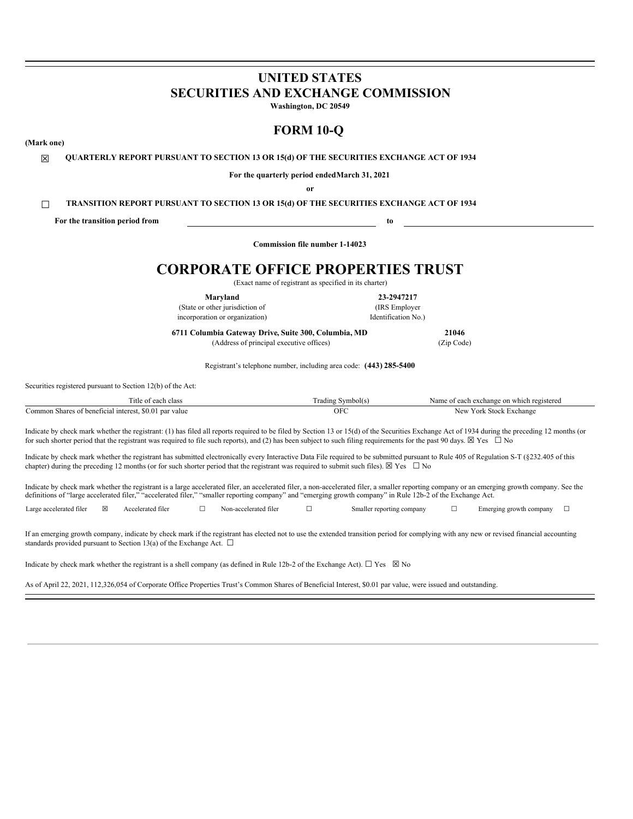# **UNITED STATES SECURITIES AND EXCHANGE COMMISSION**

**Washington, DC 20549**

# **FORM 10-Q**

**(Mark one)**

☒ **QUARTERLY REPORT PURSUANT TO SECTION 13 OR 15(d) OF THE SECURITIES EXCHANGE ACT OF 1934**

**For the quarterly period endedMarch 31, 2021**

**or**

☐ **TRANSITION REPORT PURSUANT TO SECTION 13 OR 15(d) OF THE SECURITIES EXCHANGE ACT OF 1934**

**For the transition period from to**

**Commission file number 1-14023**

# **CORPORATE OFFICE PROPERTIES TRUST**

(Exact name of registrant as specified in its charter)

**Maryland 23-2947217** (State or other jurisdiction of (IRS Employer incorporation or organization) Identification No.)

**6711 Columbia Gateway Drive, Suite 300, Columbia, MD 21046**

(Address of principal executive offices) (Zip Code)

Registrant's telephone number, including area code: **(443) 285-5400**

Securities registered pursuant to Section 12(b) of the Act:

| --<br><sup>1</sup> tle<br>clas:<br>.cock<br>$\sim$                          | `vmbol(s<br>rading | registered<br>-on<br>Name<br>.n which<br>∴change<br>eac |
|-----------------------------------------------------------------------------|--------------------|---------------------------------------------------------|
| SO 03<br>a interes <sup>*</sup><br>par value<br>_ommon<br>et1c1:<br>. Share | OFC                | $1.77 \times 10$<br>New<br>xchange<br>Y ork<br>Stoc     |

Indicate by check mark whether the registrant: (1) has filed all reports required to be filed by Section 13 or 15(d) of the Securities Exchange Act of 1934 during the preceding 12 months (or for such shorter period that the registrant was required to file such reports), and (2) has been subject to such filing requirements for the past 90 days.  $\boxtimes$  Yes  $\Box$  No

Indicate by check mark whether the registrant has submitted electronically every Interactive Data File required to be submitted pursuant to Rule 405 of Regulation S-T (§232.405 of this chapter) during the preceding 12 months (or for such shorter period that the registrant was required to submit such files). ⊠ Yes  $\Box$  No

Indicate by check mark whether the registrant is a large accelerated filer, an accelerated filer, a non-accelerated filer, a smaller reporting company or an emerging growth company. See the definitions of "large accelerated filer," "accelerated filer," "smaller reporting company" and "emerging growth company" in Rule 12b-2 of the Exchange Act.

Large accelerated filer ⊠ Accelerated filer □ Non-accelerated filer □ Smaller reporting company □ Emerging growth company □

If an emerging growth company, indicate by check mark if the registrant has elected not to use the extended transition period for complying with any new or revised financial accounting standards provided pursuant to Section 13(a) of the Exchange Act.  $\Box$ 

Indicate by check mark whether the registrant is a shell company (as defined in Rule 12b-2 of the Exchange Act).  $\Box$  Yes  $\boxtimes$  No

As of April 22, 2021, 112,326,054 of Corporate Office Properties Trust's Common Shares of Beneficial Interest, \$0.01 par value, were issued and outstanding.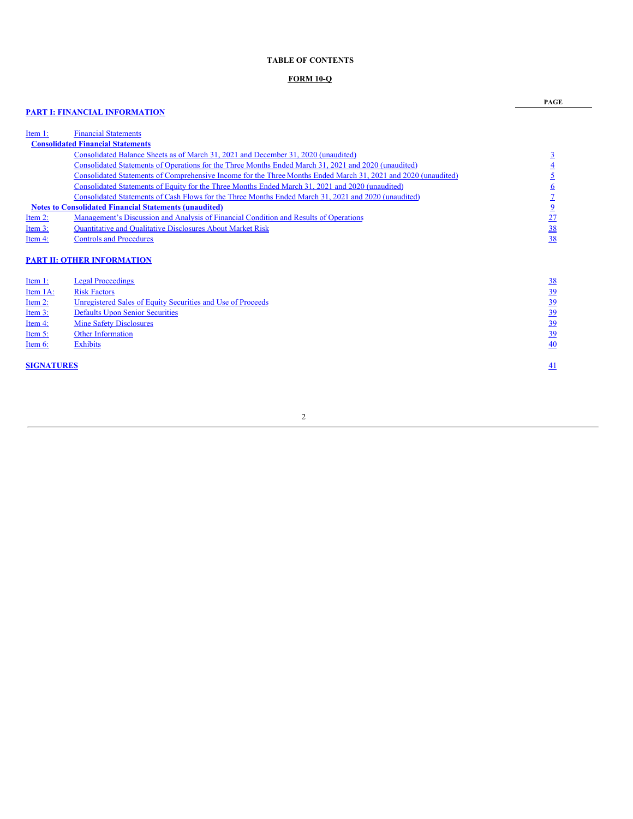# **TABLE OF CONTENTS**

# **FORM 10-Q**

# **PART I: FINANCIAL [INFORMATION](#page-1-0)**

**PAGE**

### **[Item](#page-2-0) 1:** Financial [Statements](#page-2-0) **[Consolidated](#page-2-1) Financial Statements**

<span id="page-1-0"></span>

|                   | Consolidated Balance Sheets as of March 31, 2021 and December 31, 2020 (unaudited)                             | <u>3</u>        |
|-------------------|----------------------------------------------------------------------------------------------------------------|-----------------|
|                   | Consolidated Statements of Operations for the Three Months Ended March 31, 2021 and 2020 (unaudited)           |                 |
|                   |                                                                                                                |                 |
|                   | Consolidated Statements of Comprehensive Income for the Three Months Ended March 31, 2021 and 2020 (unaudited) |                 |
|                   | Consolidated Statements of Equity for the Three Months Ended March 31, 2021 and 2020 (unaudited)               | <u>6</u>        |
|                   | Consolidated Statements of Cash Flows for the Three Months Ended March 31, 2021 and 2020 (unaudited)           | $\overline{1}$  |
|                   | <b>Notes to Consolidated Financial Statements (unaudited)</b>                                                  | $\overline{2}$  |
| Item $2$ :        | Management's Discussion and Analysis of Financial Condition and Results of Operations                          | $\overline{27}$ |
| Item $3$ :        | <b>Quantitative and Qualitative Disclosures About Market Risk</b>                                              | 38              |
| Item 4:           | <b>Controls and Procedures</b>                                                                                 | 38              |
|                   | <b>PART II: OTHER INFORMATION</b>                                                                              |                 |
| Item 1:           | <b>Legal Proceedings</b>                                                                                       | 38              |
| Item 1A:          | <b>Risk Factors</b>                                                                                            | 39              |
| Item $2$ :        | Unregistered Sales of Equity Securities and Use of Proceeds                                                    | 39              |
| Item $3$ :        | <b>Defaults Upon Senior Securities</b>                                                                         | 39              |
| Item $4$ :        | <b>Mine Safety Disclosures</b>                                                                                 | 39              |
| Item $5$ :        | <b>Other Information</b>                                                                                       | 39              |
| Item $6$ :        | <b>Exhibits</b>                                                                                                | 40              |
| <b>SIGNATURES</b> |                                                                                                                | 41              |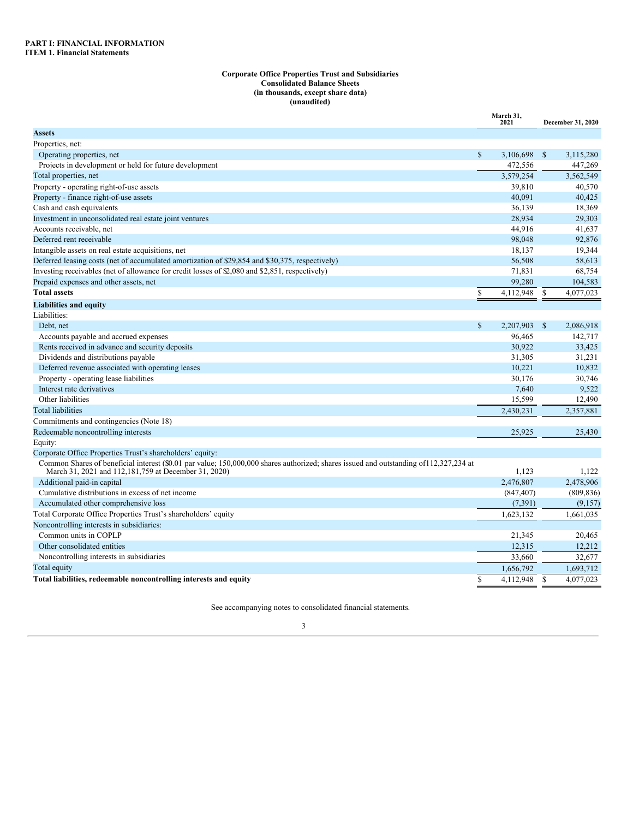#### **Corporate Office Properties Trust and Subsidiaries Consolidated Balance Sheets (in thousands, except share data) (unaudited)**

<span id="page-2-2"></span><span id="page-2-1"></span><span id="page-2-0"></span>

| March 31,<br>2021                                                                                                                                                                                |               | <b>December 31, 2020</b> |               |            |
|--------------------------------------------------------------------------------------------------------------------------------------------------------------------------------------------------|---------------|--------------------------|---------------|------------|
| <b>Assets</b>                                                                                                                                                                                    |               |                          |               |            |
| Properties, net:                                                                                                                                                                                 |               |                          |               |            |
| Operating properties, net                                                                                                                                                                        | $\mathbf{s}$  | 3,106,698                | $\mathbb{S}$  | 3,115,280  |
| Projects in development or held for future development                                                                                                                                           |               | 472,556                  |               | 447,269    |
| Total properties, net                                                                                                                                                                            |               | 3,579,254                |               | 3,562,549  |
| Property - operating right-of-use assets                                                                                                                                                         |               | 39,810                   |               | 40,570     |
| Property - finance right-of-use assets                                                                                                                                                           |               | 40,091                   |               | 40,425     |
| Cash and cash equivalents                                                                                                                                                                        |               | 36,139                   |               | 18,369     |
| Investment in unconsolidated real estate joint ventures                                                                                                                                          |               | 28,934                   |               | 29,303     |
| Accounts receivable, net                                                                                                                                                                         |               | 44,916                   |               | 41,637     |
| Deferred rent receivable                                                                                                                                                                         |               | 98,048                   |               | 92,876     |
| Intangible assets on real estate acquisitions, net                                                                                                                                               |               | 18,137                   |               | 19,344     |
| Deferred leasing costs (net of accumulated amortization of \$29,854 and \$30,375, respectively)                                                                                                  |               | 56,508                   |               | 58,613     |
| Investing receivables (net of allowance for credit losses of $\mathfrak{D},080$ and $\$2,851$ , respectively)                                                                                    |               | 71,831                   |               | 68,754     |
| Prepaid expenses and other assets, net                                                                                                                                                           |               | 99,280                   |               | 104,583    |
| <b>Total assets</b>                                                                                                                                                                              | $\mathbf S$   | 4,112,948                | <sup>\$</sup> | 4,077,023  |
| <b>Liabilities and equity</b>                                                                                                                                                                    |               |                          |               |            |
| Liabilities:                                                                                                                                                                                     |               |                          |               |            |
| Debt, net                                                                                                                                                                                        | $\mathcal{S}$ | 2,207,903                | $\mathbb{S}$  | 2,086,918  |
| Accounts payable and accrued expenses                                                                                                                                                            |               | 96,465                   |               | 142,717    |
| Rents received in advance and security deposits                                                                                                                                                  |               | 30,922                   |               | 33,425     |
| Dividends and distributions payable                                                                                                                                                              |               | 31,305                   |               | 31,231     |
| Deferred revenue associated with operating leases                                                                                                                                                |               | 10,221                   |               | 10,832     |
| Property - operating lease liabilities                                                                                                                                                           |               | 30,176                   |               | 30,746     |
| Interest rate derivatives                                                                                                                                                                        |               | 7,640                    |               | 9,522      |
| Other liabilities                                                                                                                                                                                |               | 15,599                   |               | 12,490     |
| <b>Total liabilities</b>                                                                                                                                                                         |               | 2,430,231                |               | 2,357,881  |
| Commitments and contingencies (Note 18)                                                                                                                                                          |               |                          |               |            |
| Redeemable noncontrolling interests                                                                                                                                                              |               | 25,925                   |               | 25,430     |
| Equity:                                                                                                                                                                                          |               |                          |               |            |
| Corporate Office Properties Trust's shareholders' equity:                                                                                                                                        |               |                          |               |            |
| Common Shares of beneficial interest (\$0.01 par value; 150,000,000 shares authorized; shares issued and outstanding of 112,327,234 at<br>March 31, 2021 and 112, 181, 759 at December 31, 2020) |               | 1,123                    |               | 1,122      |
| Additional paid-in capital                                                                                                                                                                       |               | 2,476,807                |               | 2,478,906  |
| Cumulative distributions in excess of net income                                                                                                                                                 |               | (847, 407)               |               | (809, 836) |
| Accumulated other comprehensive loss                                                                                                                                                             |               | (7, 391)                 |               | (9,157)    |
| Total Corporate Office Properties Trust's shareholders' equity                                                                                                                                   |               | 1,623,132                |               | 1,661,035  |
| Noncontrolling interests in subsidiaries:                                                                                                                                                        |               |                          |               |            |
| Common units in COPLP                                                                                                                                                                            |               | 21,345                   |               | 20,465     |
| Other consolidated entities                                                                                                                                                                      |               | 12,315                   |               | 12,212     |
| Noncontrolling interests in subsidiaries                                                                                                                                                         |               | 33,660                   |               | 32,677     |
| Total equity                                                                                                                                                                                     |               | 1,656,792                |               | 1,693,712  |
| Total liabilities, redeemable noncontrolling interests and equity                                                                                                                                | $\mathbf S$   | 4.112.948                | <sup>\$</sup> | 4,077,023  |

<span id="page-2-3"></span>See accompanying notes to consolidated financial statements.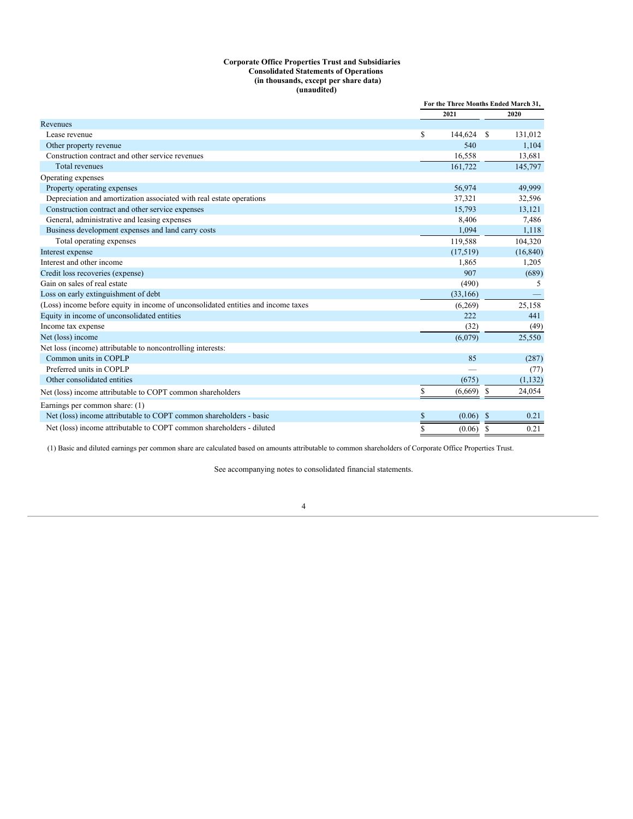# **Corporate Office Properties Trust and Subsidiaries Consolidated Statements of Operations (in thousands, except per share data) (unaudited)**

|                                                                                   | For the Three Months Ended March 31, |               |           |
|-----------------------------------------------------------------------------------|--------------------------------------|---------------|-----------|
|                                                                                   | 2021                                 |               | 2020      |
| Revenues                                                                          |                                      |               |           |
| Lease revenue                                                                     | S                                    | 144.624<br>-S | 131,012   |
| Other property revenue                                                            |                                      | 540           | 1.104     |
| Construction contract and other service revenues                                  |                                      | 16,558        | 13,681    |
| <b>Total revenues</b>                                                             |                                      | 161.722       | 145,797   |
| Operating expenses                                                                |                                      |               |           |
| Property operating expenses                                                       |                                      | 56,974        | 49,999    |
| Depreciation and amortization associated with real estate operations              |                                      | 37,321        | 32,596    |
| Construction contract and other service expenses                                  |                                      | 15,793        | 13,121    |
| General, administrative and leasing expenses                                      |                                      | 8,406         | 7,486     |
| Business development expenses and land carry costs                                |                                      | 1.094         | 1,118     |
| Total operating expenses                                                          |                                      | 119,588       | 104,320   |
| Interest expense                                                                  |                                      | (17, 519)     | (16, 840) |
| Interest and other income                                                         |                                      | 1,865         | 1,205     |
| Credit loss recoveries (expense)                                                  |                                      | 907           | (689)     |
| Gain on sales of real estate                                                      |                                      | (490)         | 5         |
| Loss on early extinguishment of debt                                              |                                      | (33, 166)     |           |
| (Loss) income before equity in income of unconsolidated entities and income taxes |                                      | (6,269)       | 25,158    |
| Equity in income of unconsolidated entities                                       |                                      | 222           | 441       |
| Income tax expense                                                                |                                      | (32)          | (49)      |
| Net (loss) income                                                                 |                                      | (6,079)       | 25,550    |
| Net loss (income) attributable to noncontrolling interests:                       |                                      |               |           |
| Common units in COPLP                                                             |                                      | 85            | (287)     |
| Preferred units in COPLP                                                          |                                      |               | (77)      |
| Other consolidated entities                                                       |                                      | (675)         | (1,132)   |
| Net (loss) income attributable to COPT common shareholders                        | S                                    | S<br>(6,669)  | 24,054    |
| Earnings per common share: (1)                                                    |                                      |               |           |
| Net (loss) income attributable to COPT common shareholders - basic                | \$                                   | (0.06)<br>\$  | 0.21      |
| Net (loss) income attributable to COPT common shareholders - diluted              | \$                                   | S<br>(0.06)   | 0.21      |

<span id="page-3-0"></span>(1) Basic and diluted earnings per common share are calculated based on amounts attributable to common shareholders of Corporate Office Properties Trust.

See accompanying notes to consolidated financial statements.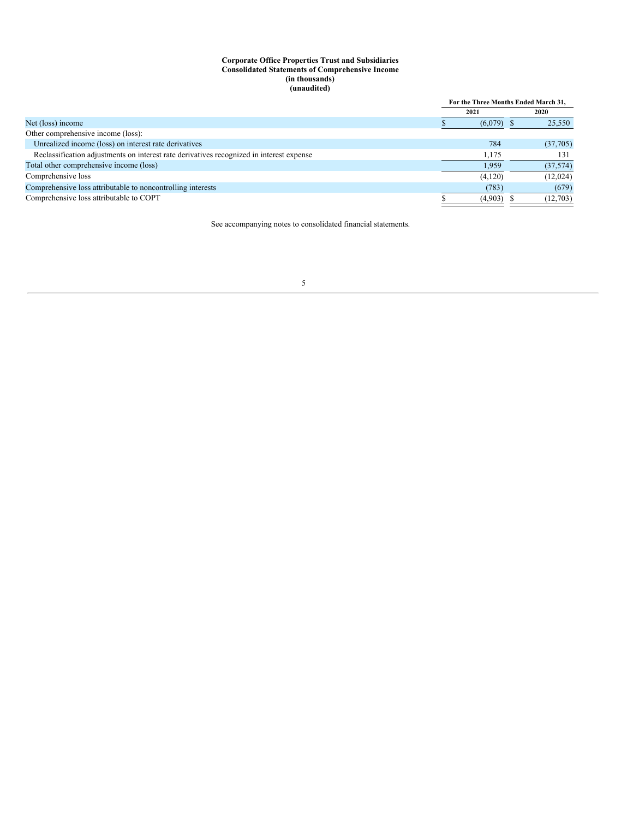#### **Corporate Office Properties Trust and Subsidiaries Consolidated Statements of Comprehensive Income (in thousands) (unaudited)**

<span id="page-4-0"></span>

|                                                                                          | For the Three Months Ended March 31, |  |           |
|------------------------------------------------------------------------------------------|--------------------------------------|--|-----------|
|                                                                                          | 2021                                 |  | 2020      |
| Net (loss) income                                                                        | $(6,079)$ \$                         |  | 25,550    |
| Other comprehensive income (loss):                                                       |                                      |  |           |
| Unrealized income (loss) on interest rate derivatives                                    | 784                                  |  | (37,705)  |
| Reclassification adjustments on interest rate derivatives recognized in interest expense | 1,175                                |  | 131       |
| Total other comprehensive income (loss)                                                  | 1,959                                |  | (37, 574) |
| Comprehensive loss                                                                       | (4,120)                              |  | (12,024)  |
| Comprehensive loss attributable to noncontrolling interests                              | (783)                                |  | (679)     |
| Comprehensive loss attributable to COPT                                                  | (4,903)                              |  | (12,703)  |
|                                                                                          |                                      |  |           |

See accompanying notes to consolidated financial statements.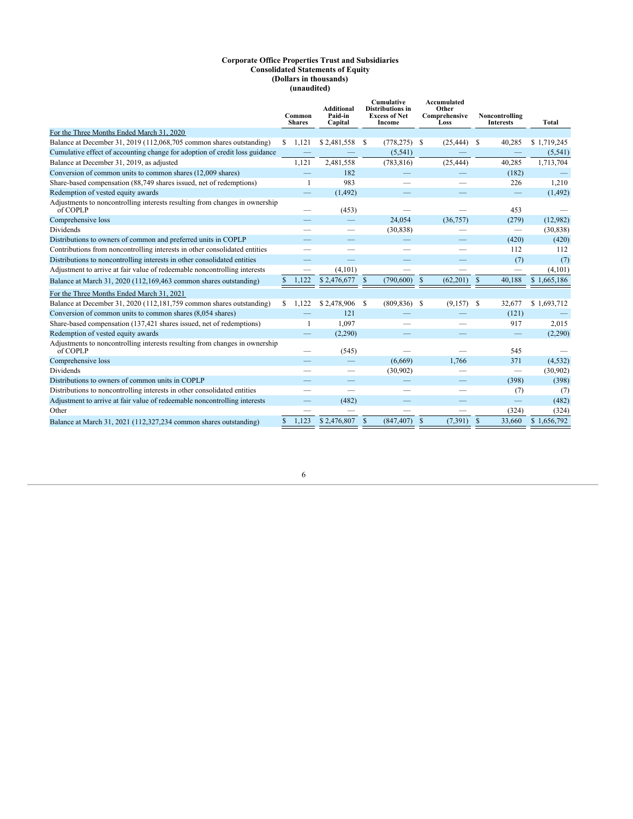#### **Corporate Office Properties Trust and Subsidiaries Consolidated Statements of Equity (Dollars in thousands) (unaudited)**

<span id="page-5-0"></span>

|                                                                                         |     | Common<br><b>Shares</b> | Additional<br>Paid-in<br>Capital |               | Cumulative<br><b>Distributions</b> in<br><b>Excess of Net</b><br>Income | Accumulated<br>Other<br>Comprehensive<br>Loss |           | Noncontrolling<br><b>Interests</b> | Total       |
|-----------------------------------------------------------------------------------------|-----|-------------------------|----------------------------------|---------------|-------------------------------------------------------------------------|-----------------------------------------------|-----------|------------------------------------|-------------|
| For the Three Months Ended March 31, 2020                                               |     |                         |                                  |               |                                                                         |                                               |           |                                    |             |
| Balance at December 31, 2019 (112,068,705 common shares outstanding)                    | \$. | 1,121                   | \$2,481,558                      | S             | (778, 275)                                                              | S                                             | (25, 444) | 40,285<br>S                        | \$1,719,245 |
| Cumulative effect of accounting change for adoption of credit loss guidance             |     |                         |                                  |               | (5, 541)                                                                |                                               |           |                                    | (5, 541)    |
| Balance at December 31, 2019, as adjusted                                               |     | 1,121                   | 2,481,558                        |               | (783, 816)                                                              |                                               | (25, 444) | 40,285                             | 1,713,704   |
| Conversion of common units to common shares (12,009 shares)                             |     |                         | 182                              |               |                                                                         |                                               |           | (182)                              |             |
| Share-based compensation (88,749 shares issued, net of redemptions)                     |     |                         | 983                              |               |                                                                         |                                               |           | 226                                | 1,210       |
| Redemption of vested equity awards                                                      |     |                         | (1, 492)                         |               |                                                                         |                                               |           |                                    | (1, 492)    |
| Adjustments to noncontrolling interests resulting from changes in ownership<br>of COPLP |     |                         | (453)                            |               |                                                                         |                                               |           | 453                                |             |
| Comprehensive loss                                                                      |     |                         |                                  |               | 24,054                                                                  |                                               | (36, 757) | (279)                              | (12,982)    |
| <b>Dividends</b>                                                                        |     |                         |                                  |               | (30, 838)                                                               |                                               |           | $\overline{\phantom{0}}$           | (30, 838)   |
| Distributions to owners of common and preferred units in COPLP                          |     |                         |                                  |               |                                                                         |                                               |           | (420)                              | (420)       |
| Contributions from noncontrolling interests in other consolidated entities              |     |                         |                                  |               |                                                                         |                                               |           | 112                                | 112         |
| Distributions to noncontrolling interests in other consolidated entities                |     |                         |                                  |               |                                                                         |                                               |           | (7)                                | (7)         |
| Adjustment to arrive at fair value of redeemable noncontrolling interests               |     |                         | (4,101)                          |               |                                                                         |                                               |           |                                    | (4,101)     |
| Balance at March 31, 2020 (112,169,463 common shares outstanding)                       |     | 1,122                   | \$2,476,677                      | <sup>\$</sup> | (790, 600)                                                              | $\mathbb{S}$                                  | (62,201)  | 40,188<br><sup>\$</sup>            | \$1,665,186 |
| For the Three Months Ended March 31, 2021                                               |     |                         |                                  |               |                                                                         |                                               |           |                                    |             |
| Balance at December 31, 2020 (112,181,759 common shares outstanding)                    | \$. | 1,122                   | \$2,478,906                      | \$            | (809, 836)                                                              | S                                             | (9,157)   | -S<br>32,677                       | \$1,693,712 |
| Conversion of common units to common shares (8,054 shares)                              |     |                         | 121                              |               |                                                                         |                                               |           | (121)                              |             |
| Share-based compensation (137,421 shares issued, net of redemptions)                    |     |                         | 1,097                            |               |                                                                         |                                               |           | 917                                | 2,015       |
| Redemption of vested equity awards                                                      |     |                         | (2,290)                          |               |                                                                         |                                               |           |                                    | (2,290)     |
| Adjustments to noncontrolling interests resulting from changes in ownership<br>of COPLP |     |                         | (545)                            |               |                                                                         |                                               |           | 545                                |             |
| Comprehensive loss                                                                      |     |                         |                                  |               | (6,669)                                                                 |                                               | 1,766     | 371                                | (4, 532)    |
| Dividends                                                                               |     |                         |                                  |               | (30,902)                                                                |                                               |           | $\overline{\phantom{0}}$           | (30,902)    |
| Distributions to owners of common units in COPLP                                        |     |                         |                                  |               |                                                                         |                                               |           | (398)                              | (398)       |
| Distributions to noncontrolling interests in other consolidated entities                |     |                         | $\overline{\phantom{a}}$         |               |                                                                         |                                               |           | (7)                                | (7)         |
| Adjustment to arrive at fair value of redeemable noncontrolling interests               |     |                         | (482)                            |               |                                                                         |                                               |           |                                    | (482)       |
| Other                                                                                   |     |                         |                                  |               |                                                                         |                                               |           | (324)                              | (324)       |
| Balance at March 31, 2021 (112,327,234 common shares outstanding)                       | \$  | 1,123                   | \$2,476,807                      | <sup>\$</sup> | (847, 407)                                                              | $\mathbb{S}$                                  | (7, 391)  | <sup>\$</sup><br>33,660            | \$1,656,792 |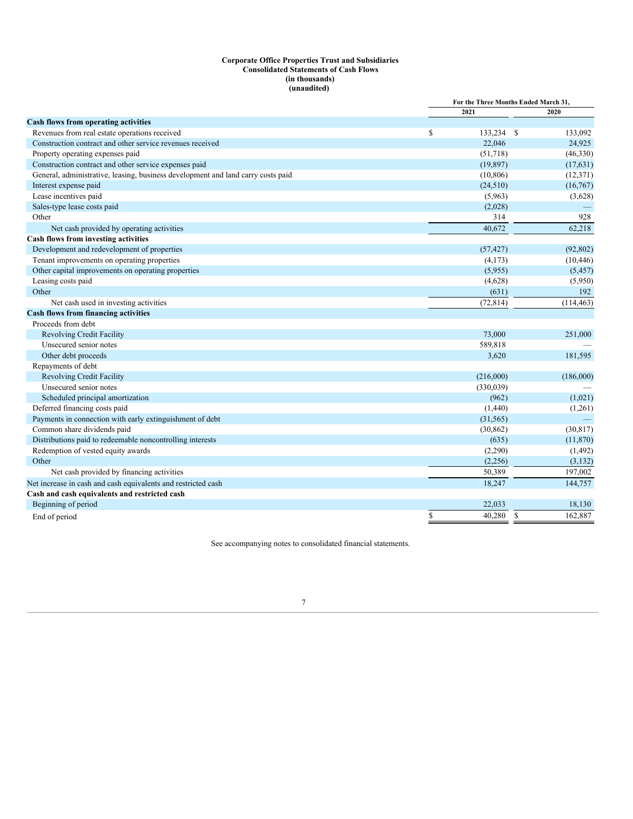#### **Corporate Office Properties Trust and Subsidiaries Consolidated Statements of Cash Flows (in thousands) (unaudited)**

|                                                                                  | For the Three Months Ended March 31, |    |            |
|----------------------------------------------------------------------------------|--------------------------------------|----|------------|
|                                                                                  | 2021                                 |    | 2020       |
| <b>Cash flows from operating activities</b>                                      |                                      |    |            |
| Revenues from real estate operations received                                    | \$<br>133,234                        | -S | 133,092    |
| Construction contract and other service revenues received                        | 22,046                               |    | 24,925     |
| Property operating expenses paid                                                 | (51,718)                             |    | (46, 330)  |
| Construction contract and other service expenses paid                            | (19, 897)                            |    | (17, 631)  |
| General, administrative, leasing, business development and land carry costs paid | (10, 806)                            |    | (12, 371)  |
| Interest expense paid                                                            | (24, 510)                            |    | (16, 767)  |
| Lease incentives paid                                                            | (5,963)                              |    | (3,628)    |
| Sales-type lease costs paid                                                      | (2,028)                              |    |            |
| Other                                                                            | 314                                  |    | 928        |
| Net cash provided by operating activities                                        | 40,672                               |    | 62.218     |
| Cash flows from investing activities                                             |                                      |    |            |
| Development and redevelopment of properties                                      | (57, 427)                            |    | (92, 802)  |
| Tenant improvements on operating properties                                      | (4,173)                              |    | (10, 446)  |
| Other capital improvements on operating properties                               | (5,955)                              |    | (5, 457)   |
| Leasing costs paid                                                               | (4,628)                              |    | (5,950)    |
| Other                                                                            | (631)                                |    | 192        |
| Net cash used in investing activities                                            | (72, 814)                            |    | (114, 463) |
| <b>Cash flows from financing activities</b>                                      |                                      |    |            |
| Proceeds from debt                                                               |                                      |    |            |
| <b>Revolving Credit Facility</b>                                                 | 73,000                               |    | 251,000    |
| Unsecured senior notes                                                           | 589,818                              |    |            |
| Other debt proceeds                                                              | 3,620                                |    | 181,595    |
| Repayments of debt                                                               |                                      |    |            |
| <b>Revolving Credit Facility</b>                                                 | (216,000)                            |    | (186,000)  |
| Unsecured senior notes                                                           | (330, 039)                           |    |            |
| Scheduled principal amortization                                                 | (962)                                |    | (1,021)    |
| Deferred financing costs paid                                                    | (1,440)                              |    | (1,261)    |
| Payments in connection with early extinguishment of debt                         | (31, 565)                            |    |            |
| Common share dividends paid                                                      | (30, 862)                            |    | (30, 817)  |
| Distributions paid to redeemable noncontrolling interests                        | (635)                                |    | (11, 870)  |
| Redemption of vested equity awards                                               | (2,290)                              |    | (1, 492)   |
| Other                                                                            | (2,256)                              |    | (3, 132)   |
| Net cash provided by financing activities                                        | 50,389                               |    | 197,002    |
| Net increase in cash and cash equivalents and restricted cash                    | 18,247                               |    | 144,757    |
| Cash and cash equivalents and restricted cash                                    |                                      |    |            |
| Beginning of period                                                              | 22.033                               |    | 18,130     |
| End of period                                                                    | \$<br>40,280                         | \$ | 162,887    |
|                                                                                  |                                      |    |            |

See accompanying notes to consolidated financial statements.

| I |  |  |
|---|--|--|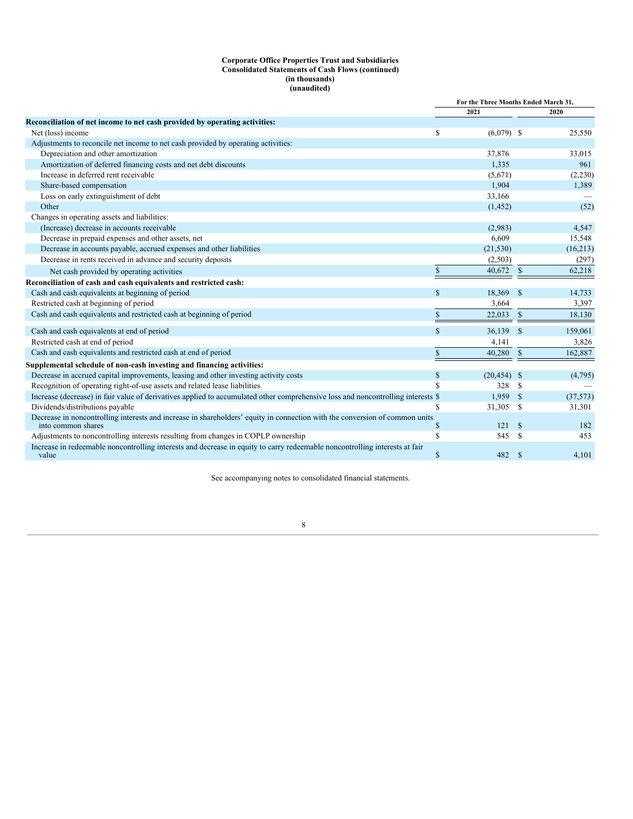#### **Corporate Office Properties Trust and Subsidiaries Consolidated Statements of Cash Flows (continued) (in thousands) (unaudited)**

|                                                                                                                                                   | For the Three Months Ended March 31, |                |               |           |
|---------------------------------------------------------------------------------------------------------------------------------------------------|--------------------------------------|----------------|---------------|-----------|
|                                                                                                                                                   |                                      | 2021           |               | 2020      |
| Reconciliation of net income to net cash provided by operating activities:                                                                        |                                      |                |               |           |
| Net (loss) income                                                                                                                                 | \$                                   | $(6,079)$ \$   |               | 25,550    |
| Adjustments to reconcile net income to net cash provided by operating activities:                                                                 |                                      |                |               |           |
| Depreciation and other amortization                                                                                                               |                                      | 37,876         |               | 33,015    |
| Amortization of deferred financing costs and net debt discounts                                                                                   |                                      | 1,335          |               | 961       |
| Increase in deferred rent receivable                                                                                                              |                                      | (5,671)        |               | (2,230)   |
| Share-based compensation                                                                                                                          |                                      | 1,904          |               | 1,389     |
| Loss on early extinguishment of debt                                                                                                              |                                      | 33,166         |               |           |
| Other                                                                                                                                             |                                      | (1, 452)       |               | (52)      |
| Changes in operating assets and liabilities:                                                                                                      |                                      |                |               |           |
| (Increase) decrease in accounts receivable                                                                                                        |                                      | (2,983)        |               | 4,547     |
| Decrease in prepaid expenses and other assets, net                                                                                                |                                      | 6,609          |               | 15,548    |
| Decrease in accounts payable, accrued expenses and other liabilities                                                                              |                                      | (21, 530)      |               | (16,213)  |
| Decrease in rents received in advance and security deposits                                                                                       |                                      | (2,503)        |               | (297)     |
| Net cash provided by operating activities                                                                                                         | \$                                   | $40,672$ \$    |               | 62,218    |
| Reconciliation of cash and cash equivalents and restricted cash:                                                                                  |                                      |                |               |           |
| Cash and cash equivalents at beginning of period                                                                                                  | S                                    | 18,369         | $^{\circ}$    | 14,733    |
| Restricted cash at beginning of period                                                                                                            |                                      | 3,664          |               | 3,397     |
| Cash and cash equivalents and restricted cash at beginning of period                                                                              | $\mathbb{S}$                         | 22,033         | $\mathbb{S}$  | 18,130    |
| Cash and cash equivalents at end of period                                                                                                        | $\mathbf{s}$                         | 36,139         | $^{\circ}$    | 159,061   |
| Restricted cash at end of period                                                                                                                  |                                      | 4,141          |               | 3,826     |
| Cash and cash equivalents and restricted cash at end of period                                                                                    | $\mathbf S$                          | 40,280         | <sup>\$</sup> | 162,887   |
| Supplemental schedule of non-cash investing and financing activities:                                                                             |                                      |                |               |           |
| Decrease in accrued capital improvements, leasing and other investing activity costs                                                              | $\mathbb{S}$                         | $(20, 454)$ \$ |               | (4,795)   |
| Recognition of operating right-of-use assets and related lease liabilities                                                                        | Ŝ.                                   | 328            | -S            |           |
| Increase (decrease) in fair value of derivatives applied to accumulated other comprehensive loss and noncontrolling interests \$                  |                                      | $1,959$ \$     |               | (37, 573) |
| Dividends/distributions payable                                                                                                                   | \$                                   | 31,305 \$      |               | 31,301    |
| Decrease in noncontrolling interests and increase in shareholders' equity in connection with the conversion of common units<br>into common shares | \$                                   | 121            | $\mathbf{s}$  | 182       |
| Adjustments to noncontrolling interests resulting from changes in COPLP ownership                                                                 | \$                                   | 545            | -S            | 453       |
| Increase in redeemable noncontrolling interests and decrease in equity to carry redeemable noncontrolling interests at fair<br>value              | \$                                   | 482            | $\mathcal{S}$ | 4,101     |
|                                                                                                                                                   |                                      |                |               |           |

<span id="page-7-0"></span>See accompanying notes to consolidated financial statements.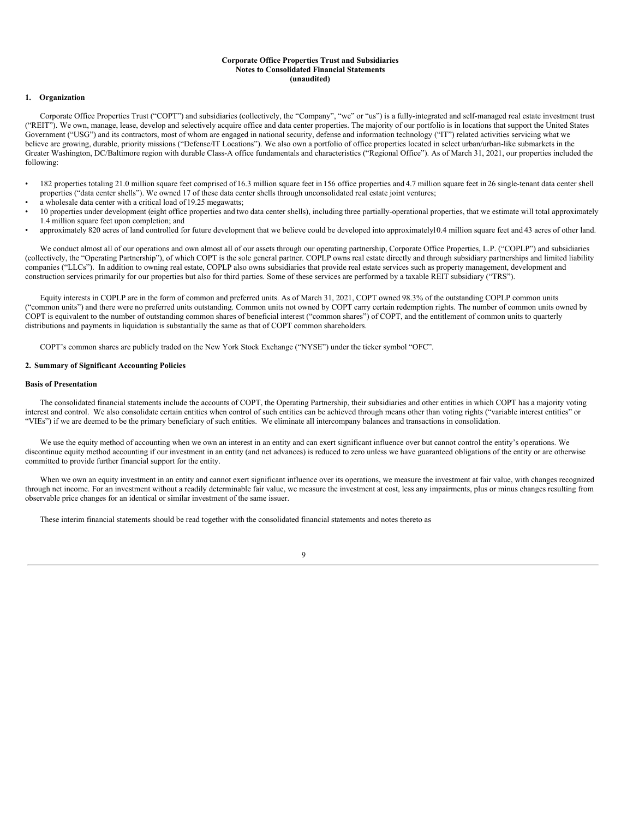#### **Corporate Office Properties Trust and Subsidiaries Notes to Consolidated Financial Statements (unaudited)**

#### **1. Organization**

Corporate Office Properties Trust ("COPT") and subsidiaries (collectively, the "Company", "we" or "us") is a fully-integrated and self-managed real estate investment trust ("REIT"). We own, manage, lease, develop and selectively acquire office and data center properties. The majority of our portfolio is in locations that support the United States Government ("USG") and its contractors, most of whom are engaged in national security, defense and information technology ("IT") related activities servicing what we believe are growing, durable, priority missions ("Defense/IT Locations"). We also own a portfolio of office properties located in select urban/urban-like submarkets in the Greater Washington, DC/Baltimore region with durable Class-A office fundamentals and characteristics ("Regional Office"). As of March 31, 2021, our properties included the following:

- 182 properties totaling 21.0 million square feet comprised of 16.3 million square feet in 156 office properties and 4.7 million square feet in 26 single-tenant data center shell properties ("data center shells"). We owned 17 of these data center shells through unconsolidated real estate joint ventures;
- a wholesale data center with a critical load of 19.25 megawatts;
- 10 properties under development (eight office properties and two data center shells), including three partially-operational properties, that we estimate will total approximately 1.4 million square feet upon completion; and
- approximately 820 acres of land controlled for future development that we believe could be developed into approximately10.4 million square feet and 43 acres of other land.

We conduct almost all of our operations and own almost all of our assets through our operating partnership, Corporate Office Properties, L.P. ("COPLP") and subsidiaries (collectively, the "Operating Partnership"), of which COPT is the sole general partner. COPLP owns real estate directly and through subsidiary partnerships and limited liability companies ("LLCs"). In addition to owning real estate, COPLP also owns subsidiaries that provide real estate services such as property management, development and construction services primarily for our properties but also for third parties. Some of these services are performed by a taxable REIT subsidiary ("TRS").

Equity interests in COPLP are in the form of common and preferred units. As of March 31, 2021, COPT owned 98.3% of the outstanding COPLP common units ("common units") and there were no preferred units outstanding. Common units not owned by COPT carry certain redemption rights. The number of common units owned by COPT is equivalent to the number of outstanding common shares of beneficial interest ("common shares") of COPT, and the entitlement of common units to quarterly distributions and payments in liquidation is substantially the same as that of COPT common shareholders.

COPT's common shares are publicly traded on the New York Stock Exchange ("NYSE") under the ticker symbol "OFC".

#### **2. Summary of Significant Accounting Policies**

#### **Basis of Presentation**

The consolidated financial statements include the accounts of COPT, the Operating Partnership, their subsidiaries and other entities in which COPT has a majority voting interest and control. We also consolidate certain entities when control of such entities can be achieved through means other than voting rights ("variable interest entities" or "VIEs") if we are deemed to be the primary beneficiary of such entities. We eliminate all intercompany balances and transactions in consolidation.

We use the equity method of accounting when we own an interest in an entity and can exert significant influence over but cannot control the entity's operations. We discontinue equity method accounting if our investment in an entity (and net advances) is reduced to zero unless we have guaranteed obligations of the entity or are otherwise committed to provide further financial support for the entity.

When we own an equity investment in an entity and cannot exert significant influence over its operations, we measure the investment at fair value, with changes recognized through net income. For an investment without a readily determinable fair value, we measure the investment at cost, less any impairments, plus or minus changes resulting from observable price changes for an identical or similar investment of the same issuer.

These interim financial statements should be read together with the consolidated financial statements and notes thereto as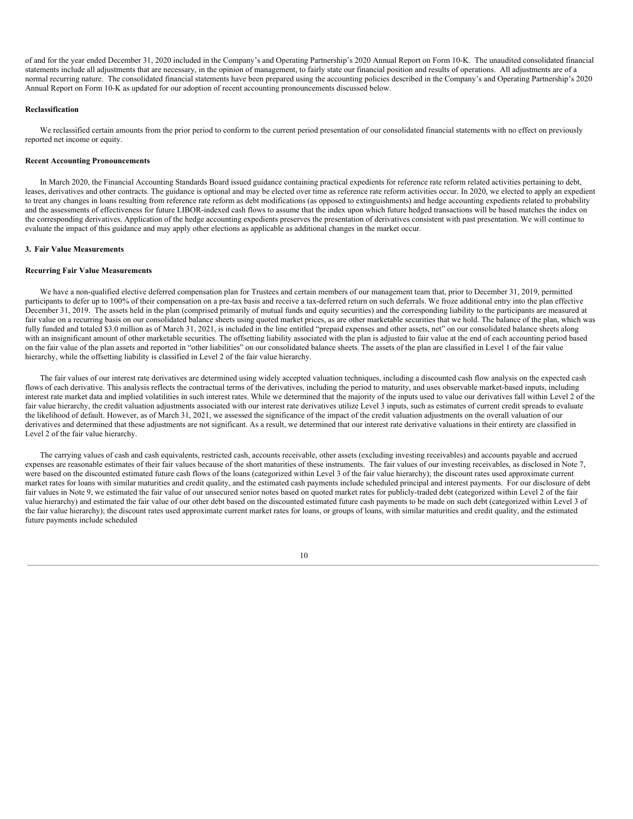of and for the year ended December 31, 2020 included in the Company's and Operating Partnership's 2020 Annual Report on Form 10-K. The unaudited consolidated financial statements include all adjustments that are necessary, in the opinion of management, to fairly state our financial position and results of operations. All adjustments are of a normal recurring nature. The consolidated financial statements have been prepared using the accounting policies described in the Company's and Operating Partnership's 2020 Annual Report on Form 10-K as updated for our adoption of recent accounting pronouncements discussed below.

# **Reclassification**

We reclassified certain amounts from the prior period to conform to the current period presentation of our consolidated financial statements with no effect on previously reported net income or equity.

### **Recent Accounting Pronouncements**

In March 2020, the Financial Accounting Standards Board issued guidance containing practical expedients for reference rate reform related activities pertaining to debt, leases, derivatives and other contracts. The guidance is optional and may be elected over time as reference rate reform activities occur. In 2020, we elected to apply an expedient to treat any changes in loans resulting from reference rate reform as debt modifications (as opposed to extinguishments) and hedge accounting expedients related to probability and the assessments of effectiveness for future LIBOR-indexed cash flows to assume that the index upon which future hedged transactions will be based matches the index on the corresponding derivatives. Application of the hedge accounting expedients preserves the presentation of derivatives consistent with past presentation. We will continue to evaluate the impact of this guidance and may apply other elections as applicable as additional changes in the market occur.

### **3. Fair Value Measurements**

#### **Recurring Fair Value Measurements**

We have a non-qualified elective deferred compensation plan for Trustees and certain members of our management team that, prior to December 31, 2019, permitted participants to defer up to 100% of their compensation on a pre-tax basis and receive a tax-deferred return on such deferrals. We froze additional entry into the plan effective December 31, 2019. The assets held in the plan (comprised primarily of mutual funds and equity securities) and the corresponding liability to the participants are measured at fair value on a recurring basis on our consolidated balance sheets using quoted market prices, as are other marketable securities that we hold. The balance of the plan, which was fully funded and totaled \$3.0 million as of March 31, 2021, is included in the line entitled "prepaid expenses and other assets, net" on our consolidated balance sheets along with an insignificant amount of other marketable securities. The offsetting liability associated with the plan is adjusted to fair value at the end of each accounting period based on the fair value of the plan assets and reported in "other liabilities" on our consolidated balance sheets. The assets of the plan are classified in Level 1 of the fair value hierarchy, while the offsetting liability is classified in Level 2 of the fair value hierarchy.

The fair values of our interest rate derivatives are determined using widely accepted valuation techniques, including a discounted cash flow analysis on the expected cash flows of each derivative. This analysis reflects the contractual terms of the derivatives, including the period to maturity, and uses observable market-based inputs, including interest rate market data and implied volatilities in such interest rates. While we determined that the majority of the inputs used to value our derivatives fall within Level 2 of the fair value hierarchy, the credit valuation adjustments associated with our interest rate derivatives utilize Level 3 inputs, such as estimates of current credit spreads to evaluate the likelihood of default. However, as of March 31, 2021, we assessed the significance of the impact of the credit valuation adjustments on the overall valuation of our derivatives and determined that these adjustments are not significant. As a result, we determined that our interest rate derivative valuations in their entirety are classified in Level 2 of the fair value hierarchy.

The carrying values of cash and cash equivalents, restricted cash, accounts receivable, other assets (excluding investing receivables) and accounts payable and accrued expenses are reasonable estimates of their fair values because of the short maturities of these instruments. The fair values of our investing receivables, as disclosed in Note 7, were based on the discounted estimated future cash flows of the loans (categorized within Level 3 of the fair value hierarchy); the discount rates used approximate current market rates for loans with similar maturities and credit quality, and the estimated cash payments include scheduled principal and interest payments. For our disclosure of debt fair values in Note 9, we estimated the fair value of our unsecured senior notes based on quoted market rates for publicly-traded debt (categorized within Level 2 of the fair value hierarchy) and estimated the fair value of our other debt based on the discounted estimated future cash payments to be made on such debt (categorized within Level 3 of the fair value hierarchy); the discount rates used approximate current market rates for loans, or groups of loans, with similar maturities and credit quality, and the estimated future payments include scheduled

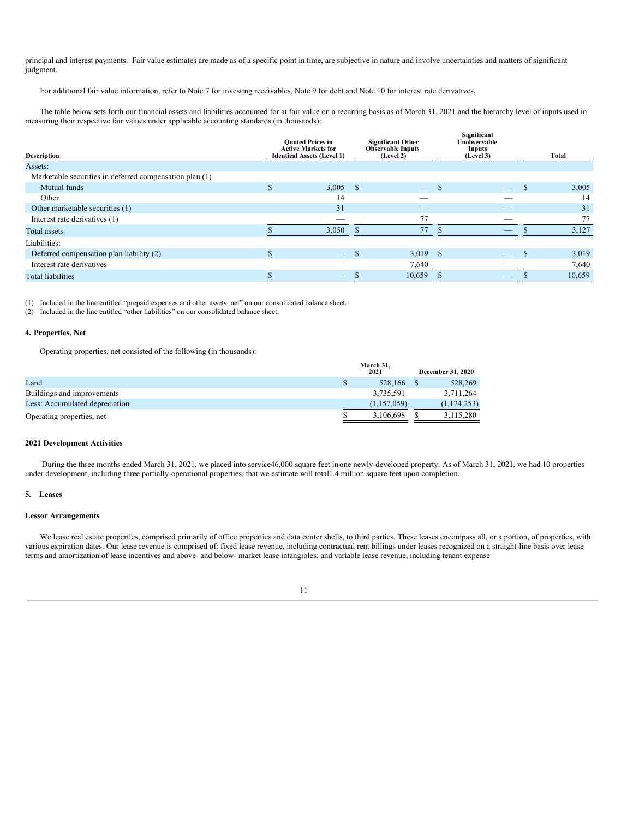principal and interest payments. Fair value estimates are made as of a specific point in time, are subjective in nature and involve uncertainties and matters of significant judgment.

For additional fair value information, refer to Note 7 for investing receivables, Note 9 for debt and Note 10 for interest rate derivatives.

The table below sets forth our financial assets and liabilities accounted for at fair value on a recurring basis as of March 31, 2021 and the hierarchy level of inputs used in measuring their respective fair values under applicable accounting standards (in thousands):

| <b>Description</b>                                      | <b>Ouoted Prices in</b><br><b>Active Markets for</b><br><b>Identical Assets (Level 1)</b> |      | <b>Significant Other</b><br><b>Observable Inputs</b><br>(Level 2) |      | Significant<br>Unobservable<br>Inputs<br>(Level 3) |          | Total  |
|---------------------------------------------------------|-------------------------------------------------------------------------------------------|------|-------------------------------------------------------------------|------|----------------------------------------------------|----------|--------|
| Assets:                                                 |                                                                                           |      |                                                                   |      |                                                    |          |        |
| Marketable securities in deferred compensation plan (1) |                                                                                           |      |                                                                   |      |                                                    |          |        |
| Mutual funds                                            | \$<br>3,005                                                                               | - \$ | $\overline{\phantom{m}}$                                          | S    |                                                    | <b>S</b> | 3,005  |
| Other                                                   | 14                                                                                        |      | --                                                                |      |                                                    |          | 14     |
| Other marketable securities (1)                         | 31                                                                                        |      | $-$                                                               |      |                                                    |          | 31     |
| Interest rate derivatives (1)                           |                                                                                           |      | 77                                                                |      |                                                    |          | 77     |
| Total assets                                            | 3,050                                                                                     |      | 77                                                                |      |                                                    |          | 3,127  |
| Liabilities:                                            |                                                                                           |      |                                                                   |      |                                                    |          |        |
| Deferred compensation plan liability (2)                | \$                                                                                        |      | 3,019                                                             | - \$ |                                                    |          | 3,019  |
| Interest rate derivatives                               |                                                                                           |      | 7,640                                                             |      |                                                    |          | 7,640  |
| <b>Total liabilities</b>                                | _                                                                                         |      | 10,659                                                            |      |                                                    |          | 10,659 |

(1) Included in the line entitled "prepaid expenses and other assets, net" on our consolidated balance sheet.

(2) Included in the line entitled "other liabilities" on our consolidated balance sheet.

#### **4. Properties, Net**

Operating properties, net consisted of the following (in thousands):

|                                |   | March 31.<br>2021 | <b>December 31, 2020</b> |
|--------------------------------|---|-------------------|--------------------------|
| Land                           | S | 528,166           | 528,269                  |
| Buildings and improvements     |   | 3.735.591         | 3,711,264                |
| Less: Accumulated depreciation |   | (1,157,059)       | (1, 124, 253)            |
| Operating properties, net      |   | 3.106.698         | 3,115,280                |

# **2021 Development Activities**

During the three months ended March 31, 2021, we placed into service46,000 square feet in one newly-developed property. As of March 31, 2021, we had 10 properties under development, including three partially-operational properties, that we estimate will total1.4 million square feet upon completion.

#### **5. Leases**

#### **Lessor Arrangements**

We lease real estate properties, comprised primarily of office properties and data center shells, to third parties. These leases encompass all, or a portion, of properties, with various expiration dates. Our lease revenue is comprised of: fixed lease revenue, including contractual rent billings under leases recognized on a straight-line basis over lease terms and amortization of lease incentives and above- and below- market lease intangibles; and variable lease revenue, including tenant expense

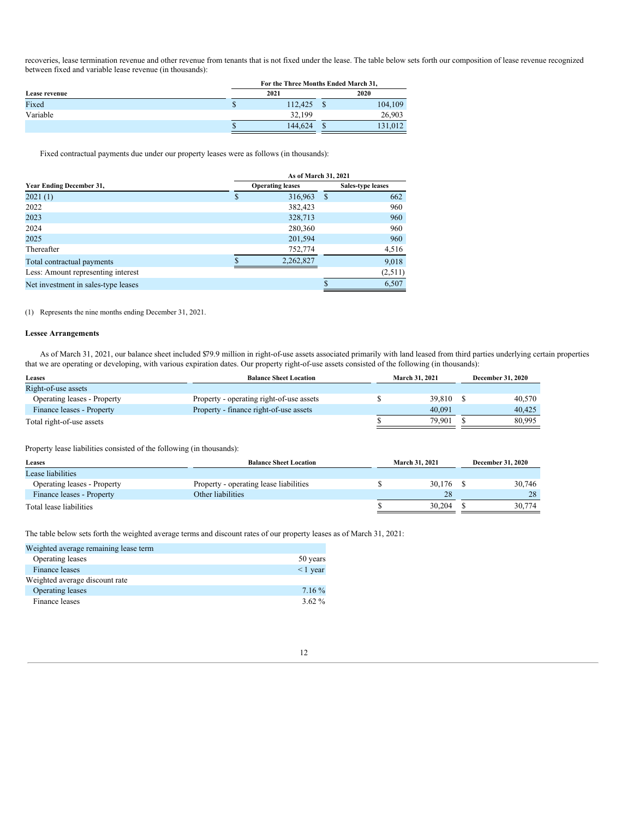recoveries, lease termination revenue and other revenue from tenants that is not fixed under the lease. The table below sets forth our composition of lease revenue recognized between fixed and variable lease revenue (in thousands):

|               |   | For the Three Months Ended March 31, |         |  |  |  |
|---------------|---|--------------------------------------|---------|--|--|--|
| Lease revenue |   | 2021                                 | 2020    |  |  |  |
| Fixed         | Φ | 112.425                              | 104,109 |  |  |  |
| Variable      |   | 32.199                               | 26,903  |  |  |  |
|               |   | 144.624                              | 131.012 |  |  |  |

Fixed contractual payments due under our property leases were as follows (in thousands):

|                                     | As of March 31, 2021 |                         |   |                   |  |  |  |  |
|-------------------------------------|----------------------|-------------------------|---|-------------------|--|--|--|--|
| <b>Year Ending December 31,</b>     |                      | <b>Operating leases</b> |   | Sales-type leases |  |  |  |  |
| 2021(1)                             | S                    | 316,963                 | S | 662               |  |  |  |  |
| 2022                                |                      | 382,423                 |   | 960               |  |  |  |  |
| 2023                                |                      | 328,713                 |   | 960               |  |  |  |  |
| 2024                                |                      | 280,360                 |   | 960               |  |  |  |  |
| 2025                                |                      | 201,594                 |   | 960               |  |  |  |  |
| Thereafter                          |                      | 752,774                 |   | 4,516             |  |  |  |  |
| Total contractual payments          |                      | 2,262,827               |   | 9,018             |  |  |  |  |
| Less: Amount representing interest  |                      |                         |   | (2,511)           |  |  |  |  |
| Net investment in sales-type leases |                      |                         |   | 6,507             |  |  |  |  |

(1) Represents the nine months ending December 31, 2021.

# **Lessee Arrangements**

As of March 31, 2021, our balance sheet included \$79.9 million in right-of-use assets associated primarily with land leased from third parties underlying certain properties that we are operating or developing, with various expiration dates. Our property right-of-use assets consisted of the following (in thousands):

| <b>Leases</b>                      | <b>Balance Sheet Location</b>            | March 31, 2021 | <b>December 31, 2020</b> |        |  |
|------------------------------------|------------------------------------------|----------------|--------------------------|--------|--|
| Right-of-use assets                |                                          |                |                          |        |  |
| <b>Operating leases - Property</b> | Property - operating right-of-use assets | 39.810 \$      |                          | 40.570 |  |
| Finance leases - Property          | Property - finance right-of-use assets   | 40,091         |                          | 40.425 |  |
| Total right-of-use assets          |                                          | 79.901         |                          | 80.995 |  |

Property lease liabilities consisted of the following (in thousands):

| <b>Leases</b>               | <b>Balance Sheet Location</b>          | <b>March 31, 2021</b> | <b>December 31, 2020</b> |        |  |
|-----------------------------|----------------------------------------|-----------------------|--------------------------|--------|--|
| Lease liabilities           |                                        |                       |                          |        |  |
| Operating leases - Property | Property - operating lease liabilities | 30.176                |                          | 30.746 |  |
| Finance leases - Property   | Other liabilities                      | 28                    |                          | 28     |  |
| Total lease liabilities     |                                        | 30.204                |                          | 30,774 |  |

The table below sets forth the weighted average terms and discount rates of our property leases as of March 31, 2021:

| Weighted average remaining lease term |               |
|---------------------------------------|---------------|
| Operating leases                      | 50 years      |
| Finance leases                        | $\leq 1$ year |
| Weighted average discount rate        |               |
| Operating leases                      | $7.16\%$      |
| Finance leases                        | $3.62\%$      |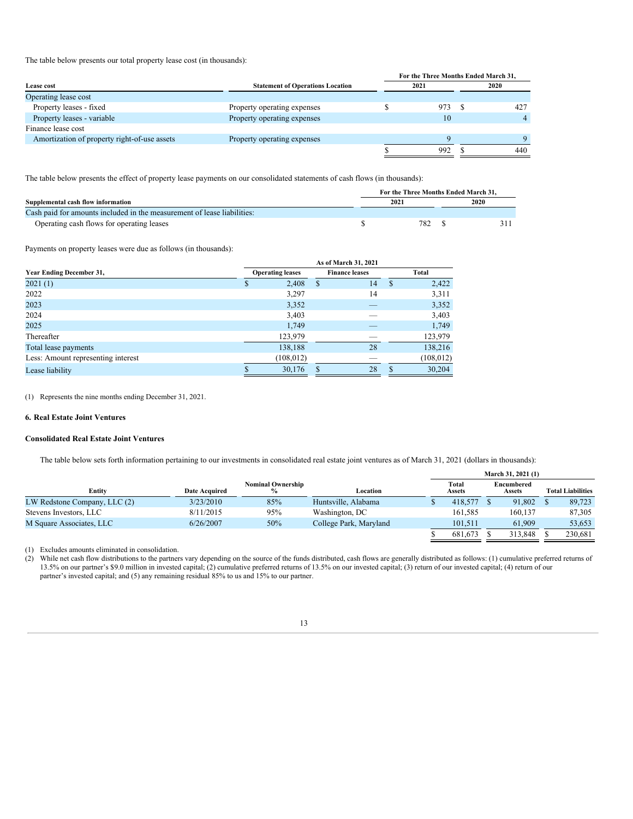The table below presents our total property lease cost (in thousands):

|                                              |                                         | For the Three Months Ended March 31, |      |     |  |  |  |
|----------------------------------------------|-----------------------------------------|--------------------------------------|------|-----|--|--|--|
| Lease cost                                   | <b>Statement of Operations Location</b> | 2021                                 | 2020 |     |  |  |  |
| Operating lease cost                         |                                         |                                      |      |     |  |  |  |
| Property leases - fixed                      | Property operating expenses             | 973                                  |      | 427 |  |  |  |
| Property leases - variable                   | Property operating expenses             | 10                                   |      |     |  |  |  |
| Finance lease cost                           |                                         |                                      |      |     |  |  |  |
| Amortization of property right-of-use assets | Property operating expenses             |                                      |      | Q   |  |  |  |
|                                              |                                         | 992                                  |      | 440 |  |  |  |

The table below presents the effect of property lease payments on our consolidated statements of cash flows (in thousands):

|                                                                         | For the Three Months Ended March 31. |      |  |      |  |
|-------------------------------------------------------------------------|--------------------------------------|------|--|------|--|
| Supplemental cash flow information                                      |                                      | 2021 |  | 2020 |  |
| Cash paid for amounts included in the measurement of lease liabilities: |                                      |      |  |      |  |
| Operating cash flows for operating leases                               |                                      | 782  |  |      |  |

Payments on property leases were due as follows (in thousands):

|                                    | As of March 31, 2021    |            |                       |       |   |            |  |  |  |  |
|------------------------------------|-------------------------|------------|-----------------------|-------|---|------------|--|--|--|--|
| Year Ending December 31,           | <b>Operating leases</b> |            | <b>Finance leases</b> | Total |   |            |  |  |  |  |
| 2021(1)                            | Ф                       | 2,408      | S                     | 14    | S | 2,422      |  |  |  |  |
| 2022                               |                         | 3,297      |                       | 14    |   | 3,311      |  |  |  |  |
| 2023                               |                         | 3,352      |                       | _     |   | 3,352      |  |  |  |  |
| 2024                               |                         | 3,403      |                       |       |   | 3,403      |  |  |  |  |
| 2025                               |                         | 1,749      |                       |       |   | 1,749      |  |  |  |  |
| Thereafter                         |                         | 123,979    |                       |       |   | 123,979    |  |  |  |  |
| Total lease payments               |                         | 138,188    |                       | 28    |   | 138,216    |  |  |  |  |
| Less: Amount representing interest |                         | (108, 012) |                       |       |   | (108, 012) |  |  |  |  |
| Lease liability                    |                         | 30,176     | S                     | 28    |   | 30,204     |  |  |  |  |

(1) Represents the nine months ending December 31, 2021.

# **6. Real Estate Joint Ventures**

### **Consolidated Real Estate Joint Ventures**

The table below sets forth information pertaining to our investments in consolidated real estate joint ventures as of March 31, 2021 (dollars in thousands):

|                              |                      |                          |                        | March 31, 2021 (1) |                               |  |                             |  |                          |  |
|------------------------------|----------------------|--------------------------|------------------------|--------------------|-------------------------------|--|-----------------------------|--|--------------------------|--|
| Entity                       | <b>Date Acquired</b> | <b>Nominal Ownership</b> | Location               |                    | <b>Total</b><br><b>Assets</b> |  | Encumbered<br><b>Assets</b> |  | <b>Total Liabilities</b> |  |
| LW Redstone Company, LLC (2) | 3/23/2010            | 85%                      | Huntsville, Alabama    |                    | 418,577                       |  | 91,802                      |  | 89,723                   |  |
| Stevens Investors, LLC       | 8/11/2015            | 95%                      | Washington, DC         |                    | 161.585                       |  | 160.137                     |  | 87,305                   |  |
| M Square Associates, LLC     | 6/26/2007            | 50%                      | College Park, Maryland |                    | 101.511                       |  | 61,909                      |  | 53,653                   |  |
|                              |                      |                          |                        |                    | 681.673                       |  | 313,848                     |  | 230.681                  |  |

(1) Excludes amounts eliminated in consolidation.

(2) While net cash flow distributions to the partners vary depending on the source of the funds distributed, cash flows are generally distributed as follows: (1) cumulative preferred returns of 13.5% on our partner's \$9.0 million in invested capital; (2) cumulative preferred returns of 13.5% on our invested capital; (3) return of our invested capital; (4) return of our partner's invested capital; and (5) any remaining residual 85% to us and 15% to our partner.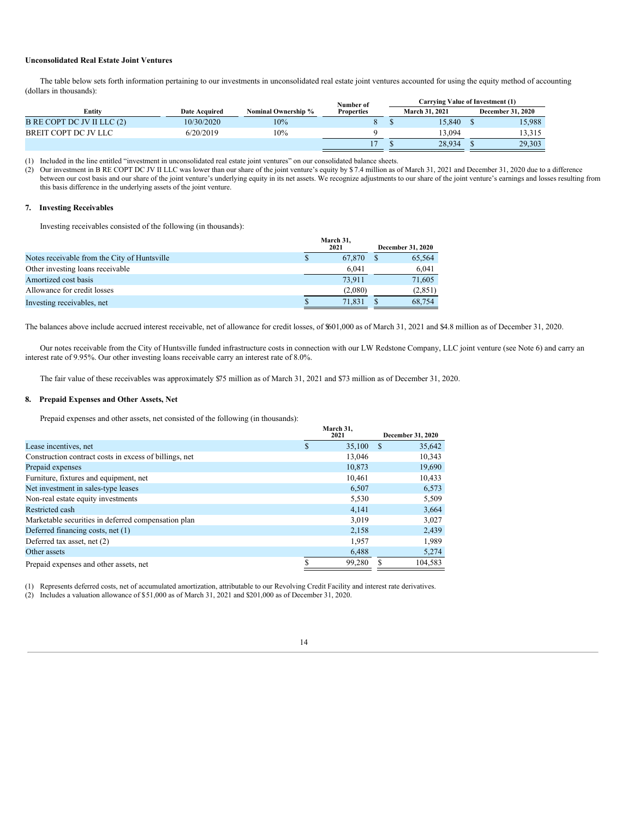# **Unconsolidated Real Estate Joint Ventures**

The table below sets forth information pertaining to our investments in unconsolidated real estate joint ventures accounted for using the equity method of accounting (dollars in thousands):

|                            |                      |                            | Number of         | <b>Carrying Value of Investment (1)</b> |  |                          |
|----------------------------|----------------------|----------------------------|-------------------|-----------------------------------------|--|--------------------------|
| Entity                     | <b>Date Acquired</b> | <b>Nominal Ownership %</b> | <b>Properties</b> | <b>March 31, 2021</b>                   |  | <b>December 31, 2020</b> |
| B RE COPT DC JV II LLC (2) | 10/30/2020           | 10%                        |                   | 15.840                                  |  | 15.988                   |
| BREIT COPT DC JV LLC       | 6/20/2019            | 10%                        |                   | 13.094                                  |  | 13.315                   |
|                            |                      |                            |                   | 28.934                                  |  | 29.303                   |

(1) Included in the line entitled "investment in unconsolidated real estate joint ventures" on our consolidated balance sheets.

(2) Our investment in B RE COPT DC JV II LLC was lower than our share of the joint venture's equity by \$7.4 million as of March 31, 2021 and December 31, 2020 due to a difference between our cost basis and our share of the joint venture's underlying equity in its net assets. We recognize adjustments to our share of the joint venture's earnings and losses resulting from this basis difference in the underlying assets of the joint venture.

# **7. Investing Receivables**

Investing receivables consisted of the following (in thousands):

|                                              |   | March 31,<br>2021 | <b>December 31, 2020</b> |
|----------------------------------------------|---|-------------------|--------------------------|
| Notes receivable from the City of Huntsville | S | 67.870            | 65,564                   |
| Other investing loans receivable             |   | 6.041             | 6,041                    |
| Amortized cost basis                         |   | 73.911            | 71,605                   |
| Allowance for credit losses                  |   | (2,080)           | (2, 851)                 |
| Investing receivables, net                   |   | 71.831            | 68,754                   |

The balances above include accrued interest receivable, net of allowance for credit losses, of \$601,000 as of March 31, 2021 and \$4.8 million as of December 31, 2020.

Our notes receivable from the City of Huntsville funded infrastructure costs in connection with our LW Redstone Company, LLC joint venture (see Note 6) and carry an interest rate of 9.95%. Our other investing loans receivable carry an interest rate of 8.0%.

The fair value of these receivables was approximately \$75 million as of March 31, 2021 and \$73 million as of December 31, 2020.

#### **8. Prepaid Expenses and Other Assets, Net**

Prepaid expenses and other assets, net consisted of the following (in thousands):

|                                                        | March 31.<br>2021 |    | December 31, 2020 |
|--------------------------------------------------------|-------------------|----|-------------------|
| Lease incentives, net                                  | \$<br>35,100      | -8 | 35,642            |
| Construction contract costs in excess of billings, net | 13,046            |    | 10,343            |
| Prepaid expenses                                       | 10,873            |    | 19,690            |
| Furniture, fixtures and equipment, net                 | 10.461            |    | 10,433            |
| Net investment in sales-type leases                    | 6,507             |    | 6,573             |
| Non-real estate equity investments                     | 5,530             |    | 5,509             |
| Restricted cash                                        | 4,141             |    | 3,664             |
| Marketable securities in deferred compensation plan    | 3,019             |    | 3,027             |
| Deferred financing costs, net (1)                      | 2,158             |    | 2,439             |
| Deferred tax asset, net (2)                            | 1,957             |    | 1,989             |
| Other assets                                           | 6,488             |    | 5,274             |
| Prepaid expenses and other assets, net                 | 99,280            |    | 104,583           |

(1) Represents deferred costs, net of accumulated amortization, attributable to our Revolving Credit Facility and interest rate derivatives.

(2) Includes a valuation allowance of \$51,000 as of March 31, 2021 and \$201,000 as of December 31, 2020.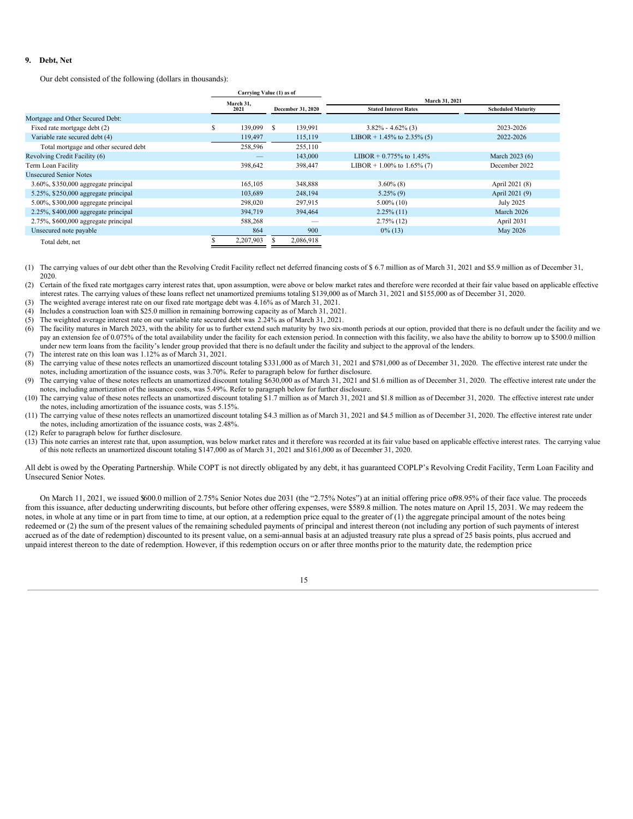## **9. Debt, Net**

Our debt consisted of the following (dollars in thousands):

|                                          | Carrying Value (1) as of |           |   |                   |                              |                           |
|------------------------------------------|--------------------------|-----------|---|-------------------|------------------------------|---------------------------|
|                                          |                          | March 31, |   |                   | March 31, 2021               |                           |
|                                          |                          | 2021      |   | December 31, 2020 | <b>Stated Interest Rates</b> | <b>Scheduled Maturity</b> |
| Mortgage and Other Secured Debt:         |                          |           |   |                   |                              |                           |
| Fixed rate mortgage debt (2)             | S                        | 139.099   | S | 139,991           | $3.82\% - 4.62\% (3)$        | 2023-2026                 |
| Variable rate secured debt (4)           |                          | 119,497   |   | 115,119           | LIBOR + 1.45% to 2.35% (5)   | 2022-2026                 |
| Total mortgage and other secured debt    |                          | 258,596   |   | 255,110           |                              |                           |
| Revolving Credit Facility (6)            |                          |           |   | 143,000           | LIBOR + 0.775% to 1.45%      | March 2023 (6)            |
| Term Loan Facility                       |                          | 398,642   |   | 398,447           | LIBOR + 1.00% to 1.65% (7)   | December 2022             |
| <b>Unsecured Senior Notes</b>            |                          |           |   |                   |                              |                           |
| $3.60\%$ , \$350,000 aggregate principal |                          | 165,105   |   | 348,888           | $3.60\%$ (8)                 | April 2021 (8)            |
| $5.25\%$ , \$250,000 aggregate principal |                          | 103,689   |   | 248,194           | $5.25\%$ (9)                 | April 2021 (9)            |
| 5.00%, \$300,000 aggregate principal     |                          | 298,020   |   | 297,915           | $5.00\%$ (10)                | July 2025                 |
| $2.25\%$ , \$400,000 aggregate principal |                          | 394,719   |   | 394,464           | $2.25\%$ (11)                | March 2026                |
| $2.75\%$ , \$600,000 aggregate principal |                          | 588,268   |   |                   | $2.75\%$ (12)                | April 2031                |
| Unsecured note payable                   |                          | 864       |   | 900               | $0\%$ (13)                   | May 2026                  |
| Total debt, net                          |                          | 2,207,903 |   | 2,086,918         |                              |                           |

(1) The carrying values of our debt other than the Revolving Credit Facility reflect net deferred financing costs of \$ 6.7 million as of March 31, 2021 and \$5.9 million as of December 31, 2020.

(2) Certain of the fixed rate mortgages carry interest rates that, upon assumption, were above or below market rates and therefore were recorded at their fair value based on applicable effective interest rates. The carrying values of these loans reflect net unamortized premiums totaling \$139,000 as of March 31, 2021 and \$155,000 as of December 31, 2020.

(3) The weighted average interest rate on our fixed rate mortgage debt was 4.16% as of March 31, 2021.

(4) Includes a construction loan with \$25.0 million in remaining borrowing capacity as of March 31, 2021.

(5) The weighted average interest rate on our variable rate secured debt was 2.24% as of March 31, 2021.

- (6) The facility matures in March 2023, with the ability for us to further extend such maturity by two six-month periods at our option, provided that there is no default under the facility and we pay an extension fee of 0.075% of the total availability under the facility for each extension period. In connection with this facility, we also have the ability to borrow up to \$500.0 million under new term loans from the facility's lender group provided that there is no default under the facility and subject to the approval of the lenders.
- (7) The interest rate on this loan was 1.12% as of March 31, 2021.

(8) The carrying value of these notes reflects an unamortized discount totaling \$331,000 as of March 31, 2021 and \$781,000 as of December 31, 2020. The effective interest rate under the notes, including amortization of the issuance costs, was 3.70%. Refer to paragraph below for further disclosure.

(9) The carrying value of these notes reflects an unamortized discount totaling \$630,000 as of March 31, 2021 and \$1.6 million as of December 31, 2020. The effective interest rate under the notes, including amortization of the issuance costs, was 5.49%. Refer to paragraph below for further disclosure.

(10) The carrying value of these notes reflects an unamortized discount totaling \$1.7 million as of March 31, 2021 and \$1.8 million as of December 31, 2020. The effective interest rate under the notes, including amortization of the issuance costs, was 5.15%.

(11) The carrying value of these notes reflects an unamortized discount totaling \$4.3 million as of March 31, 2021 and \$4.5 million as of December 31, 2020. The effective interest rate under the notes, including amortization of the issuance costs, was 2.48%.

(12) Refer to paragraph below for further disclosure.

(13) This note carries an interest rate that, upon assumption, was below market rates and it therefore was recorded at its fair value based on applicable effective interest rates. The carrying value of this note reflects an unamortized discount totaling \$147,000 as of March 31, 2021 and \$161,000 as of December 31, 2020.

All debt is owed by the Operating Partnership. While COPT is not directly obligated by any debt, it has guaranteed COPLP's Revolving Credit Facility, Term Loan Facility and Unsecured Senior Notes.

On March 11, 2021, we issued \$600.0 million of 2.75% Senior Notes due 2031 (the "2.75% Notes") at an initial offering price of98.95% of their face value. The proceeds from this issuance, after deducting underwriting discounts, but before other offering expenses, were \$589.8 million. The notes mature on April 15, 2031. We may redeem the notes, in whole at any time or in part from time to time, at our option, at a redemption price equal to the greater of (1) the aggregate principal amount of the notes being redeemed or (2) the sum of the present values of the remaining scheduled payments of principal and interest thereon (not including any portion of such payments of interest accrued as of the date of redemption) discounted to its present value, on a semi-annual basis at an adjusted treasury rate plus a spread of 25 basis points, plus accrued and unpaid interest thereon to the date of redemption. However, if this redemption occurs on or after three months prior to the maturity date, the redemption price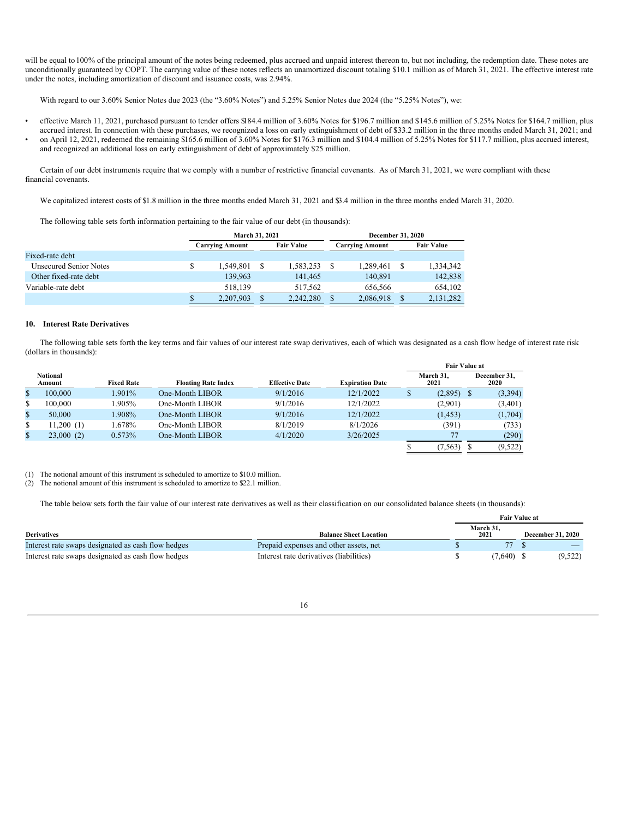will be equal to 100% of the principal amount of the notes being redeemed, plus accrued and unpaid interest thereon to, but not including, the redemption date. These notes are unconditionally guaranteed by COPT. The carrying value of these notes reflects an unamortized discount totaling \$10.1 million as of March 31, 2021. The effective interest rate under the notes, including amortization of discount and issuance costs, was 2.94%.

With regard to our 3.60% Senior Notes due 2023 (the "3.60% Notes") and 5.25% Senior Notes due 2024 (the "5.25% Notes"), we:

- effective March 11, 2021, purchased pursuant to tender offers \$184.4 million of 3.60% Notes for \$196.7 million and \$145.6 million of 5.25% Notes for \$164.7 million, plus accrued interest. In connection with these purchases, we recognized a loss on early extinguishment of debt of \$33.2 million in the three months ended March 31, 2021; and
- on April 12, 2021, redeemed the remaining \$165.6 million of 3.60% Notes for \$176.3 million and \$104.4 million of 5.25% Notes for \$117.7 million, plus accrued interest, and recognized an additional loss on early extinguishment of debt of approximately \$25 million.

Certain of our debt instruments require that we comply with a number of restrictive financial covenants. As of March 31, 2021, we were compliant with these financial covenants.

We capitalized interest costs of \$1.8 million in the three months ended March 31, 2021 and \$3.4 million in the three months ended March 31, 2020.

The following table sets forth information pertaining to the fair value of our debt (in thousands):

|                               |   | March 31, 2021         |                   | <b>December 31, 2020</b> |   |                   |
|-------------------------------|---|------------------------|-------------------|--------------------------|---|-------------------|
|                               |   | <b>Carrying Amount</b> | <b>Fair Value</b> | <b>Carrying Amount</b>   |   | <b>Fair Value</b> |
| Fixed-rate debt               |   |                        |                   |                          |   |                   |
| <b>Unsecured Senior Notes</b> |   | 1.549.801              | 1,583,253         | 1.289.461                | S | 1,334,342         |
| Other fixed-rate debt         |   | 139,963                | 141.465           | 140.891                  |   | 142,838           |
| Variable-rate debt            |   | 518.139                | 517.562           | 656.566                  |   | 654.102           |
|                               | S | 2,207,903              | 2,242,280         | 2,086,918                |   | 2, 131, 282       |

#### **10. Interest Rate Derivatives**

The following table sets forth the key terms and fair values of our interest rate swap derivatives, each of which was designated as a cash flow hedge of interest rate risk (dollars in thousands):

|                           |                   |                            |                       |                        |    | <b>Fair Value at</b> |                      |
|---------------------------|-------------------|----------------------------|-----------------------|------------------------|----|----------------------|----------------------|
| <b>Notional</b><br>Amount | <b>Fixed Rate</b> | <b>Floating Rate Index</b> | <b>Effective Date</b> | <b>Expiration Date</b> |    | March 31.<br>2021    | December 31.<br>2020 |
| \$<br>100,000             | 1.901%            | One-Month LIBOR            | 9/1/2016              | 12/1/2022              | ۰D | $(2,895)$ \$         | (3,394)              |
| \$<br>100,000             | 1.905%            | One-Month LIBOR            | 9/1/2016              | 12/1/2022              |    | (2,901)              | (3,401)              |
| \$<br>50,000              | 1.908%            | One-Month LIBOR            | 9/1/2016              | 12/1/2022              |    | (1, 453)             | (1,704)              |
| \$<br>11,200(1)           | 1.678%            | One-Month LIBOR            | 8/1/2019              | 8/1/2026               |    | (391)                | (733)                |
| \$<br>23,000(2)           | 0.573%            | One-Month LIBOR            | 4/1/2020              | 3/26/2025              |    | 77                   | (290)                |
|                           |                   |                            |                       |                        |    | (7, 563)             | (9,522)              |

(1) The notional amount of this instrument is scheduled to amortize to \$10.0 million.

(2) The notional amount of this instrument is scheduled to amortize to \$22.1 million.

The table below sets forth the fair value of our interest rate derivatives as well as their classification on our consolidated balance sheets (in thousands):

|                                                    |                                         |                   | <b>Fair Value at</b> |                          |
|----------------------------------------------------|-----------------------------------------|-------------------|----------------------|--------------------------|
| <b>Derivatives</b>                                 | <b>Balance Sheet Location</b>           | March 31.<br>2021 |                      | <b>December 31, 2020</b> |
| Interest rate swaps designated as cash flow hedges | Prepaid expenses and other assets, net  |                   |                      | __                       |
| Interest rate swaps designated as cash flow hedges | Interest rate derivatives (liabilities) | (7,640)           |                      | (9,522)                  |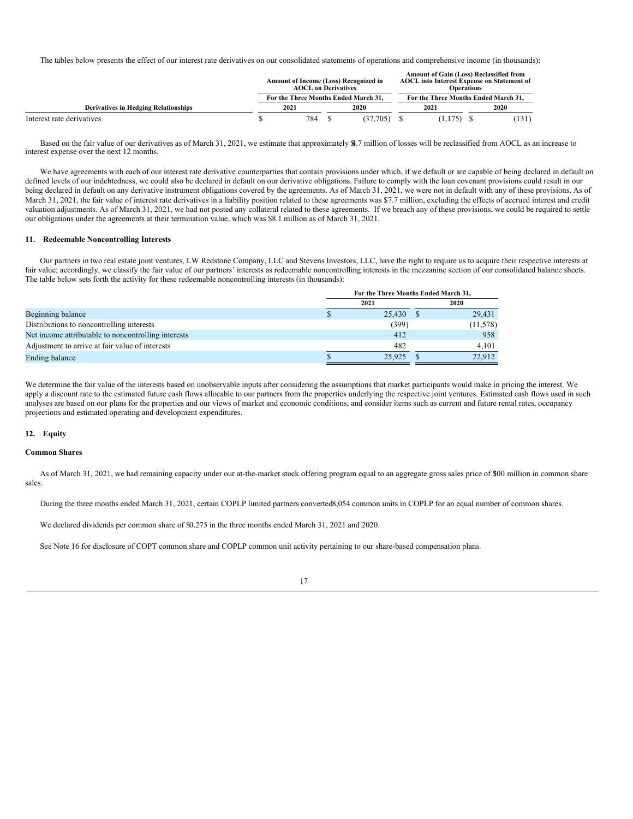The tables below presents the effect of our interest rate derivatives on our consolidated statements of operations and comprehensive income (in thousands):

|                                             | <b>AOCL</b> on Derivatives | Amount of Income (Loss) Recognized in | <b>Amount of Gain (Loss) Reclassified from</b><br><b>AOCL</b> into Interest Expense on Statement of | <b>Operations</b>                    |       |  |
|---------------------------------------------|----------------------------|---------------------------------------|-----------------------------------------------------------------------------------------------------|--------------------------------------|-------|--|
|                                             |                            | For the Three Months Ended March 31,  |                                                                                                     | For the Three Months Ended March 31. |       |  |
| <b>Derivatives in Hedging Relationships</b> | 2021                       | <b>2020</b>                           | 2021                                                                                                |                                      | 2020  |  |
| Interest rate derivatives                   | 784                        | (37.705)                              | $(1,175)$ \$                                                                                        |                                      | (131) |  |

Based on the fair value of our derivatives as of March 31, 2021, we estimate that approximately \$4.7 million of losses will be reclassified from AOCL as an increase to interest expense over the next 12 months.

We have agreements with each of our interest rate derivative counterparties that contain provisions under which, if we default or are capable of being declared in default on defined levels of our indebtedness, we could also be declared in default on our derivative obligations. Failure to comply with the loan covenant provisions could result in our being declared in default on any derivative instrument obligations covered by the agreements. As of March 31, 2021, we were not in default with any of these provisions. As of March 31, 2021, the fair value of interest rate derivatives in a liability position related to these agreements was \$7.7 million, excluding the effects of accrued interest and credit valuation adjustments. As of March 31, 2021, we had not posted any collateral related to these agreements. If we breach any of these provisions, we could be required to settle our obligations under the agreements at their termination value, which was \$8.1 million as of March 31, 2021.

#### **11. Redeemable Noncontrolling Interests**

Our partners in two real estate joint ventures, LW Redstone Company, LLC and Stevens Investors, LLC, have the right to require us to acquire their respective interests at fair value; accordingly, we classify the fair value of our partners' interests as redeemable noncontrolling interests in the mezzanine section of our consolidated balance sheets. The table below sets forth the activity for these redeemable noncontrolling interests (in thousands):

|                                                     | For the Three Months Ended March 31, |           |
|-----------------------------------------------------|--------------------------------------|-----------|
|                                                     | 2021                                 | 2020      |
| Beginning balance                                   | 25.430                               | 29,431    |
| Distributions to noncontrolling interests           | (399)                                | (11, 578) |
| Net income attributable to noncontrolling interests | 412                                  | 958       |
| Adjustment to arrive at fair value of interests     | 482                                  | 4.101     |
| Ending balance                                      | 25,925                               | 22.912    |

We determine the fair value of the interests based on unobservable inputs after considering the assumptions that market participants would make in pricing the interest. We apply a discount rate to the estimated future cash flows allocable to our partners from the properties underlying the respective joint ventures. Estimated cash flows used in such analyses are based on our plans for the properties and our views of market and economic conditions, and consider items such as current and future rental rates, occupancy projections and estimated operating and development expenditures.

# **12. Equity**

#### **Common Shares**

As of March 31, 2021, we had remaining capacity under our at-the-market stock offering program equal to an aggregate gross sales price of \$00 million in common share sales.

During the three months ended March 31, 2021, certain COPLP limited partners converted8,054 common units in COPLP for an equal number of common shares.

We declared dividends per common share of \$0.275 in the three months ended March 31, 2021 and 2020.

See Note 16 for disclosure of COPT common share and COPLP common unit activity pertaining to our share-based compensation plans.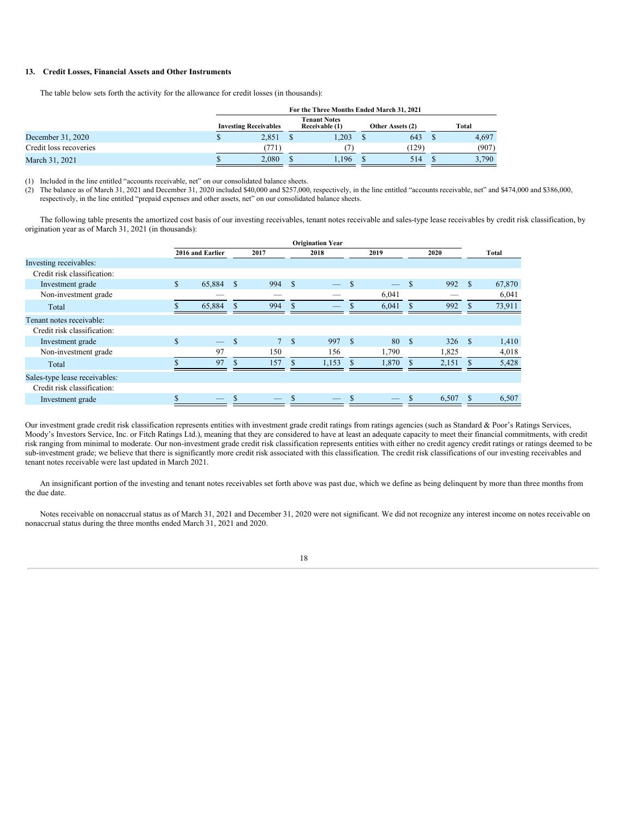# **13. Credit Losses, Financial Assets and Other Instruments**

The table below sets forth the activity for the allowance for credit losses (in thousands):

|                        |                              | For the Three Months Ended March 31, 2021 |                  |       |
|------------------------|------------------------------|-------------------------------------------|------------------|-------|
|                        | <b>Investing Receivables</b> | <b>Tenant Notes</b><br>Receivable (1)     | Other Assets (2) | Total |
| December 31, 2020      | 2.851                        | 1.203                                     | 643              | 4,697 |
| Credit loss recoveries | (771)                        |                                           | (129)            | (907) |
| March 31, 2021         | 2.080                        | 1.196                                     | 514              | 3.790 |

(1) Included in the line entitled "accounts receivable, net" on our consolidated balance sheets.

(2) The balance as of March 31, 2021 and December 31, 2020 included \$40,000 and \$257,000, respectively, in the line entitled "accounts receivable, net" and \$474,000 and \$386,000, respectively, in the line entitled "prepaid expenses and other assets, net" on our consolidated balance sheets.

The following table presents the amortized cost basis of our investing receivables, tenant notes receivable and sales-type lease receivables by credit risk classification, by origination year as of March 31, 2021 (in thousands):

|                               |              |                  |      |                |               | <b>Origination Year</b> |             |       |               |       |          |        |
|-------------------------------|--------------|------------------|------|----------------|---------------|-------------------------|-------------|-------|---------------|-------|----------|--------|
|                               |              | 2016 and Earlier |      | 2017           |               | 2018                    |             | 2019  |               | 2020  |          | Total  |
| Investing receivables:        |              |                  |      |                |               |                         |             |       |               |       |          |        |
| Credit risk classification:   |              |                  |      |                |               |                         |             |       |               |       |          |        |
| Investment grade              | $\mathbb{S}$ | 65,884           | - \$ | 994            | <sup>\$</sup> |                         | \$          |       | <sup>\$</sup> | 992   | S        | 67,870 |
| Non-investment grade          |              |                  |      |                |               |                         |             | 6,041 |               |       |          | 6,041  |
| Total                         |              | 65,884           |      | 994            |               |                         |             | 6,041 |               | 992   |          | 73,911 |
| Tenant notes receivable:      |              |                  |      |                |               |                         |             |       |               |       |          |        |
| Credit risk classification:   |              |                  |      |                |               |                         |             |       |               |       |          |        |
| Investment grade              | \$           |                  | S.   | $\overline{7}$ | $\mathcal{S}$ | 997                     | $\mathbf S$ | 80    | <b>S</b>      | 326   | <b>S</b> | 1,410  |
| Non-investment grade          |              | 97               |      | 150            |               | 156                     |             | 1,790 |               | 1,825 |          | 4,018  |
| Total                         |              | 97               |      | 157            | \$            | 1,153                   | \$          | 1,870 |               | 2,151 |          | 5,428  |
| Sales-type lease receivables: |              |                  |      |                |               |                         |             |       |               |       |          |        |
| Credit risk classification:   |              |                  |      |                |               |                         |             |       |               |       |          |        |
| Investment grade              | \$           |                  |      |                | $\mathbf S$   |                         |             |       |               | 6,507 | \$       | 6,507  |

Our investment grade credit risk classification represents entities with investment grade credit ratings from ratings agencies (such as Standard & Poor's Ratings Services, Moody's Investors Service, Inc. or Fitch Ratings Ltd.), meaning that they are considered to have at least an adequate capacity to meet their financial commitments, with credit risk ranging from minimal to moderate. Our non-investment grade credit risk classification represents entities with either no credit agency credit ratings or ratings deemed to be sub-investment grade; we believe that there is significantly more credit risk associated with this classification. The credit risk classifications of our investing receivables and tenant notes receivable were last updated in March 2021.

An insignificant portion of the investing and tenant notes receivables set forth above was past due, which we define as being delinquent by more than three months from the due date.

Notes receivable on nonaccrual status as of March 31, 2021 and December 31, 2020 were not significant. We did not recognize any interest income on notes receivable on nonaccrual status during the three months ended March 31, 2021 and 2020.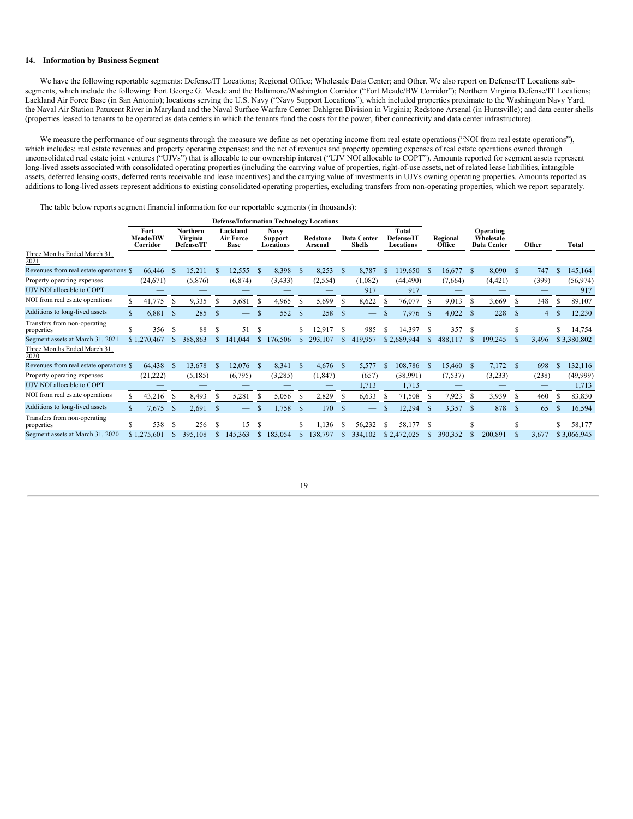# **14. Information by Business Segment**

We have the following reportable segments: Defense/IT Locations; Regional Office; Wholesale Data Center; and Other. We also report on Defense/IT Locations subsegments, which include the following: Fort George G. Meade and the Baltimore/Washington Corridor ("Fort Meade/BW Corridor"); Northern Virginia Defense/IT Locations; Lackland Air Force Base (in San Antonio); locations serving the U.S. Navy ("Navy Support Locations"), which included properties proximate to the Washington Navy Yard, the Naval Air Station Patuxent River in Maryland and the Naval Surface Warfare Center Dahlgren Division in Virginia; Redstone Arsenal (in Huntsville); and data center shells (properties leased to tenants to be operated as data centers in which the tenants fund the costs for the power, fiber connectivity and data center infrastructure).

We measure the performance of our segments through the measure we define as net operating income from real estate operations ("NOI from real estate operations"), which includes: real estate revenues and property operating expenses; and the net of revenues and property operating expenses of real estate operations owned through unconsolidated real estate joint ventures ("UJVs") that is allocable to our ownership interest ("UJV NOI allocable to COPT"). Amounts reported for segment assets represent long-lived assets associated with consolidated operating properties (including the carrying value of properties, right-of-use assets, net of related lease liabilities, intangible assets, deferred leasing costs, deferred rents receivable and lease incentives) and the carrying value of investments in UJVs owning operating properties. Amounts reported as additions to long-lived assets represent additions to existing consolidated operating properties, excluding transfers from non-operating properties, which we report separately.

The table below reports segment financial information for our reportable segments (in thousands):

|                                            |    |                              |               |                                    |               |                                             |               | <b>Defense/Information Technology Locations</b> |               |                     |      |                              |              |                                  |               |                    |               |                                       |                    |                |             |
|--------------------------------------------|----|------------------------------|---------------|------------------------------------|---------------|---------------------------------------------|---------------|-------------------------------------------------|---------------|---------------------|------|------------------------------|--------------|----------------------------------|---------------|--------------------|---------------|---------------------------------------|--------------------|----------------|-------------|
|                                            |    | Fort<br>Meade/BW<br>Corridor |               | Northern<br>Virginia<br>Defense/IT |               | Lackland<br><b>Air Force</b><br><b>Base</b> |               | <b>Navy</b><br><b>Support</b><br>Locations      |               | Redstone<br>Arsenal |      | Data Center<br><b>Shells</b> |              | Total<br>Defense/IT<br>Locations |               | Regional<br>Office |               | Operating<br>Wholesale<br>Data Center |                    | Other          | Total       |
| Three Months Ended March 31,<br>2021       |    |                              |               |                                    |               |                                             |               |                                                 |               |                     |      |                              |              |                                  |               |                    |               |                                       |                    |                |             |
| Revenues from real estate operations \$    |    | 66,446                       | -S            | 15,211                             | <sup>\$</sup> | 12,555                                      | - S           | 8,398                                           | -S            | 8,253               | - S  | 8,787                        | <sup>S</sup> | 119,650                          | -S            | 16,677             | - \$          | 8,090                                 | -S                 | 747            | 145,164     |
| Property operating expenses                |    | (24, 671)                    |               | (5,876)                            |               | (6,874)                                     |               | (3, 433)                                        |               | (2,554)             |      | (1,082)                      |              | (44, 490)                        |               | (7,664)            |               | (4, 421)                              |                    | (399)          | (56, 974)   |
| UJV NOI allocable to COPT                  |    |                              |               |                                    |               |                                             |               |                                                 |               |                     |      | 917                          |              | 917                              |               |                    |               |                                       |                    |                | 917         |
| NOI from real estate operations            |    | 41,775                       | -S            | 9,335                              | S             | 5,681                                       | -S            | 4,965                                           |               | 5,699               |      | 8,622                        | S            | 76,077                           | S             | 9,013              | S             | 3,669                                 | S                  | 348            | 89,107      |
| Additions to long-lived assets             |    | 6,881                        | \$            | 285                                |               |                                             |               | 552                                             | S             | 258                 | -S   |                              |              | 7,976                            | \$            | 4,022              | <sup>\$</sup> | 228                                   | S                  | $\overline{4}$ | 12,230      |
| Transfers from non-operating<br>properties | S. | 356                          | -S            | 88                                 | £.            | 51                                          | <sup>\$</sup> |                                                 |               | 12,917              | -S   | 985                          | \$.          | 14,397                           | S             | 357                | -8            |                                       |                    |                | 14,754      |
| Segment assets at March 31, 2021           |    | \$1,270,467                  | \$.           | 388,863                            | $\mathbf{s}$  | 141,044                                     | <sup>\$</sup> | 176,506                                         | <sup>\$</sup> | 293.107             | \$.  | 419.957                      |              | \$2,689,944                      | $\mathcal{S}$ | 488.117            | $\mathbf{s}$  | 199,245                               | $\mathbf{\hat{s}}$ | 3,496          | \$3,380,802 |
| Three Months Ended March 31,<br>2020       |    |                              |               |                                    |               |                                             |               |                                                 |               |                     |      |                              |              |                                  |               |                    |               |                                       |                    |                |             |
| Revenues from real estate operations \$    |    | 64,438                       | <sup>\$</sup> | 13,678                             | <sup>\$</sup> | 12,076                                      | -S            | 8,341                                           | <sup>\$</sup> | 4,676               | - \$ | 5,577                        | <b>S</b>     | 108,786                          | <sup>S</sup>  | 15,460             | -S            | 7,172                                 | <sup>\$</sup>      | 698            | 132,116     |
| Property operating expenses                |    | (21, 222)                    |               | (5,185)                            |               | (6,795)                                     |               | (3,285)                                         |               | (1, 847)            |      | (657)                        |              | (38,991)                         |               | (7,537)            |               | (3,233)                               |                    | (238)          | (49,999)    |
| UJV NOI allocable to COPT                  |    |                              |               |                                    |               |                                             |               |                                                 |               |                     |      | 1,713                        |              | 1,713                            |               |                    |               |                                       |                    |                | 1,713       |
| NOI from real estate operations            |    | 43,216                       | -S            | 8,493                              |               | 5,281                                       |               | 5,056                                           |               | 2,829               |      | 6,633                        |              | 71,508                           | S             | 7,923              |               | 3,939                                 | \$.                | 460            | 83,830      |
| Additions to long-lived assets             |    | 7,675                        | <sup>\$</sup> | 2,691                              | <sup>\$</sup> |                                             | <b>S</b>      | 1,758                                           | <sup>\$</sup> | 170                 | -S   |                              |              | 12,294                           | <sup>\$</sup> | 3,357              | -S            | 878                                   | <sup>\$</sup>      | 65             | 16,594      |
| Transfers from non-operating<br>properties | S  | 538                          | <sup>\$</sup> | 256                                | <b>S</b>      | 15                                          | -S            |                                                 |               | 1.136               | -S   | 56,232                       |              | 58,177                           | £.            |                    |               |                                       |                    |                | 58,177      |
| Segment assets at March 31, 2020           |    | \$1,275,601                  |               | 395,108                            | \$            | 145,363                                     | \$            | 183,054                                         | <sup>S</sup>  | 138,797             | -S   | 334,102                      |              | \$2,472,025                      | S.            | 390,352            |               | 200.891                               |                    | 3.677          | \$3,066,945 |
|                                            |    |                              |               |                                    |               |                                             |               |                                                 |               |                     |      |                              |              |                                  |               |                    |               |                                       |                    |                |             |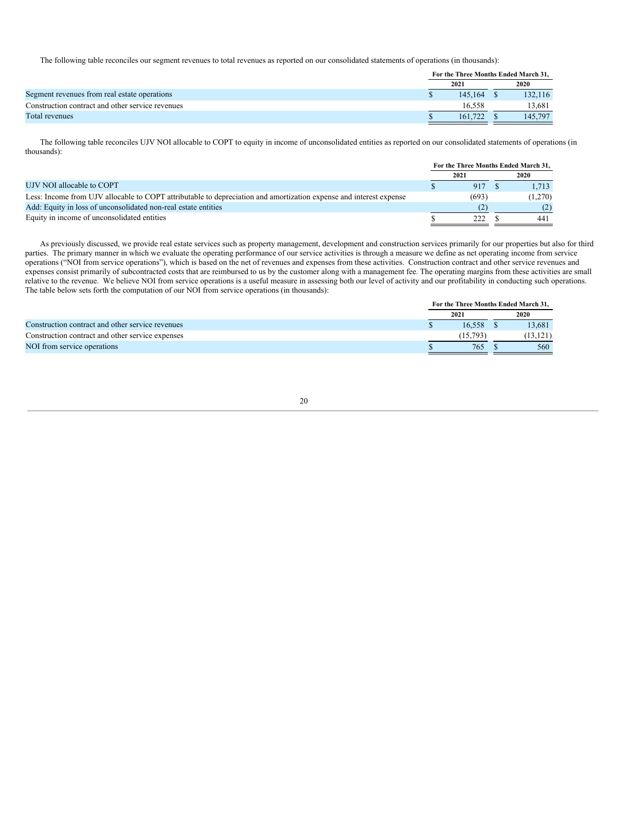The following table reconciles our segment revenues to total revenues as reported on our consolidated statements of operations (in thousands):

| 2021    | 2020                                 |
|---------|--------------------------------------|
| 145,164 | 132,116                              |
| 16.558  | 13.681                               |
| 161.722 | 145,797                              |
|         | For the Three Months Ended March 31. |

The following table reconciles UJV NOI allocable to COPT to equity in income of unconsolidated entities as reported on our consolidated statements of operations (in thousands):

|                                                                                                                    |        | For the Three Months Ended March 31, |
|--------------------------------------------------------------------------------------------------------------------|--------|--------------------------------------|
|                                                                                                                    | 2021   | 2020                                 |
| UJV NOI allocable to COPT                                                                                          | 917 \$ | 1.713                                |
| Less: Income from UJV allocable to COPT attributable to depreciation and amortization expense and interest expense | (693)  | (1,270)                              |
| Add: Equity in loss of unconsolidated non-real estate entities                                                     |        | (2)                                  |
| Equity in income of unconsolidated entities                                                                        | 222    | 441                                  |

As previously discussed, we provide real estate services such as property management, development and construction services primarily for our properties but also for third parties. The primary manner in which we evaluate the operating performance of our service activities is through a measure we define as net operating income from service operations ("NOI from service operations"), which is based on the net of revenues and expenses from these activities. Construction contract and other service revenues and expenses consist primarily of subcontracted costs that are reimbursed to us by the customer along with a management fee. The operating margins from these activities are small relative to the revenue. We believe NOI from service operations is a useful measure in assessing both our level of activity and our profitability in conducting such operations. The table below sets forth the computation of our NOI from service operations (in thousands):

|                                                  |          | For the Three Months Ended March 31. |
|--------------------------------------------------|----------|--------------------------------------|
|                                                  | 2021     | 2020                                 |
| Construction contract and other service revenues | 16.558   | 13.681                               |
| Construction contract and other service expenses | (15.793) | (13, 121)                            |
| NOI from service operations                      | 765      | 560                                  |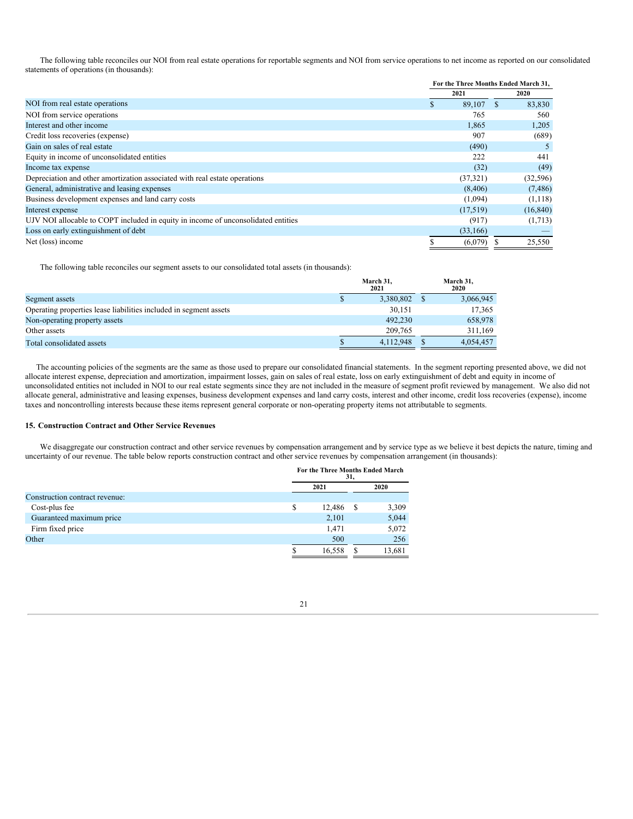The following table reconciles our NOI from real estate operations for reportable segments and NOI from service operations to net income as reported on our consolidated statements of operations (in thousands):

|                                                                                   | For the Three Months Ended March 31, |               |           |
|-----------------------------------------------------------------------------------|--------------------------------------|---------------|-----------|
|                                                                                   | 2021                                 |               | 2020      |
| NOI from real estate operations                                                   | 89,107                               | <sup>\$</sup> | 83,830    |
| NOI from service operations                                                       | 765                                  |               | 560       |
| Interest and other income                                                         | 1,865                                |               | 1,205     |
| Credit loss recoveries (expense)                                                  | 907                                  |               | (689)     |
| Gain on sales of real estate                                                      | (490)                                |               |           |
| Equity in income of unconsolidated entities                                       | 222                                  |               | 441       |
| Income tax expense                                                                | (32)                                 |               | (49)      |
| Depreciation and other amortization associated with real estate operations        | (37, 321)                            |               | (32, 596) |
| General, administrative and leasing expenses                                      | (8, 406)                             |               | (7, 486)  |
| Business development expenses and land carry costs                                | (1,094)                              |               | (1,118)   |
| Interest expense                                                                  | (17,519)                             |               | (16, 840) |
| UJV NOI allocable to COPT included in equity in income of unconsolidated entities | (917)                                |               | (1,713)   |
| Loss on early extinguishment of debt                                              | (33, 166)                            |               |           |
| Net (loss) income                                                                 | (6,079)                              |               | 25,550    |

The following table reconciles our segment assets to our consolidated total assets (in thousands):

|                                                                   | March 31.<br>2021 | March 31,<br>2020 |
|-------------------------------------------------------------------|-------------------|-------------------|
| Segment assets                                                    | 3,380,802         | 3,066,945         |
| Operating properties lease liabilities included in segment assets | 30.151            | 17,365            |
| Non-operating property assets                                     | 492,230           | 658,978           |
| Other assets                                                      | 209.765           | 311.169           |
| Total consolidated assets                                         | 4.112.948         | 4,054,457         |

The accounting policies of the segments are the same as those used to prepare our consolidated financial statements. In the segment reporting presented above, we did not allocate interest expense, depreciation and amortization, impairment losses, gain on sales of real estate, loss on early extinguishment of debt and equity in income of unconsolidated entities not included in NOI to our real estate segments since they are not included in the measure of segment profit reviewed by management. We also did not allocate general, administrative and leasing expenses, business development expenses and land carry costs, interest and other income, credit loss recoveries (expense), income taxes and noncontrolling interests because these items represent general corporate or non-operating property items not attributable to segments.

# **15. Construction Contract and Other Service Revenues**

We disaggregate our construction contract and other service revenues by compensation arrangement and by service type as we believe it best depicts the nature, timing and uncertainty of our revenue. The table below reports construction contract and other service revenues by compensation arrangement (in thousands):

|                                | For the Three Months Ended March<br>31, |     |        |  |
|--------------------------------|-----------------------------------------|-----|--------|--|
|                                | 2021                                    |     | 2020   |  |
| Construction contract revenue: |                                         |     |        |  |
| Cost-plus fee                  | \$<br>12,486                            | - S | 3,309  |  |
| Guaranteed maximum price       | 2,101                                   |     | 5,044  |  |
| Firm fixed price               | 1.471                                   |     | 5,072  |  |
| Other                          | 500                                     |     | 256    |  |
|                                | 16.558                                  |     | 13,681 |  |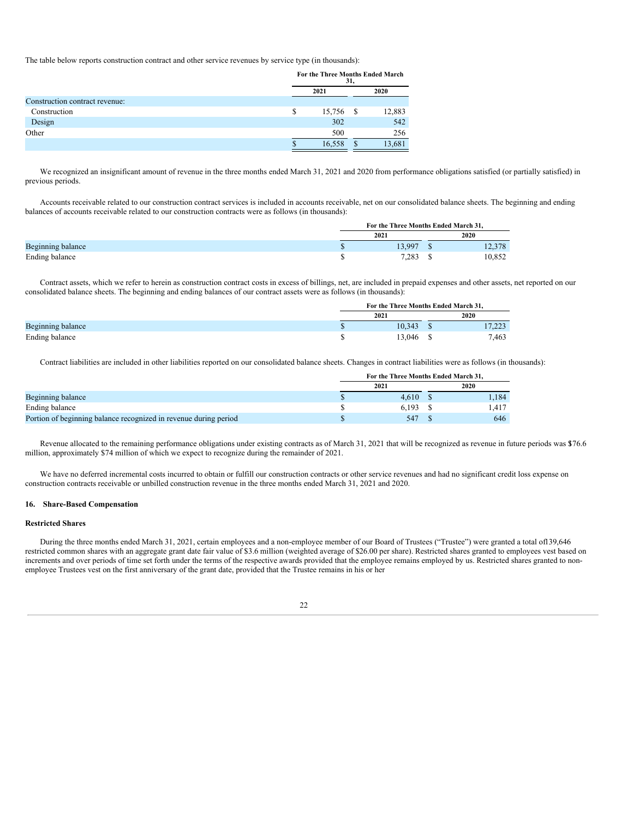The table below reports construction contract and other service revenues by service type (in thousands):

|                                |      | For the Three Months Ended March<br>31, |    |        |  |
|--------------------------------|------|-----------------------------------------|----|--------|--|
|                                | 2021 |                                         |    | 2020   |  |
| Construction contract revenue: |      |                                         |    |        |  |
| Construction                   | S    | 15,756                                  | -S | 12,883 |  |
| Design                         |      | 302                                     |    | 542    |  |
| Other                          |      | 500                                     |    | 256    |  |
|                                |      | 16.558                                  |    | 13.681 |  |

We recognized an insignificant amount of revenue in the three months ended March 31, 2021 and 2020 from performance obligations satisfied (or partially satisfied) in previous periods.

Accounts receivable related to our construction contract services is included in accounts receivable, net on our consolidated balance sheets. The beginning and ending balances of accounts receivable related to our construction contracts were as follows (in thousands):

|                   | For the Three Months Ended March 31. |        |  |             |  |
|-------------------|--------------------------------------|--------|--|-------------|--|
|                   | 2021                                 |        |  | <b>2020</b> |  |
| Beginning balance |                                      | 13.997 |  | 12,378      |  |
| Ending balance    |                                      | 7,283  |  | 10,852      |  |

Contract assets, which we refer to herein as construction contract costs in excess of billings, net, are included in prepaid expenses and other assets, net reported on our consolidated balance sheets. The beginning and ending balances of our contract assets were as follows (in thousands):

|                   | For the Three Months Ended March 31. |  |        |  |  |
|-------------------|--------------------------------------|--|--------|--|--|
|                   | 2021                                 |  | 2020   |  |  |
| Beginning balance | 10.343                               |  | 17,223 |  |  |
| Ending balance    | 3.046                                |  | 7,463  |  |  |

Contract liabilities are included in other liabilities reported on our consolidated balance sheets. Changes in contract liabilities were as follows (in thousands):

|                                                                  |  | For the Three Months Ended March 31. |      |       |  |  |
|------------------------------------------------------------------|--|--------------------------------------|------|-------|--|--|
|                                                                  |  | 2021                                 | 2020 |       |  |  |
| Beginning balance                                                |  | 4.610                                |      | 1.184 |  |  |
| Ending balance                                                   |  | 6.193                                |      | 1.417 |  |  |
| Portion of beginning balance recognized in revenue during period |  | 547                                  |      | 646   |  |  |

Revenue allocated to the remaining performance obligations under existing contracts as of March 31, 2021 that will be recognized as revenue in future periods was \$76.6 million, approximately \$74 million of which we expect to recognize during the remainder of 2021.

We have no deferred incremental costs incurred to obtain or fulfill our construction contracts or other service revenues and had no significant credit loss expense on construction contracts receivable or unbilled construction revenue in the three months ended March 31, 2021 and 2020.

# **16. Share-Based Compensation**

### **Restricted Shares**

During the three months ended March 31, 2021, certain employees and a non-employee member of our Board of Trustees ("Trustee") were granted a total of139,646 restricted common shares with an aggregate grant date fair value of \$3.6 million (weighted average of \$26.00 per share). Restricted shares granted to employees vest based on increments and over periods of time set forth under the terms of the respective awards provided that the employee remains employed by us. Restricted shares granted to nonemployee Trustees vest on the first anniversary of the grant date, provided that the Trustee remains in his or her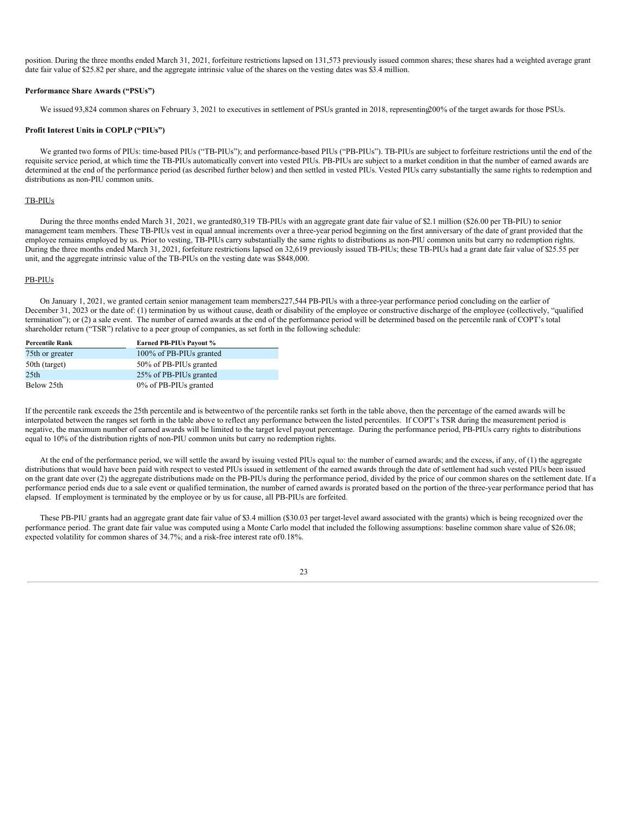position. During the three months ended March 31, 2021, forfeiture restrictions lapsed on 131,573 previously issued common shares; these shares had a weighted average grant date fair value of \$25.82 per share, and the aggregate intrinsic value of the shares on the vesting dates was \$3.4 million.

# **Performance Share Awards ("PSUs")**

We issued 93,824 common shares on February 3, 2021 to executives in settlement of PSUs granted in 2018, representing 00% of the target awards for those PSUs.

### **Profit Interest Units in COPLP ("PIUs")**

We granted two forms of PIUs: time-based PIUs ("TB-PIUs"); and performance-based PIUs ("PB-PIUs"). TB-PIUs are subject to forfeiture restrictions until the end of the requisite service period, at which time the TB-PIUs automatically convert into vested PIUs. PB-PIUs are subject to a market condition in that the number of earned awards are determined at the end of the performance period (as described further below) and then settled in vested PIUs. Vested PIUs carry substantially the same rights to redemption and distributions as non-PIU common units.

#### TB-PIUs

During the three months ended March 31, 2021, we granted80,319 TB-PIUs with an aggregate grant date fair value of \$2.1 million (\$26.00 per TB-PIU) to senior management team members. These TB-PIUs vest in equal annual increments over a three-year period beginning on the first anniversary of the date of grant provided that the employee remains employed by us. Prior to vesting, TB-PIUs carry substantially the same rights to distributions as non-PIU common units but carry no redemption rights. During the three months ended March 31, 2021, forfeiture restrictions lapsed on 32,619 previously issued TB-PIUs; these TB-PIUs had a grant date fair value of \$25.55 per unit, and the aggregate intrinsic value of the TB-PIUs on the vesting date was \$848,000.

#### PB-PIUs

On January 1, 2021, we granted certain senior management team members227,544 PB-PIUs with a three-year performance period concluding on the earlier of December 31, 2023 or the date of: (1) termination by us without cause, death or disability of the employee or constructive discharge of the employee (collectively, "qualified termination"); or (2) a sale event. The number of earned awards at the end of the performance period will be determined based on the percentile rank of COPT's total shareholder return ("TSR") relative to a peer group of companies, as set forth in the following schedule:

| <b>Percentile Rank</b> | <b>Earned PB-PIUs Payout %</b> |
|------------------------|--------------------------------|
| 75th or greater        | 100% of PB-PIUs granted        |
| 50th (target)          | 50% of PB-PIUs granted         |
| 25 <sub>th</sub>       | 25% of PB-PIUs granted         |
| Below 25th             | 0% of PB-PIUs granted          |

If the percentile rank exceeds the 25th percentile and is betweentwo of the percentile ranks set forth in the table above, then the percentage of the earned awards will be interpolated between the ranges set forth in the table above to reflect any performance between the listed percentiles. If COPT's TSR during the measurement period is negative, the maximum number of earned awards will be limited to the target level payout percentage. During the performance period, PB-PIUs carry rights to distributions equal to 10% of the distribution rights of non-PIU common units but carry no redemption rights.

At the end of the performance period, we will settle the award by issuing vested PIUs equal to: the number of earned awards; and the excess, if any, of (1) the aggregate distributions that would have been paid with respect to vested PIUs issued in settlement of the earned awards through the date of settlement had such vested PIUs been issued on the grant date over (2) the aggregate distributions made on the PB-PIUs during the performance period, divided by the price of our common shares on the settlement date. If a performance period ends due to a sale event or qualified termination, the number of earned awards is prorated based on the portion of the three-year performance period that has elapsed. If employment is terminated by the employee or by us for cause, all PB-PIUs are forfeited.

These PB-PIU grants had an aggregate grant date fair value of \$3.4 million (\$30.03 per target-level award associated with the grants) which is being recognized over the performance period. The grant date fair value was computed using a Monte Carlo model that included the following assumptions: baseline common share value of \$26.08; expected volatility for common shares of 34.7%; and a risk-free interest rate of0.18%.

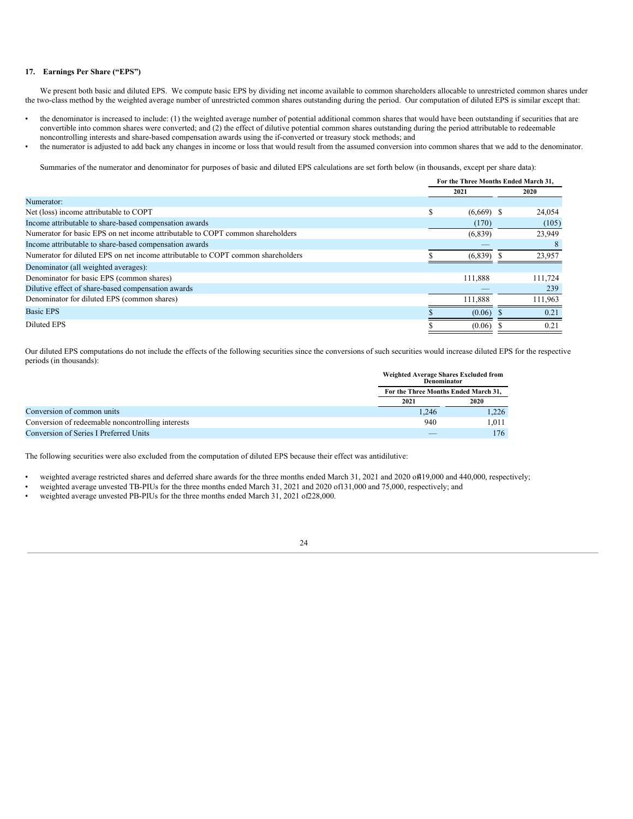# **17. Earnings Per Share ("EPS")**

We present both basic and diluted EPS. We compute basic EPS by dividing net income available to common shareholders allocable to unrestricted common shares under the two-class method by the weighted average number of unrestricted common shares outstanding during the period. Our computation of diluted EPS is similar except that:

- the denominator is increased to include: (1) the weighted average number of potential additional common shares that would have been outstanding if securities that are convertible into common shares were converted; and (2) the effect of dilutive potential common shares outstanding during the period attributable to redeemable noncontrolling interests and share-based compensation awards using the if-converted or treasury stock methods; and
- the numerator is adjusted to add back any changes in income or loss that would result from the assumed conversion into common shares that we add to the denominator.

Summaries of the numerator and denominator for purposes of basic and diluted EPS calculations are set forth below (in thousands, except per share data):

|                                                                                  | For the Three Months Ended March 31, |              |  |         |
|----------------------------------------------------------------------------------|--------------------------------------|--------------|--|---------|
|                                                                                  | 2021                                 |              |  | 2020    |
| Numerator:                                                                       |                                      |              |  |         |
| Net (loss) income attributable to COPT                                           | S                                    | $(6,669)$ \$ |  | 24,054  |
| Income attributable to share-based compensation awards                           |                                      | (170)        |  | (105)   |
| Numerator for basic EPS on net income attributable to COPT common shareholders   |                                      | (6, 839)     |  | 23,949  |
| Income attributable to share-based compensation awards                           |                                      |              |  |         |
| Numerator for diluted EPS on net income attributable to COPT common shareholders |                                      | (6, 839)     |  | 23,957  |
| Denominator (all weighted averages):                                             |                                      |              |  |         |
| Denominator for basic EPS (common shares)                                        |                                      | 111,888      |  | 111,724 |
| Dilutive effect of share-based compensation awards                               |                                      |              |  | 239     |
| Denominator for diluted EPS (common shares)                                      |                                      | 111,888      |  | 111,963 |
| <b>Basic EPS</b>                                                                 |                                      | (0.06)       |  | 0.21    |
| Diluted EPS                                                                      |                                      | (0.06)       |  | 0.21    |

Our diluted EPS computations do not include the effects of the following securities since the conversions of such securities would increase diluted EPS for the respective periods (in thousands):

|                                                   | Denominator | Weighted Average Shares Excluded from |
|---------------------------------------------------|-------------|---------------------------------------|
|                                                   |             | For the Three Months Ended March 31,  |
|                                                   | 2021        | 2020                                  |
| Conversion of common units                        | 1.246       | 1,226                                 |
| Conversion of redeemable noncontrolling interests | 940         | 1.011                                 |
| Conversion of Series I Preferred Units            |             | 176                                   |

The following securities were also excluded from the computation of diluted EPS because their effect was antidilutive:

• weighted average restricted shares and deferred share awards for the three months ended March 31, 2021 and 2020 of419,000 and 440,000, respectively;

- weighted average unvested TB-PIUs for the three months ended March 31, 2021 and 2020 of131,000 and 75,000, respectively; and
- weighted average unvested PB-PIUs for the three months ended March 31, 2021 of228,000.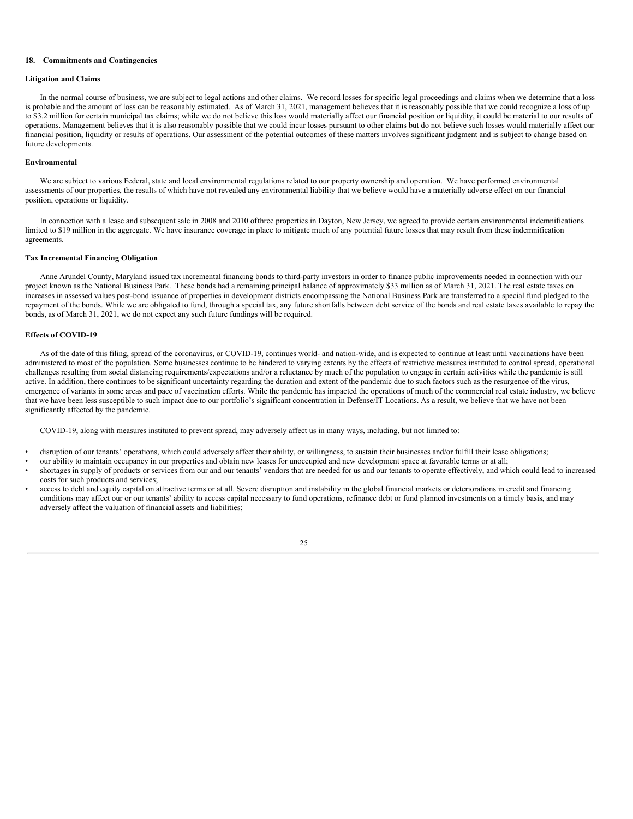#### **18. Commitments and Contingencies**

### **Litigation and Claims**

In the normal course of business, we are subject to legal actions and other claims. We record losses for specific legal proceedings and claims when we determine that a loss is probable and the amount of loss can be reasonably estimated. As of March 31, 2021, management believes that it is reasonably possible that we could recognize a loss of up to \$3.2 million for certain municipal tax claims; while we do not believe this loss would materially affect our financial position or liquidity, it could be material to our results of operations. Management believes that it is also reasonably possible that we could incur losses pursuant to other claims but do not believe such losses would materially affect our financial position, liquidity or results of operations. Our assessment of the potential outcomes of these matters involves significant judgment and is subject to change based on future developments.

#### **Environmental**

We are subject to various Federal, state and local environmental regulations related to our property ownership and operation. We have performed environmental assessments of our properties, the results of which have not revealed any environmental liability that we believe would have a materially adverse effect on our financial position, operations or liquidity.

In connection with a lease and subsequent sale in 2008 and 2010 ofthree properties in Dayton, New Jersey, we agreed to provide certain environmental indemnifications limited to \$19 million in the aggregate. We have insurance coverage in place to mitigate much of any potential future losses that may result from these indemnification agreements.

### **Tax Incremental Financing Obligation**

Anne Arundel County, Maryland issued tax incremental financing bonds to third-party investors in order to finance public improvements needed in connection with our project known as the National Business Park. These bonds had a remaining principal balance of approximately \$33 million as of March 31, 2021. The real estate taxes on increases in assessed values post-bond issuance of properties in development districts encompassing the National Business Park are transferred to a special fund pledged to the repayment of the bonds. While we are obligated to fund, through a special tax, any future shortfalls between debt service of the bonds and real estate taxes available to repay the bonds, as of March 31, 2021, we do not expect any such future fundings will be required.

# **Effects of COVID-19**

As of the date of this filing, spread of the coronavirus, or COVID-19, continues world- and nation-wide, and is expected to continue at least until vaccinations have been administered to most of the population. Some businesses continue to be hindered to varying extents by the effects of restrictive measures instituted to control spread, operational challenges resulting from social distancing requirements/expectations and/or a reluctance by much of the population to engage in certain activities while the pandemic is still active. In addition, there continues to be significant uncertainty regarding the duration and extent of the pandemic due to such factors such as the resurgence of the virus, emergence of variants in some areas and pace of vaccination efforts. While the pandemic has impacted the operations of much of the commercial real estate industry, we believe that we have been less susceptible to such impact due to our portfolio's significant concentration in Defense/IT Locations. As a result, we believe that we have not been significantly affected by the pandemic.

COVID-19, along with measures instituted to prevent spread, may adversely affect us in many ways, including, but not limited to:

- disruption of our tenants' operations, which could adversely affect their ability, or willingness, to sustain their businesses and/or fulfill their lease obligations;
- our ability to maintain occupancy in our properties and obtain new leases for unoccupied and new development space at favorable terms or at all;
- shortages in supply of products or services from our and our tenants' vendors that are needed for us and our tenants to operate effectively, and which could lead to increased costs for such products and services;
- access to debt and equity capital on attractive terms or at all. Severe disruption and instability in the global financial markets or deteriorations in credit and financing conditions may affect our or our tenants' ability to access capital necessary to fund operations, refinance debt or fund planned investments on a timely basis, and may adversely affect the valuation of financial assets and liabilities;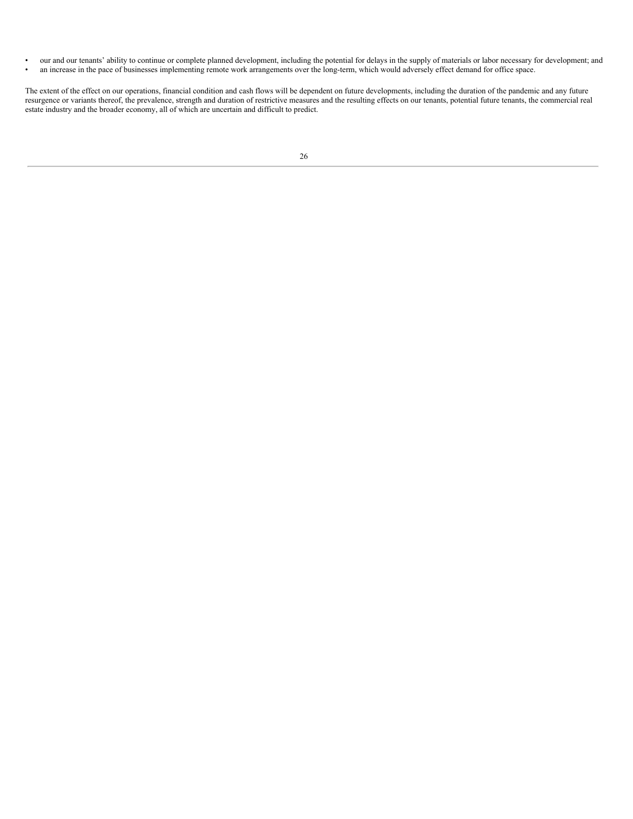- our and our tenants' ability to continue or complete planned development, including the potential for delays in the supply of materials or labor necessary for development; and
- an increase in the pace of businesses implementing remote work arrangements over the long-term, which would adversely effect demand for office space.

<span id="page-25-0"></span>The extent of the effect on our operations, financial condition and cash flows will be dependent on future developments, including the duration of the pandemic and any future resurgence or variants thereof, the prevalence, strength and duration of restrictive measures and the resulting effects on our tenants, potential future tenants, the commercial real real estate industry and the broader economy, all of which are uncertain and difficult to predict.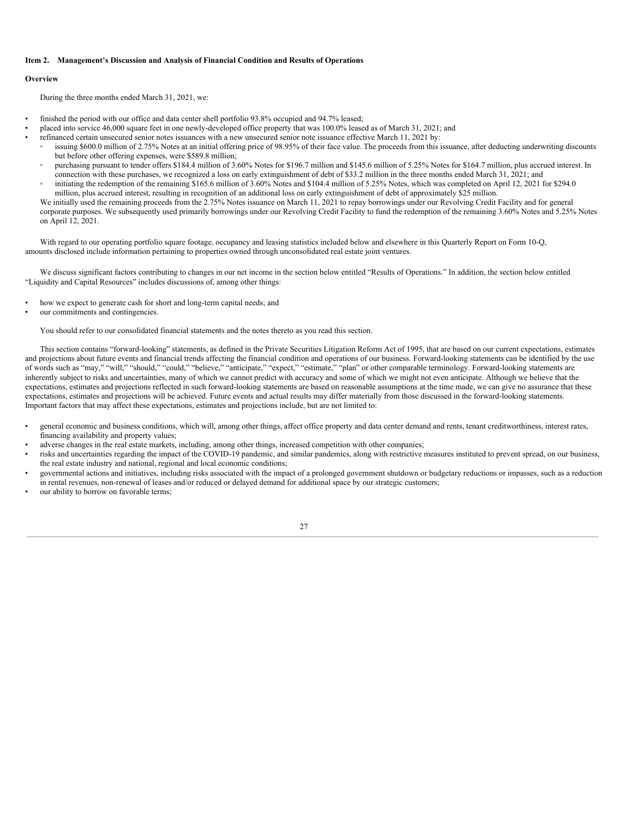#### **Item 2. Management's Discussion and Analysis of Financial Condition and Results of Operations**

# **Overview**

During the three months ended March 31, 2021, we:

- finished the period with our office and data center shell portfolio 93.8% occupied and 94.7% leased:
	- placed into service 46,000 square feet in one newly-developed office property that was 100.0% leased as of March 31, 2021; and
- refinanced certain unsecured senior notes issuances with a new unsecured senior note issuance effective March 11, 2021 by:
- issuing \$600.0 million of 2.75% Notes at an initial offering price of 98.95% of their face value. The proceeds from this issuance, after deducting underwriting discounts but before other offering expenses, were \$589.8 million;
	- purchasing pursuant to tender offers \$184.4 million of 3.60% Notes for \$196.7 million and \$145.6 million of 5.25% Notes for \$164.7 million, plus accrued interest. In connection with these purchases, we recognized a loss on early extinguishment of debt of \$33.2 million in the three months ended March 31, 2021; and
	- initiating the redemption of the remaining \$165.6 million of 3.60% Notes and \$104.4 million of 5.25% Notes, which was completed on April 12, 2021 for \$294.0 million, plus accrued interest, resulting in recognition of an additional loss on early extinguishment of debt of approximately \$25 million.

We initially used the remaining proceeds from the 2.75% Notes issuance on March 11, 2021 to repay borrowings under our Revolving Credit Facility and for general corporate purposes. We subsequently used primarily borrowings under our Revolving Credit Facility to fund the redemption of the remaining 3.60% Notes and 5.25% Notes on April 12, 2021.

With regard to our operating portfolio square footage, occupancy and leasing statistics included below and elsewhere in this Quarterly Report on Form 10-Q, amounts disclosed include information pertaining to properties owned through unconsolidated real estate joint ventures.

We discuss significant factors contributing to changes in our net income in the section below entitled "Results of Operations." In addition, the section below entitled "Liquidity and Capital Resources" includes discussions of, among other things:

- how we expect to generate cash for short and long-term capital needs; and
- our commitments and contingencies.

You should refer to our consolidated financial statements and the notes thereto as you read this section.

This section contains "forward-looking" statements, as defined in the Private Securities Litigation Reform Act of 1995, that are based on our current expectations, estimates and projections about future events and financial trends affecting the financial condition and operations of our business. Forward-looking statements can be identified by the use of words such as "may," "will," "should," "could," "believe," "anticipate," "expect," "estimate," "plan" or other comparable terminology. Forward-looking statements are inherently subject to risks and uncertainties, many of which we cannot predict with accuracy and some of which we might not even anticipate. Although we believe that the expectations, estimates and projections reflected in such forward-looking statements are based on reasonable assumptions at the time made, we can give no assurance that these expectations, estimates and projections will be achieved. Future events and actual results may differ materially from those discussed in the forward-looking statements. Important factors that may affect these expectations, estimates and projections include, but are not limited to:

- general economic and business conditions, which will, among other things, affect office property and data center demand and rents, tenant creditworthiness, interest rates, financing availability and property values;
- adverse changes in the real estate markets, including, among other things, increased competition with other companies;
- risks and uncertainties regarding the impact of the COVID-19 pandemic, and similar pandemics, along with restrictive measures instituted to prevent spread, on our business, the real estate industry and national, regional and local economic conditions;
- governmental actions and initiatives, including risks associated with the impact of a prolonged government shutdown or budgetary reductions or impasses, such as a reduction in rental revenues, non-renewal of leases and/or reduced or delayed demand for additional space by our strategic customers;
- our ability to borrow on favorable terms;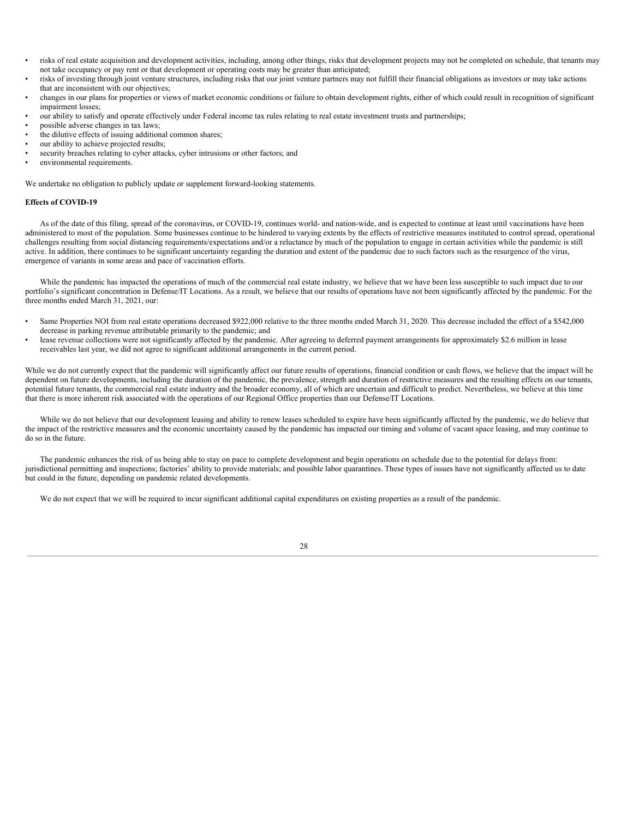- risks of real estate acquisition and development activities, including, among other things, risks that development projects may not be completed on schedule, that tenants may not take occupancy or pay rent or that development or operating costs may be greater than anticipated;
- risks of investing through joint venture structures, including risks that our joint venture partners may not fulfill their financial obligations as investors or may take actions that are inconsistent with our objectives;
- changes in our plans for properties or views of market economic conditions or failure to obtain development rights, either of which could result in recognition of significant impairment losses;
- our ability to satisfy and operate effectively under Federal income tax rules relating to real estate investment trusts and partnerships;
- possible adverse changes in tax laws;
- the dilutive effects of issuing additional common shares;
- our ability to achieve projected results;
- security breaches relating to cyber attacks, cyber intrusions or other factors; and
- environmental requirements.

We undertake no obligation to publicly update or supplement forward-looking statements.

#### **Effects of COVID-19**

As of the date of this filing, spread of the coronavirus, or COVID-19, continues world- and nation-wide, and is expected to continue at least until vaccinations have been administered to most of the population. Some businesses continue to be hindered to varying extents by the effects of restrictive measures instituted to control spread, operational challenges resulting from social distancing requirements/expectations and/or a reluctance by much of the population to engage in certain activities while the pandemic is still active. In addition, there continues to be significant uncertainty regarding the duration and extent of the pandemic due to such factors such as the resurgence of the virus, emergence of variants in some areas and pace of vaccination efforts.

While the pandemic has impacted the operations of much of the commercial real estate industry, we believe that we have been less susceptible to such impact due to our portfolio's significant concentration in Defense/IT Locations. As a result, we believe that our results of operations have not been significantly affected by the pandemic. For the three months ended March 31, 2021, our:

- Same Properties NOI from real estate operations decreased \$922,000 relative to the three months ended March 31, 2020. This decrease included the effect of a \$542,000 decrease in parking revenue attributable primarily to the pandemic; and
- lease revenue collections were not significantly affected by the pandemic. After agreeing to deferred payment arrangements for approximately \$2.6 million in lease receivables last year, we did not agree to significant additional arrangements in the current period.

While we do not currently expect that the pandemic will significantly affect our future results of operations, financial condition or cash flows, we believe that the impact will be dependent on future developments, including the duration of the pandemic, the prevalence, strength and duration of restrictive measures and the resulting effects on our tenants, potential future tenants, the commercial real estate industry and the broader economy, all of which are uncertain and difficult to predict. Nevertheless, we believe at this time that there is more inherent risk associated with the operations of our Regional Office properties than our Defense/IT Locations.

While we do not believe that our development leasing and ability to renew leases scheduled to expire have been significantly affected by the pandemic, we do believe that the impact of the restrictive measures and the economic uncertainty caused by the pandemic has impacted our timing and volume of vacant space leasing, and may continue to do so in the future.

The pandemic enhances the risk of us being able to stay on pace to complete development and begin operations on schedule due to the potential for delays from: jurisdictional permitting and inspections; factories' ability to provide materials; and possible labor quarantines. These types of issues have not significantly affected us to date but could in the future, depending on pandemic related developments.

We do not expect that we will be required to incur significant additional capital expenditures on existing properties as a result of the pandemic.

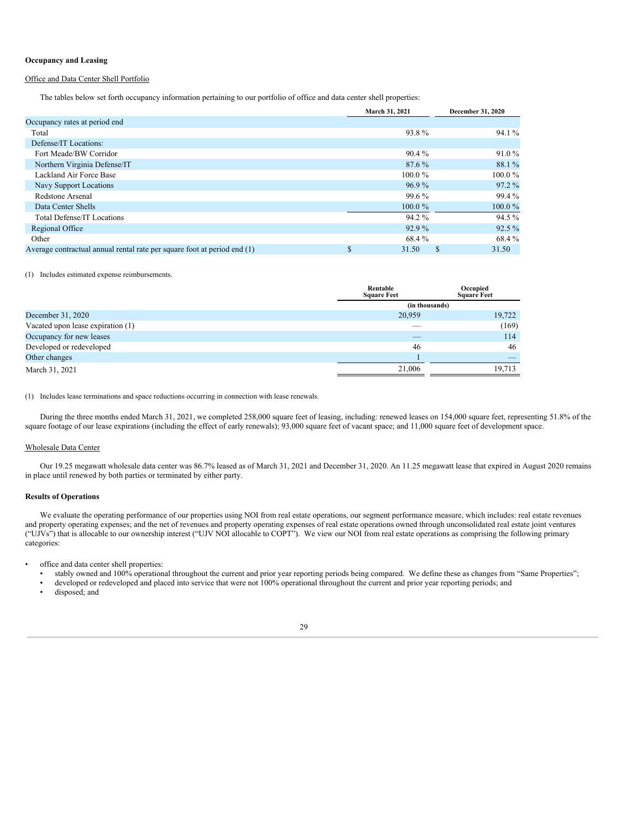# **Occupancy and Leasing**

# Office and Data Center Shell Portfolio

The tables below set forth occupancy information pertaining to our portfolio of office and data center shell properties:

|                                                                          | March 31, 2021   |            | December 31, 2020 |  |
|--------------------------------------------------------------------------|------------------|------------|-------------------|--|
| Occupancy rates at period end                                            |                  |            |                   |  |
| Total                                                                    |                  | 93.8%      | 94.1 %            |  |
| Defense/IT Locations:                                                    |                  |            |                   |  |
| Fort Meade/BW Corridor                                                   |                  | $90.4\%$   | $91.0\%$          |  |
| Northern Virginia Defense/IT                                             | 88.1 %<br>87.6 % |            |                   |  |
| Lackland Air Force Base                                                  |                  | $100.0 \%$ | $100.0\%$         |  |
| Navy Support Locations                                                   |                  | $96.9\%$   | $97.2\%$          |  |
| Redstone Arsenal                                                         |                  | 99.6 %     | 99.4 %            |  |
| Data Center Shells                                                       |                  | $100.0 \%$ | 100.0%            |  |
| <b>Total Defense/IT Locations</b>                                        |                  | $94.2\%$   | $94.5\%$          |  |
| Regional Office                                                          |                  | $92.9\%$   | 92.5 %            |  |
| Other                                                                    |                  | 68.4 %     | 68.4 %            |  |
| Average contractual annual rental rate per square foot at period end (1) | <sup>\$</sup>    | 31.50<br>S | 31.50             |  |

#### (1) Includes estimated expense reimbursements.

|                                   | Rentable<br><b>Square Feet</b> | Occupied<br><b>Square Feet</b> |
|-----------------------------------|--------------------------------|--------------------------------|
|                                   |                                | (in thousands)                 |
| December 31, 2020                 | 20,959                         | 19,722                         |
| Vacated upon lease expiration (1) |                                | (169)                          |
| Occupancy for new leases          |                                | 114                            |
| Developed or redeveloped          | 46                             | 46                             |
| Other changes                     |                                |                                |
| March 31, 2021                    | 21,006                         | 19,713                         |

#### (1) Includes lease terminations and space reductions occurring in connection with lease renewals.

During the three months ended March 31, 2021, we completed 258,000 square feet of leasing, including: renewed leases on 154,000 square feet, representing 51.8% of the square footage of our lease expirations (including the effect of early renewals); 93,000 square feet of vacant space; and 11,000 square feet of development space.

#### Wholesale Data Center

Our 19.25 megawatt wholesale data center was 86.7% leased as of March 31, 2021 and December 31, 2020. An 11.25 megawatt lease that expired in August 2020 remains in place until renewed by both parties or terminated by either party.

# **Results of Operations**

We evaluate the operating performance of our properties using NOI from real estate operations, our segment performance measure, which includes: real estate revenues and property operating expenses; and the net of revenues and property operating expenses of real estate operations owned through unconsolidated real estate joint ventures ("UJVs") that is allocable to our ownership interest ("UJV NOI allocable to COPT"). We view our NOI from real estate operations as comprising the following primary categories:

office and data center shell properties:

- stably owned and 100% operational throughout the current and prior year reporting periods being compared. We define these as changes from "Same Properties";
- developed or redeveloped and placed into service that were not 100% operational throughout the current and prior year reporting periods; and
- disposed; and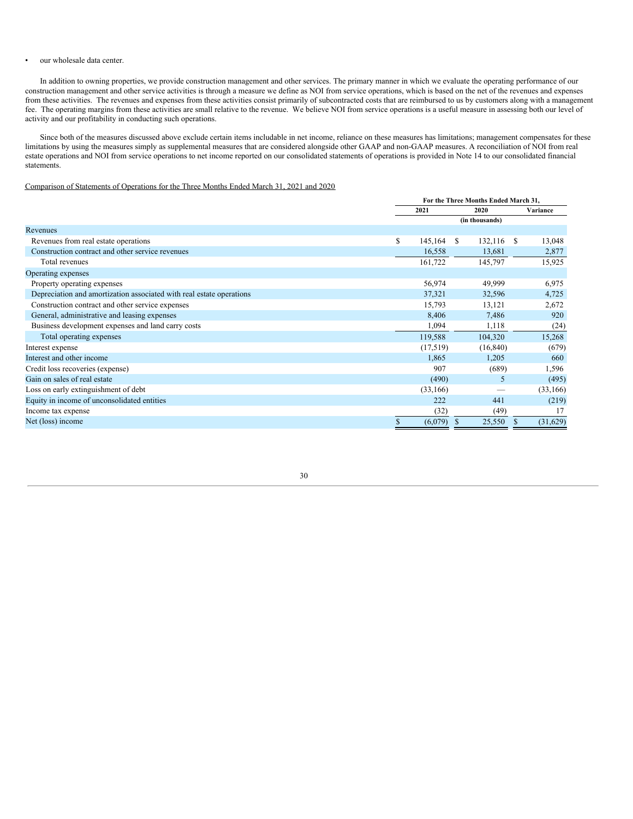### our wholesale data center.

In addition to owning properties, we provide construction management and other services. The primary manner in which we evaluate the operating performance of our construction management and other service activities is through a measure we define as NOI from service operations, which is based on the net of the revenues and expenses from these activities. The revenues and expenses from these activities consist primarily of subcontracted costs that are reimbursed to us by customers along with a management fee. The operating margins from these activities are small relative to the revenue. We believe NOI from service operations is a useful measure in assessing both our level of activity and our profitability in conducting such operations.

Since both of the measures discussed above exclude certain items includable in net income, reliance on these measures has limitations; management compensates for these limitations by using the measures simply as supplemental measures that are considered alongside other GAAP and non-GAAP measures. A reconciliation of NOI from real estate operations and NOI from service operations to net income reported on our consolidated statements of operations is provided in Note 14 to our consolidated financial statements.

# Comparison of Statements of Operations for the Three Months Ended March 31, 2021 and 2020

|                                                                      | For the Three Months Ended March 31, |           |               |                |               |           |
|----------------------------------------------------------------------|--------------------------------------|-----------|---------------|----------------|---------------|-----------|
|                                                                      |                                      | 2021      | 2020          |                | Variance      |           |
|                                                                      |                                      |           |               | (in thousands) |               |           |
| Revenues                                                             |                                      |           |               |                |               |           |
| Revenues from real estate operations                                 | \$                                   | 145,164   | <sup>\$</sup> | 132,116        | $\mathbb{S}$  | 13,048    |
| Construction contract and other service revenues                     |                                      | 16,558    |               | 13,681         |               | 2,877     |
| Total revenues                                                       |                                      | 161,722   |               | 145,797        |               | 15,925    |
| Operating expenses                                                   |                                      |           |               |                |               |           |
| Property operating expenses                                          |                                      | 56,974    |               | 49,999         |               | 6,975     |
| Depreciation and amortization associated with real estate operations |                                      | 37,321    |               | 32,596         |               | 4,725     |
| Construction contract and other service expenses                     |                                      | 15,793    |               | 13,121         |               | 2,672     |
| General, administrative and leasing expenses                         |                                      | 8,406     |               | 7,486          |               | 920       |
| Business development expenses and land carry costs                   |                                      | 1,094     |               | 1,118          |               | (24)      |
| Total operating expenses                                             |                                      | 119,588   |               | 104,320        |               | 15,268    |
| Interest expense                                                     |                                      | (17,519)  |               | (16, 840)      |               | (679)     |
| Interest and other income                                            |                                      | 1,865     |               | 1,205          |               | 660       |
| Credit loss recoveries (expense)                                     |                                      | 907       |               | (689)          |               | 1,596     |
| Gain on sales of real estate                                         |                                      | (490)     |               | 5              |               | (495)     |
| Loss on early extinguishment of debt                                 |                                      | (33, 166) |               |                |               | (33, 166) |
| Equity in income of unconsolidated entities                          |                                      | 222       |               | 441            |               | (219)     |
| Income tax expense                                                   |                                      | (32)      |               | (49)           |               | 17        |
| Net (loss) income                                                    |                                      | (6,079)   | -S            | 25,550         | <sup>\$</sup> | (31,629)  |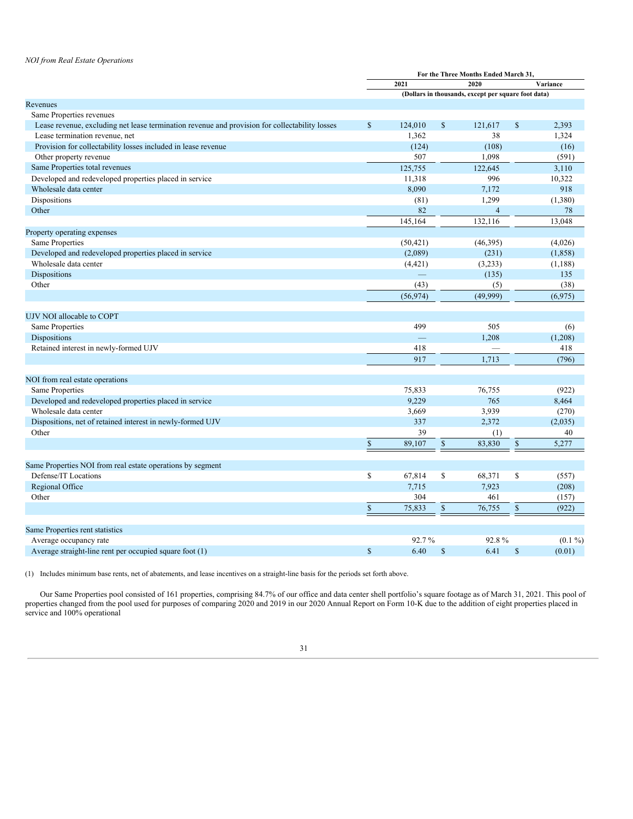# *NOI from Real Estate Operations*

|                                                                                                | For the Three Months Ended March 31. |           |               |                                                     |                         |           |  |  |
|------------------------------------------------------------------------------------------------|--------------------------------------|-----------|---------------|-----------------------------------------------------|-------------------------|-----------|--|--|
|                                                                                                |                                      | Variance  |               |                                                     |                         |           |  |  |
|                                                                                                |                                      |           |               | (Dollars in thousands, except per square foot data) |                         |           |  |  |
| Revenues                                                                                       |                                      |           |               |                                                     |                         |           |  |  |
| Same Properties revenues                                                                       |                                      |           |               |                                                     |                         |           |  |  |
| Lease revenue, excluding net lease termination revenue and provision for collectability losses | $\mathbb{S}$                         | 124,010   | $\$$          | 121,617                                             | \$                      | 2,393     |  |  |
| Lease termination revenue, net                                                                 |                                      | 1,362     |               | 38                                                  |                         | 1,324     |  |  |
| Provision for collectability losses included in lease revenue                                  |                                      | (124)     |               | (108)                                               |                         | (16)      |  |  |
| Other property revenue                                                                         |                                      | 507       |               | 1,098                                               |                         | (591)     |  |  |
| Same Properties total revenues                                                                 |                                      | 125,755   |               | 122,645                                             |                         | 3,110     |  |  |
| Developed and redeveloped properties placed in service                                         |                                      | 11,318    |               | 996                                                 |                         | 10,322    |  |  |
| Wholesale data center                                                                          |                                      | 8,090     |               | 7,172                                               |                         | 918       |  |  |
| Dispositions                                                                                   |                                      | (81)      |               | 1,299                                               |                         | (1,380)   |  |  |
| Other                                                                                          |                                      | 82        |               | $\overline{4}$                                      |                         | 78        |  |  |
|                                                                                                |                                      | 145,164   |               | 132,116                                             |                         | 13,048    |  |  |
| Property operating expenses                                                                    |                                      |           |               |                                                     |                         |           |  |  |
| Same Properties                                                                                |                                      | (50, 421) |               | (46,395)                                            |                         | (4,026)   |  |  |
| Developed and redeveloped properties placed in service                                         |                                      | (2,089)   |               | (231)                                               |                         | (1, 858)  |  |  |
| Wholesale data center                                                                          |                                      | (4, 421)  |               | (3,233)                                             |                         | (1,188)   |  |  |
| Dispositions                                                                                   |                                      |           |               | (135)                                               |                         | 135       |  |  |
| Other                                                                                          |                                      | (43)      |               | (5)                                                 |                         | (38)      |  |  |
|                                                                                                |                                      | (56, 974) |               | (49,999)                                            |                         | (6,975)   |  |  |
|                                                                                                |                                      |           |               |                                                     |                         |           |  |  |
| UJV NOI allocable to COPT                                                                      |                                      |           |               |                                                     |                         |           |  |  |
| Same Properties                                                                                |                                      | 499       |               | 505                                                 |                         | (6)       |  |  |
| Dispositions                                                                                   |                                      |           |               | 1,208                                               |                         | (1,208)   |  |  |
| Retained interest in newly-formed UJV                                                          |                                      | 418       |               |                                                     |                         | 418       |  |  |
|                                                                                                |                                      | 917       |               | 1,713                                               |                         | (796)     |  |  |
|                                                                                                |                                      |           |               |                                                     |                         |           |  |  |
| NOI from real estate operations                                                                |                                      |           |               |                                                     |                         |           |  |  |
| <b>Same Properties</b>                                                                         |                                      | 75,833    |               | 76,755                                              |                         | (922)     |  |  |
| Developed and redeveloped properties placed in service                                         |                                      | 9,229     |               | 765                                                 |                         | 8,464     |  |  |
| Wholesale data center                                                                          |                                      | 3,669     |               | 3,939                                               |                         | (270)     |  |  |
| Dispositions, net of retained interest in newly-formed UJV                                     |                                      | 337       |               | 2,372                                               |                         | (2,035)   |  |  |
| Other                                                                                          |                                      | 39        |               | (1)                                                 |                         | 40        |  |  |
|                                                                                                | $\mathbb{S}$                         | 89,107    | $\mathbb S$   | 83,830                                              | $\overline{\mathbb{S}}$ | 5,277     |  |  |
|                                                                                                |                                      |           |               |                                                     |                         |           |  |  |
| Same Properties NOI from real estate operations by segment                                     |                                      |           |               |                                                     |                         |           |  |  |
| Defense/IT Locations                                                                           | $\mathbb{S}$                         | 67,814    | \$            | 68,371                                              | \$                      | (557)     |  |  |
| Regional Office                                                                                |                                      | 7,715     |               | 7,923                                               |                         | (208)     |  |  |
| Other                                                                                          |                                      | 304       |               | 461                                                 |                         | (157)     |  |  |
|                                                                                                | $\mathbb{S}$                         | 75,833    | $\mathbb S$   | 76,755                                              | $\frac{1}{2}$           | (922)     |  |  |
|                                                                                                |                                      |           |               |                                                     |                         |           |  |  |
| Same Properties rent statistics                                                                |                                      |           |               |                                                     |                         |           |  |  |
| Average occupancy rate                                                                         |                                      | 92.7%     |               | 92.8%                                               |                         | $(0.1\%)$ |  |  |
| Average straight-line rent per occupied square foot (1)                                        | $\mathbb{S}$                         | 6.40      | $\mathsf{\$}$ | 6.41                                                | \$                      | (0.01)    |  |  |

(1) Includes minimum base rents, net of abatements, and lease incentives on a straight-line basis for the periods set forth above.

Our Same Properties pool consisted of 161 properties, comprising 84.7% of our office and data center shell portfolio's square footage as of March 31, 2021. This pool of properties changed from the pool used for purposes of comparing 2020 and 2019 in our 2020 Annual Report on Form 10-K due to the addition of eight properties placed in service and 100% operational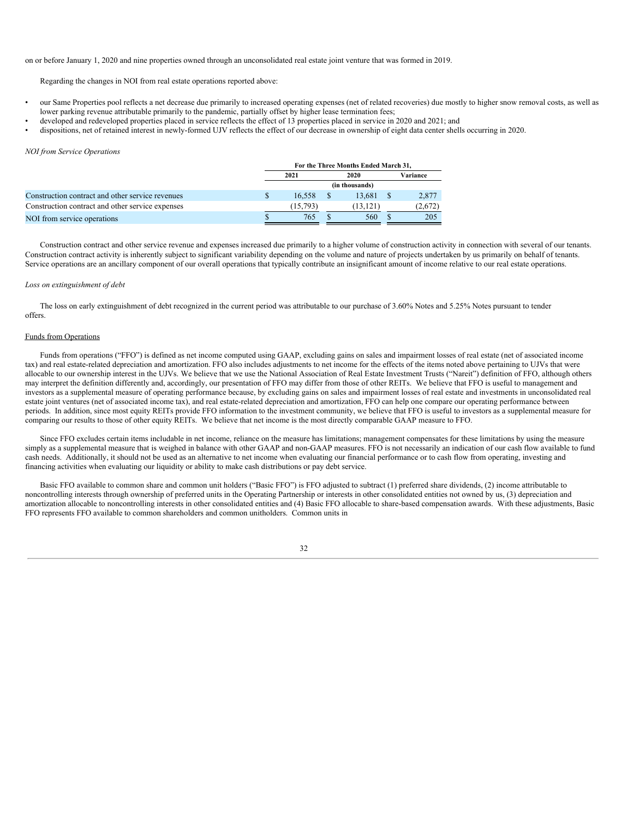#### on or before January 1, 2020 and nine properties owned through an unconsolidated real estate joint venture that was formed in 2019.

Regarding the changes in NOI from real estate operations reported above:

- our Same Properties pool reflects a net decrease due primarily to increased operating expenses (net of related recoveries) due mostly to higher snow removal costs, as well as lower parking revenue attributable primarily to the pandemic, partially offset by higher lease termination fees;
- developed and redeveloped properties placed in service reflects the effect of 13 properties placed in service in 2020 and 2021; and
- dispositions, net of retained interest in newly-formed UJV reflects the effect of our decrease in ownership of eight data center shells occurring in 2020.

#### *NOI from Service Operations*

|                                                  |  | For the Three Months Ended March 31. |  |                |  |         |  |  |  |  |
|--------------------------------------------------|--|--------------------------------------|--|----------------|--|---------|--|--|--|--|
|                                                  |  | Variance                             |  |                |  |         |  |  |  |  |
|                                                  |  |                                      |  | (in thousands) |  |         |  |  |  |  |
| Construction contract and other service revenues |  | 16.558                               |  | 13.681         |  | 2,877   |  |  |  |  |
| Construction contract and other service expenses |  | (15.793)                             |  | (13.121)       |  | (2,672) |  |  |  |  |
| NOI from service operations                      |  | 765                                  |  | 560            |  | 205     |  |  |  |  |

Construction contract and other service revenue and expenses increased due primarily to a higher volume of construction activity in connection with several of our tenants. Construction contract activity is inherently subject to significant variability depending on the volume and nature of projects undertaken by us primarily on behalf of tenants. Service operations are an ancillary component of our overall operations that typically contribute an insignificant amount of income relative to our real estate operations.

#### *Loss on extinguishment of debt*

The loss on early extinguishment of debt recognized in the current period was attributable to our purchase of 3.60% Notes and 5.25% Notes pursuant to tender offers.

# Funds from Operations

Funds from operations ("FFO") is defined as net income computed using GAAP, excluding gains on sales and impairment losses of real estate (net of associated income tax) and real estate-related depreciation and amortization. FFO also includes adjustments to net income for the effects of the items noted above pertaining to UJVs that were allocable to our ownership interest in the UJVs. We believe that we use the National Association of Real Estate Investment Trusts ("Nareit") definition of FFO, although others may interpret the definition differently and, accordingly, our presentation of FFO may differ from those of other REITs. We believe that FFO is useful to management and investors as a supplemental measure of operating performance because, by excluding gains on sales and impairment losses of real estate and investments in unconsolidated real estate joint ventures (net of associated income tax), and real estate-related depreciation and amortization, FFO can help one compare our operating performance between periods. In addition, since most equity REITs provide FFO information to the investment community, we believe that FFO is useful to investors as a supplemental measure for comparing our results to those of other equity REITs. We believe that net income is the most directly comparable GAAP measure to FFO.

Since FFO excludes certain items includable in net income, reliance on the measure has limitations; management compensates for these limitations by using the measure simply as a supplemental measure that is weighed in balance with other GAAP and non-GAAP measures. FFO is not necessarily an indication of our cash flow available to fund cash needs. Additionally, it should not be used as an alternative to net income when evaluating our financial performance or to cash flow from operating, investing and financing activities when evaluating our liquidity or ability to make cash distributions or pay debt service.

Basic FFO available to common share and common unit holders ("Basic FFO") is FFO adjusted to subtract (1) preferred share dividends, (2) income attributable to noncontrolling interests through ownership of preferred units in the Operating Partnership or interests in other consolidated entities not owned by us, (3) depreciation and amortization allocable to noncontrolling interests in other consolidated entities and (4) Basic FFO allocable to share-based compensation awards. With these adjustments, Basic FFO represents FFO available to common shareholders and common unitholders. Common units in

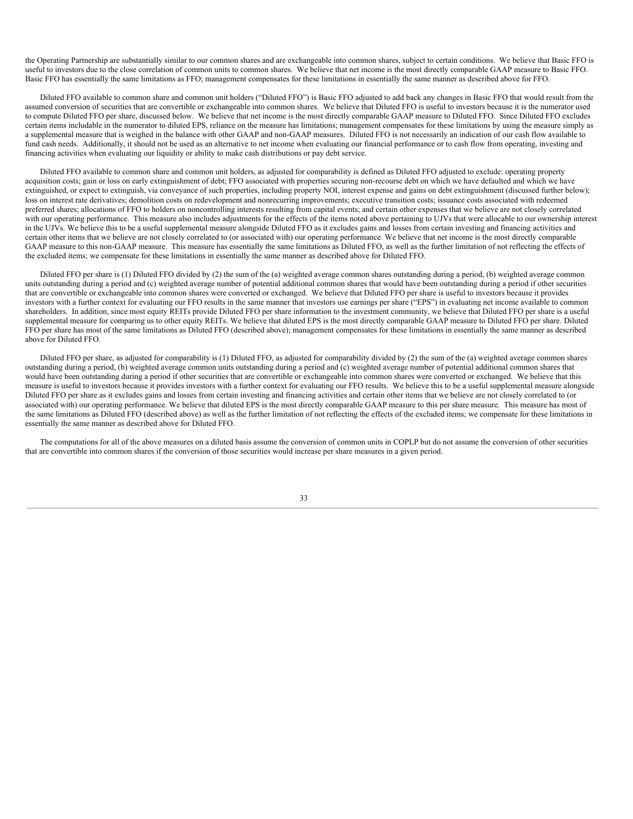the Operating Partnership are substantially similar to our common shares and are exchangeable into common shares, subject to certain conditions. We believe that Basic FFO is useful to investors due to the close correlation of common units to common shares. We believe that net income is the most directly comparable GAAP measure to Basic FFO. Basic FFO has essentially the same limitations as FFO; management compensates for these limitations in essentially the same manner as described above for FFO.

Diluted FFO available to common share and common unit holders ("Diluted FFO") is Basic FFO adjusted to add back any changes in Basic FFO that would result from the assumed conversion of securities that are convertible or exchangeable into common shares. We believe that Diluted FFO is useful to investors because it is the numerator used to compute Diluted FFO per share, discussed below. We believe that net income is the most directly comparable GAAP measure to Diluted FFO. Since Diluted FFO excludes certain items includable in the numerator to diluted EPS, reliance on the measure has limitations; management compensates for these limitations by using the measure simply as a supplemental measure that is weighed in the balance with other GAAP and non-GAAP measures. Diluted FFO is not necessarily an indication of our cash flow available to fund cash needs. Additionally, it should not be used as an alternative to net income when evaluating our financial performance or to cash flow from operating, investing and financing activities when evaluating our liquidity or ability to make cash distributions or pay debt service.

Diluted FFO available to common share and common unit holders, as adjusted for comparability is defined as Diluted FFO adjusted to exclude: operating property acquisition costs; gain or loss on early extinguishment of debt; FFO associated with properties securing non-recourse debt on which we have defaulted and which we have extinguished, or expect to extinguish, via conveyance of such properties, including property NOI, interest expense and gains on debt extinguishment (discussed further below); loss on interest rate derivatives; demolition costs on redevelopment and nonrecurring improvements; executive transition costs; issuance costs associated with redeemed preferred shares; allocations of FFO to holders on noncontrolling interests resulting from capital events; and certain other expenses that we believe are not closely correlated with our operating performance. This measure also includes adjustments for the effects of the items noted above pertaining to UJVs that were allocable to our ownership interest in the UJVs. We believe this to be a useful supplemental measure alongside Diluted FFO as it excludes gains and losses from certain investing and financing activities and certain other items that we believe are not closely correlated to (or associated with) our operating performance. We believe that net income is the most directly comparable GAAP measure to this non-GAAP measure. This measure has essentially the same limitations as Diluted FFO, as well as the further limitation of not reflecting the effects of the excluded items; we compensate for these limitations in essentially the same manner as described above for Diluted FFO.

Diluted FFO per share is (1) Diluted FFO divided by (2) the sum of the (a) weighted average common shares outstanding during a period, (b) weighted average common units outstanding during a period and (c) weighted average number of potential additional common shares that would have been outstanding during a period if other securities that are convertible or exchangeable into common shares were converted or exchanged. We believe that Diluted FFO per share is useful to investors because it provides investors with a further context for evaluating our FFO results in the same manner that investors use earnings per share ("EPS") in evaluating net income available to common shareholders. In addition, since most equity REITs provide Diluted FFO per share information to the investment community, we believe that Diluted FFO per share is a useful supplemental measure for comparing us to other equity REITs. We believe that diluted EPS is the most directly comparable GAAP measure to Diluted FFO per share. Diluted FFO per share has most of the same limitations as Diluted FFO (described above); management compensates for these limitations in essentially the same manner as described above for Diluted FFO.

Diluted FFO per share, as adjusted for comparability is (1) Diluted FFO, as adjusted for comparability divided by (2) the sum of the (a) weighted average common shares outstanding during a period, (b) weighted average common units outstanding during a period and (c) weighted average number of potential additional common shares that would have been outstanding during a period if other securities that are convertible or exchangeable into common shares were converted or exchanged. We believe that this measure is useful to investors because it provides investors with a further context for evaluating our FFO results. We believe this to be a useful supplemental measure alongside Diluted FFO per share as it excludes gains and losses from certain investing and financing activities and certain other items that we believe are not closely correlated to (or associated with) our operating performance. We believe that diluted EPS is the most directly comparable GAAP measure to this per share measure. This measure has most of the same limitations as Diluted FFO (described above) as well as the further limitation of not reflecting the effects of the excluded items; we compensate for these limitations in essentially the same manner as described above for Diluted FFO.

The computations for all of the above measures on a diluted basis assume the conversion of common units in COPLP but do not assume the conversion of other securities that are convertible into common shares if the conversion of those securities would increase per share measures in a given period.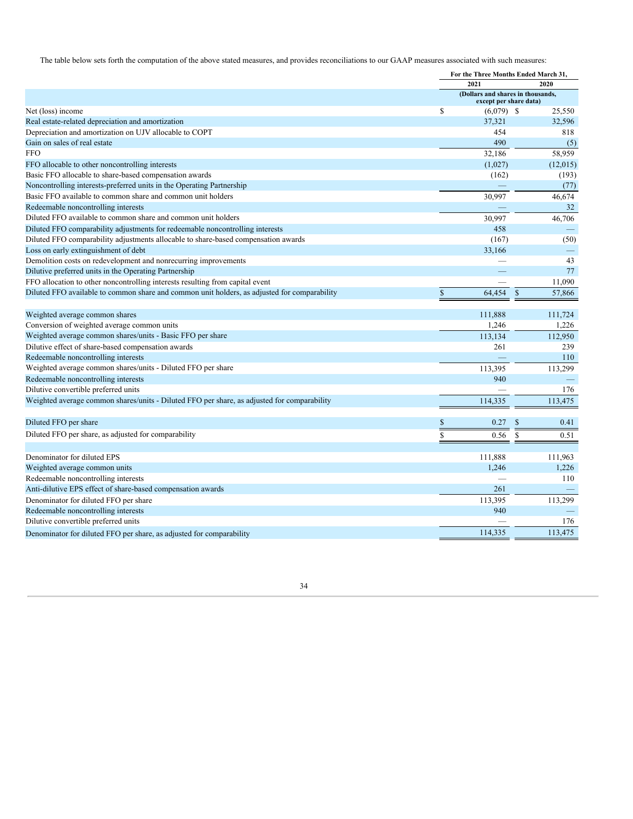The table below sets forth the computation of the above stated measures, and provides reconciliations to our GAAP measures associated with such measures:

|                                                                                              |              | For the Three Months Ended March 31,                        |               |          |  |
|----------------------------------------------------------------------------------------------|--------------|-------------------------------------------------------------|---------------|----------|--|
|                                                                                              |              | 2021                                                        |               | 2020     |  |
|                                                                                              |              | (Dollars and shares in thousands,<br>except per share data) |               |          |  |
| Net (loss) income                                                                            | \$           | $(6,079)$ \$                                                |               | 25,550   |  |
| Real estate-related depreciation and amortization                                            |              | 37,321                                                      |               | 32,596   |  |
| Depreciation and amortization on UJV allocable to COPT                                       |              | 454                                                         |               | 818      |  |
| Gain on sales of real estate                                                                 |              | 490                                                         |               | (5)      |  |
| <b>FFO</b>                                                                                   |              | 32,186                                                      |               | 58,959   |  |
| FFO allocable to other noncontrolling interests                                              |              | (1,027)                                                     |               | (12,015) |  |
| Basic FFO allocable to share-based compensation awards                                       |              | (162)                                                       |               | (193)    |  |
| Noncontrolling interests-preferred units in the Operating Partnership                        |              |                                                             |               | (77)     |  |
| Basic FFO available to common share and common unit holders                                  |              | 30,997                                                      |               | 46,674   |  |
| Redeemable noncontrolling interests                                                          |              |                                                             |               | 32       |  |
| Diluted FFO available to common share and common unit holders                                |              | 30.997                                                      |               | 46,706   |  |
| Diluted FFO comparability adjustments for redeemable noncontrolling interests                |              | 458                                                         |               |          |  |
| Diluted FFO comparability adjustments allocable to share-based compensation awards           |              | (167)                                                       |               | (50)     |  |
| Loss on early extinguishment of debt                                                         |              | 33,166                                                      |               |          |  |
| Demolition costs on redevelopment and nonrecurring improvements                              |              | ÷.                                                          |               | 43       |  |
| Dilutive preferred units in the Operating Partnership                                        |              |                                                             |               | 77       |  |
| FFO allocation to other noncontrolling interests resulting from capital event                |              |                                                             |               | 11,090   |  |
| Diluted FFO available to common share and common unit holders, as adjusted for comparability | $\mathbb{S}$ | 64,454                                                      | $\mathcal{S}$ | 57,866   |  |
|                                                                                              |              |                                                             |               |          |  |
| Weighted average common shares                                                               |              | 111,888                                                     |               | 111,724  |  |
| Conversion of weighted average common units                                                  |              | 1,246                                                       |               | 1,226    |  |
| Weighted average common shares/units - Basic FFO per share                                   |              | 113,134                                                     |               | 112,950  |  |
| Dilutive effect of share-based compensation awards                                           |              | 261                                                         |               | 239      |  |
| Redeemable noncontrolling interests                                                          |              |                                                             |               | 110      |  |
| Weighted average common shares/units - Diluted FFO per share                                 |              | 113,395                                                     |               | 113,299  |  |
| Redeemable noncontrolling interests                                                          |              | 940                                                         |               |          |  |
| Dilutive convertible preferred units                                                         |              |                                                             |               | 176      |  |
| Weighted average common shares/units - Diluted FFO per share, as adjusted for comparability  |              | 114,335                                                     |               | 113,475  |  |
|                                                                                              |              |                                                             |               |          |  |
| Diluted FFO per share                                                                        | $\mathbb{S}$ | 0.27                                                        | \$            | 0.41     |  |
| Diluted FFO per share, as adjusted for comparability                                         | $\mathbf S$  | 0.56                                                        | \$            | 0.51     |  |
|                                                                                              |              |                                                             |               |          |  |
| Denominator for diluted EPS                                                                  |              | 111,888                                                     |               | 111,963  |  |
| Weighted average common units                                                                |              | 1,246                                                       |               | 1,226    |  |
| Redeemable noncontrolling interests                                                          |              |                                                             |               | 110      |  |
| Anti-dilutive EPS effect of share-based compensation awards                                  |              | 261                                                         |               |          |  |
| Denominator for diluted FFO per share                                                        |              | 113,395                                                     |               | 113,299  |  |
| Redeemable noncontrolling interests                                                          |              | 940                                                         |               |          |  |
| Dilutive convertible preferred units                                                         |              |                                                             |               | 176      |  |
| Denominator for diluted FFO per share, as adjusted for comparability                         |              | 114.335                                                     |               | 113,475  |  |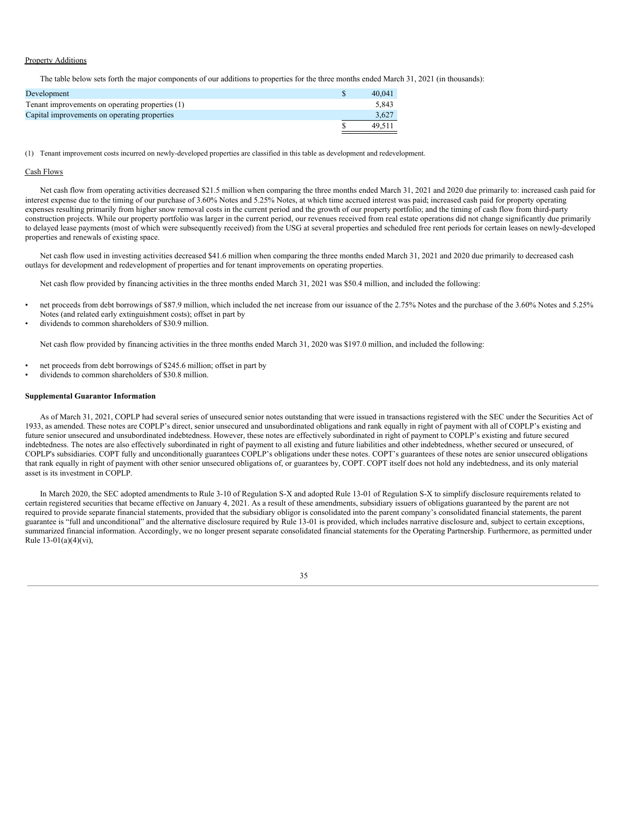## Property Additions

The table below sets forth the major components of our additions to properties for the three months ended March 31, 2021 (in thousands):

| Development                                     | 40.041 |
|-------------------------------------------------|--------|
| Tenant improvements on operating properties (1) | 5.843  |
| Capital improvements on operating properties    | 3.627  |
|                                                 | 49.511 |

(1) Tenant improvement costs incurred on newly-developed properties are classified in this table as development and redevelopment.

#### Cash Flows

Net cash flow from operating activities decreased \$21.5 million when comparing the three months ended March 31, 2021 and 2020 due primarily to: increased cash paid for interest expense due to the timing of our purchase of 3.60% Notes and 5.25% Notes, at which time accrued interest was paid; increased cash paid for property operating expenses resulting primarily from higher snow removal costs in the current period and the growth of our property portfolio; and the timing of cash flow from third-party construction projects. While our property portfolio was larger in the current period, our revenues received from real estate operations did not change significantly due primarily to delayed lease payments (most of which were subsequently received) from the USG at several properties and scheduled free rent periods for certain leases on newly-developed properties and renewals of existing space.

Net cash flow used in investing activities decreased \$41.6 million when comparing the three months ended March 31, 2021 and 2020 due primarily to decreased cash outlays for development and redevelopment of properties and for tenant improvements on operating properties.

Net cash flow provided by financing activities in the three months ended March 31, 2021 was \$50.4 million, and included the following:

- net proceeds from debt borrowings of \$87.9 million, which included the net increase from our issuance of the 2.75% Notes and the purchase of the 3.60% Notes and 5.25% Notes (and related early extinguishment costs); offset in part by
- dividends to common shareholders of \$30.9 million.

Net cash flow provided by financing activities in the three months ended March 31, 2020 was \$197.0 million, and included the following:

- net proceeds from debt borrowings of \$245.6 million; offset in part by
- dividends to common shareholders of \$30.8 million.

# **Supplemental Guarantor Information**

As of March 31, 2021, COPLP had several series of unsecured senior notes outstanding that were issued in transactions registered with the SEC under the Securities Act of 1933, as amended. These notes are COPLP's direct, senior unsecured and unsubordinated obligations and rank equally in right of payment with all of COPLP's existing and future senior unsecured and unsubordinated indebtedness. However, these notes are effectively subordinated in right of payment to COPLP's existing and future secured indebtedness. The notes are also effectively subordinated in right of payment to all existing and future liabilities and other indebtedness, whether secured or unsecured, of COPLP's subsidiaries. COPT fully and unconditionally guarantees COPLP's obligations under these notes. COPT's guarantees of these notes are senior unsecured obligations that rank equally in right of payment with other senior unsecured obligations of, or guarantees by, COPT. COPT itself does not hold any indebtedness, and its only material asset is its investment in COPLP.

In March 2020, the SEC adopted amendments to Rule 3-10 of Regulation S-X and adopted Rule 13-01 of Regulation S-X to simplify disclosure requirements related to certain registered securities that became effective on January 4, 2021. As a result of these amendments, subsidiary issuers of obligations guaranteed by the parent are not required to provide separate financial statements, provided that the subsidiary obligor is consolidated into the parent company's consolidated financial statements, the parent guarantee is "full and unconditional" and the alternative disclosure required by Rule 13-01 is provided, which includes narrative disclosure and, subject to certain exceptions, summarized financial information. Accordingly, we no longer present separate consolidated financial statements for the Operating Partnership. Furthermore, as permitted under Rule 13-01(a)(4)(vi),

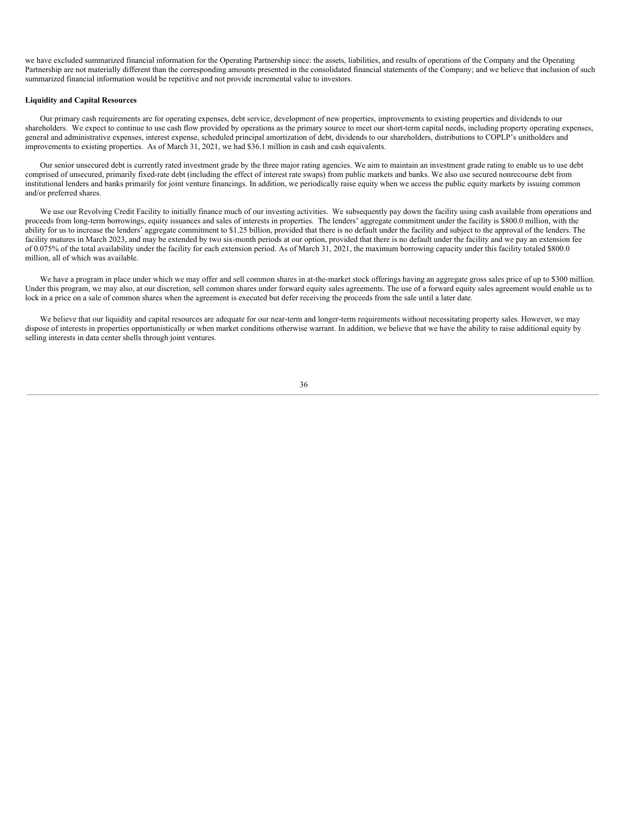we have excluded summarized financial information for the Operating Partnership since: the assets, liabilities, and results of operations of the Company and the Operating Partnership are not materially different than the corresponding amounts presented in the consolidated financial statements of the Company; and we believe that inclusion of such summarized financial information would be repetitive and not provide incremental value to investors.

#### **Liquidity and Capital Resources**

Our primary cash requirements are for operating expenses, debt service, development of new properties, improvements to existing properties and dividends to our shareholders. We expect to continue to use cash flow provided by operations as the primary source to meet our short-term capital needs, including property operating expenses, general and administrative expenses, interest expense, scheduled principal amortization of debt, dividends to our shareholders, distributions to COPLP's unitholders and improvements to existing properties. As of March 31, 2021, we had \$36.1 million in cash and cash equivalents.

Our senior unsecured debt is currently rated investment grade by the three major rating agencies. We aim to maintain an investment grade rating to enable us to use debt comprised of unsecured, primarily fixed-rate debt (including the effect of interest rate swaps) from public markets and banks. We also use secured nonrecourse debt from institutional lenders and banks primarily for joint venture financings. In addition, we periodically raise equity when we access the public equity markets by issuing common and/or preferred shares.

We use our Revolving Credit Facility to initially finance much of our investing activities. We subsequently pay down the facility using cash available from operations and proceeds from long-term borrowings, equity issuances and sales of interests in properties. The lenders' aggregate commitment under the facility is \$800.0 million, with the ability for us to increase the lenders' aggregate commitment to \$1.25 billion, provided that there is no default under the facility and subject to the approval of the lenders. The facility matures in March 2023, and may be extended by two six-month periods at our option, provided that there is no default under the facility and we pay an extension fee of 0.075% of the total availability under the facility for each extension period. As of March 31, 2021, the maximum borrowing capacity under this facility totaled \$800.0 million, all of which was available.

We have a program in place under which we may offer and sell common shares in at-the-market stock offerings having an aggregate gross sales price of up to \$300 million. Under this program, we may also, at our discretion, sell common shares under forward equity sales agreements. The use of a forward equity sales agreement would enable us to lock in a price on a sale of common shares when the agreement is executed but defer receiving the proceeds from the sale until a later date.

We believe that our liquidity and capital resources are adequate for our near-term and longer-term requirements without necessitating property sales. However, we may dispose of interests in properties opportunistically or when market conditions otherwise warrant. In addition, we believe that we have the ability to raise additional equity by selling interests in data center shells through joint ventures.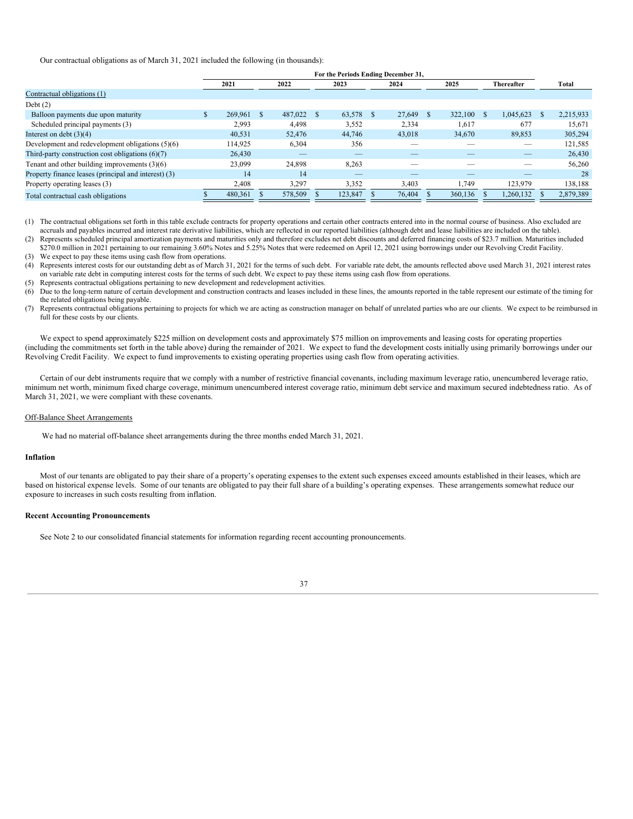Our contractual obligations as of March 31, 2021 included the following (in thousands):

|                                                      | For the Periods Ending December 31, |         |   |            |  |           |  |                          |    |         |      |                          |   |           |
|------------------------------------------------------|-------------------------------------|---------|---|------------|--|-----------|--|--------------------------|----|---------|------|--------------------------|---|-----------|
|                                                      |                                     | 2021    |   | 2022       |  | 2023      |  | 2024                     |    | 2025    |      | Thereafter               |   | Total     |
| Contractual obligations (1)                          |                                     |         |   |            |  |           |  |                          |    |         |      |                          |   |           |
| Debt(2)                                              |                                     |         |   |            |  |           |  |                          |    |         |      |                          |   |           |
| Balloon payments due upon maturity                   |                                     | 269,961 | S | 487,022 \$ |  | 63,578 \$ |  | 27,649                   | -S | 322,100 | - \$ | 1,045,623                | S | 2,215,933 |
| Scheduled principal payments (3)                     |                                     | 2,993   |   | 4.498      |  | 3,552     |  | 2,334                    |    | 1,617   |      | 677                      |   | 15,671    |
| Interest on debt $(3)(4)$                            |                                     | 40.531  |   | 52,476     |  | 44,746    |  | 43,018                   |    | 34,670  |      | 89,853                   |   | 305,294   |
| Development and redevelopment obligations $(5)(6)$   |                                     | 114,925 |   | 6,304      |  | 356       |  |                          |    |         |      |                          |   | 121,585   |
| Third-party construction cost obligations $(6)(7)$   |                                     | 26,430  |   |            |  | __        |  | $\overline{\phantom{a}}$ |    |         |      | $\overline{\phantom{a}}$ |   | 26,430    |
| Tenant and other building improvements $(3)(6)$      |                                     | 23,099  |   | 24,898     |  | 8,263     |  |                          |    |         |      |                          |   | 56,260    |
| Property finance leases (principal and interest) (3) |                                     | 14      |   | 14         |  | $-$       |  |                          |    |         |      |                          |   | 28        |
| Property operating leases (3)                        |                                     | 2,408   |   | 3,297      |  | 3,352     |  | 3,403                    |    | 1,749   |      | 123,979                  |   | 138,188   |
| Total contractual cash obligations                   |                                     | 480,361 |   | 578,509    |  | 123,847   |  | 76,404                   |    | 360,136 |      | 1,260,132                |   | 2,879,389 |

(1) The contractual obligations set forth in this table exclude contracts for property operations and certain other contracts entered into in the normal course of business. Also excluded are accruals and payables incurred and interest rate derivative liabilities, which are reflected in our reported liabilities (although debt and lease liabilities are included on the table).

(2) Represents scheduled principal amortization payments and maturities only and therefore excludes net debt discounts and deferred financing costs of \$23.7 million. Maturities included \$270.0 million in 2021 pertaining to our remaining 3.60% Notes and 5.25% Notes that were redeemed on April 12, 2021 using borrowings under our Revolving Credit Facility.

(3) We expect to pay these items using cash flow from operations.

(4) Represents interest costs for our outstanding debt as of March 31, 2021 for the terms of such debt. For variable rate debt, the amounts reflected above used March 31, 2021 interest rates on variable rate debt in computing interest costs for the terms of such debt. We expect to pay these items using cash flow from operations.

(5) Represents contractual obligations pertaining to new development and redevelopment activities.

(6) Due to the long-term nature of certain development and construction contracts and leases included in these lines, the amounts reported in the table represent our estimate of the timing for the related obligations being payable.

(7) Represents contractual obligations pertaining to projects for which we are acting as construction manager on behalf of unrelated parties who are our clients. We expect to be reimbursed in full for these costs by our clients.

We expect to spend approximately \$225 million on development costs and approximately \$75 million on improvements and leasing costs for operating properties (including the commitments set forth in the table above) during the remainder of 2021. We expect to fund the development costs initially using primarily borrowings under our Revolving Credit Facility. We expect to fund improvements to existing operating properties using cash flow from operating activities.

Certain of our debt instruments require that we comply with a number of restrictive financial covenants, including maximum leverage ratio, unencumbered leverage ratio, minimum net worth, minimum fixed charge coverage, minimum unencumbered interest coverage ratio, minimum debt service and maximum secured indebtedness ratio. As of March 31, 2021, we were compliant with these covenants.

#### Off-Balance Sheet Arrangements

We had no material off-balance sheet arrangements during the three months ended March 31, 2021.

#### **Inflation**

Most of our tenants are obligated to pay their share of a property's operating expenses to the extent such expenses exceed amounts established in their leases, which are based on historical expense levels. Some of our tenants are obligated to pay their full share of a building's operating expenses. These arrangements somewhat reduce our exposure to increases in such costs resulting from inflation.

#### **Recent Accounting Pronouncements**

<span id="page-36-0"></span>See Note 2 to our consolidated financial statements for information regarding recent accounting pronouncements.

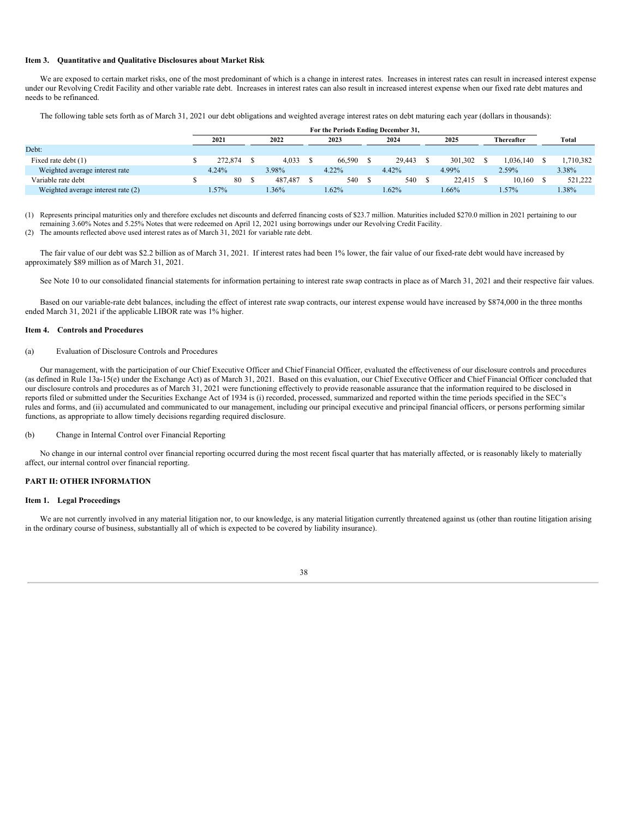#### **Item 3. Quantitative and Qualitative Disclosures about Market Risk**

We are exposed to certain market risks, one of the most predominant of which is a change in interest rates. Increases in interest rates can result in increased interest expense under our Revolving Credit Facility and other variable rate debt. Increases in interest rates can also result in increased interest expense when our fixed rate debt matures and needs to be refinanced.

The following table sets forth as of March 31, 2021 our debt obligations and weighted average interest rates on debt maturing each year (dollars in thousands):

|                                    | For the Periods Ending December 31, |          |  |         |  |         |  |        |  |         |            |          |
|------------------------------------|-------------------------------------|----------|--|---------|--|---------|--|--------|--|---------|------------|----------|
|                                    |                                     | 2021     |  | 2022    |  | 2023    |  | 2024   |  | 2025    | Thereafter | Total    |
| Debt:                              |                                     |          |  |         |  |         |  |        |  |         |            |          |
| Fixed rate debt (1)                |                                     | 272,874  |  | 4.033   |  | 66,590  |  | 29.443 |  | 301.302 | 1.036.140  | .710.382 |
| Weighted average interest rate     |                                     | 4.24%    |  | 3.98%   |  | 4.22%   |  | 4.42%  |  | 4.99%   | 2.59%      | 3.38%    |
| Variable rate debt                 |                                     | 80       |  | 487,487 |  | 540     |  | 540    |  | 22,415  | 10.160     | 521.222  |
| Weighted average interest rate (2) |                                     | $1.57\%$ |  | .36%    |  | $.62\%$ |  | 1.62%  |  | .66%    | $.57\%$    | .38%     |

(1) Represents principal maturities only and therefore excludes net discounts and deferred financing costs of \$23.7 million. Maturities included \$270.0 million in 2021 pertaining to our remaining 3.60% Notes and 5.25% Notes that were redeemed on April 12, 2021 using borrowings under our Revolving Credit Facility.

(2) The amounts reflected above used interest rates as of March 31, 2021 for variable rate debt.

The fair value of our debt was \$2.2 billion as of March 31, 2021. If interest rates had been 1% lower, the fair value of our fixed-rate debt would have increased by approximately \$89 million as of March 31, 2021.

See Note 10 to our consolidated financial statements for information pertaining to interest rate swap contracts in place as of March 31, 2021 and their respective fair values.

Based on our variable-rate debt balances, including the effect of interest rate swap contracts, our interest expense would have increased by \$874,000 in the three months ended March 31, 2021 if the applicable LIBOR rate was 1% higher.

### <span id="page-37-0"></span>**Item 4. Controls and Procedures**

#### (a) Evaluation of Disclosure Controls and Procedures

Our management, with the participation of our Chief Executive Officer and Chief Financial Officer, evaluated the effectiveness of our disclosure controls and procedures (as defined in Rule 13a-15(e) under the Exchange Act) as of March 31, 2021. Based on this evaluation, our Chief Executive Officer and Chief Financial Officer concluded that our disclosure controls and procedures as of March 31, 2021 were functioning effectively to provide reasonable assurance that the information required to be disclosed in reports filed or submitted under the Securities Exchange Act of 1934 is (i) recorded, processed, summarized and reported within the time periods specified in the SEC's rules and forms, and (ii) accumulated and communicated to our management, including our principal executive and principal financial officers, or persons performing similar functions, as appropriate to allow timely decisions regarding required disclosure.

#### (b) Change in Internal Control over Financial Reporting

No change in our internal control over financial reporting occurred during the most recent fiscal quarter that has materially affected, or is reasonably likely to materially affect, our internal control over financial reporting.

# <span id="page-37-1"></span>**PART II: OTHER INFORMATION**

### <span id="page-37-2"></span>**Item 1. Legal Proceedings**

<span id="page-37-3"></span>We are not currently involved in any material litigation nor, to our knowledge, is any material litigation currently threatened against us (other than routine litigation arising in the ordinary course of business, substantially all of which is expected to be covered by liability insurance).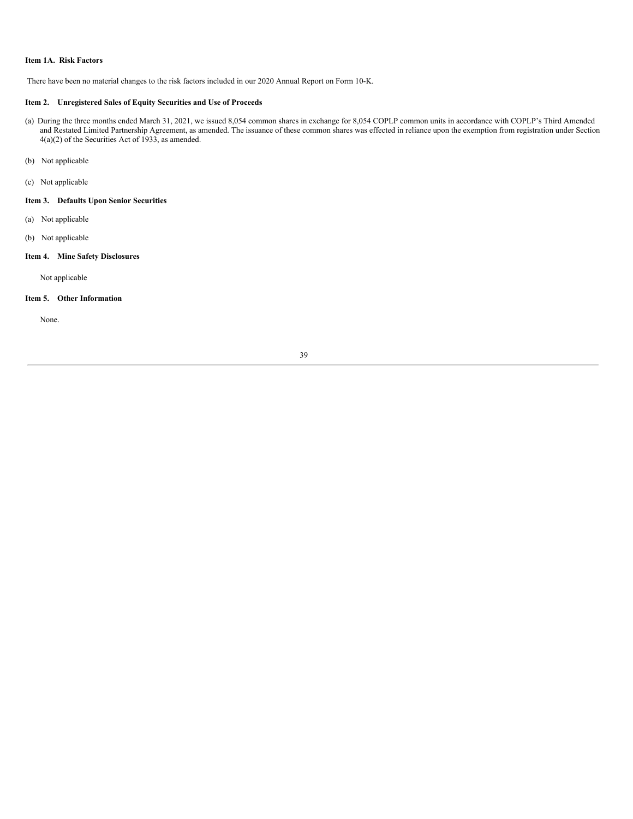# **Item 1A. Risk Factors**

There have been no material changes to the risk factors included in our 2020 Annual Report on Form 10-K.

# <span id="page-38-0"></span>**Item 2. Unregistered Sales of Equity Securities and Use of Proceeds**

(a) During the three months ended March 31, 2021, we issued 8,054 common shares in exchange for 8,054 COPLP common units in accordance with COPLP's Third Amended and Restated Limited Partnership Agreement, as amended. The issuance of these common shares was effected in reliance upon the exemption from registration under Section 4(a)(2) of the Securities Act of 1933, as amended.

(b) Not applicable

(c) Not applicable

# <span id="page-38-1"></span>**Item 3. Defaults Upon Senior Securities**

- (a) Not applicable
- (b) Not applicable

# <span id="page-38-2"></span>**Item 4. Mine Safety Disclosures**

Not applicable

# <span id="page-38-3"></span>**Item 5. Other Information**

<span id="page-38-4"></span>None.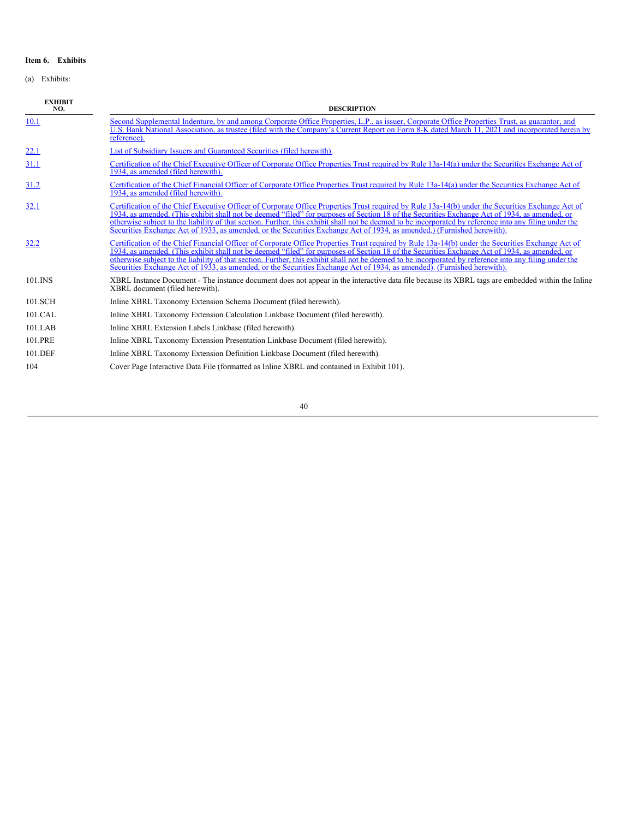# **Item 6. Exhibits**

(a) Exhibits:

<span id="page-39-0"></span>

| <b>EXHIBIT</b><br>NO. | <b>DESCRIPTION</b>                                                                                                                                                                                                                                                                                                                                                                                                                                                                                                                                                                       |
|-----------------------|------------------------------------------------------------------------------------------------------------------------------------------------------------------------------------------------------------------------------------------------------------------------------------------------------------------------------------------------------------------------------------------------------------------------------------------------------------------------------------------------------------------------------------------------------------------------------------------|
| 10.1                  | Second Supplemental Indenture, by and among Corporate Office Properties, L.P., as issuer, Corporate Office Properties Trust, as guarantor, and<br>U.S. Bank National Association, as trustee (filed with the Company's Current Report on Form 8-K dated March 11, 2021 and incorporated herein by<br>reference).                                                                                                                                                                                                                                                                         |
| 22.1                  | List of Subsidiary Issuers and Guaranteed Securities (filed herewith).                                                                                                                                                                                                                                                                                                                                                                                                                                                                                                                   |
| 31.1                  | Certification of the Chief Executive Officer of Corporate Office Properties Trust required by Rule 13a-14(a) under the Securities Exchange Act of<br>1934, as amended (filed herewith).                                                                                                                                                                                                                                                                                                                                                                                                  |
| 31.2                  | Certification of the Chief Financial Officer of Corporate Office Properties Trust required by Rule 13a-14(a) under the Securities Exchange Act of<br>1934, as amended (filed herewith).                                                                                                                                                                                                                                                                                                                                                                                                  |
| 32.1                  | Certification of the Chief Executive Officer of Corporate Office Properties Trust required by Rule 13a-14(b) under the Securities Exchange Act of<br>1934, as amended. (This exhibit shall not be deemed "filed" for purposes of Section 18 of the Securities Exchange Act of 1934, as amended, or<br>otherwise subject to the liability of that section. Further, this exhibit shall not be deemed to be incorporated by reference into any filing under the<br>Securities Exchange Act of 1933, as amended, or the Securities Exchange Act of 1934, as amended.) (Furnished herewith). |
| 32.2                  | Certification of the Chief Financial Officer of Corporate Office Properties Trust required by Rule 13a-14(b) under the Securities Exchange Act of<br>1934, as amended. (This exhibit shall not be deemed "filed" for purposes of Section 18 of the Securities Exchange Act of 1934, as amended, or<br>otherwise subject to the liability of that section. Further, this exhibit shall not be deemed to be incorporated by reference into any filing under the<br>Securities Exchange Act of 1933, as amended, or the Securities Exchange Act of 1934, as amended). (Furnished herewith). |
| 101.INS               | XBRL Instance Document - The instance document does not appear in the interactive data file because its XBRL tags are embedded within the Inline<br>XBRL document (filed herewith).                                                                                                                                                                                                                                                                                                                                                                                                      |
| 101.SCH               | Inline XBRL Taxonomy Extension Schema Document (filed herewith).                                                                                                                                                                                                                                                                                                                                                                                                                                                                                                                         |
| 101.CAL               | Inline XBRL Taxonomy Extension Calculation Linkbase Document (filed herewith).                                                                                                                                                                                                                                                                                                                                                                                                                                                                                                           |
| 101.LAB               | Inline XBRL Extension Labels Linkbase (filed herewith).                                                                                                                                                                                                                                                                                                                                                                                                                                                                                                                                  |
| 101.PRE               | Inline XBRL Taxonomy Extension Presentation Linkbase Document (filed herewith).                                                                                                                                                                                                                                                                                                                                                                                                                                                                                                          |
| 101.DEF               | Inline XBRL Taxonomy Extension Definition Linkbase Document (filed herewith).                                                                                                                                                                                                                                                                                                                                                                                                                                                                                                            |
| 104                   | Cover Page Interactive Data File (formatted as Inline XBRL and contained in Exhibit 101).                                                                                                                                                                                                                                                                                                                                                                                                                                                                                                |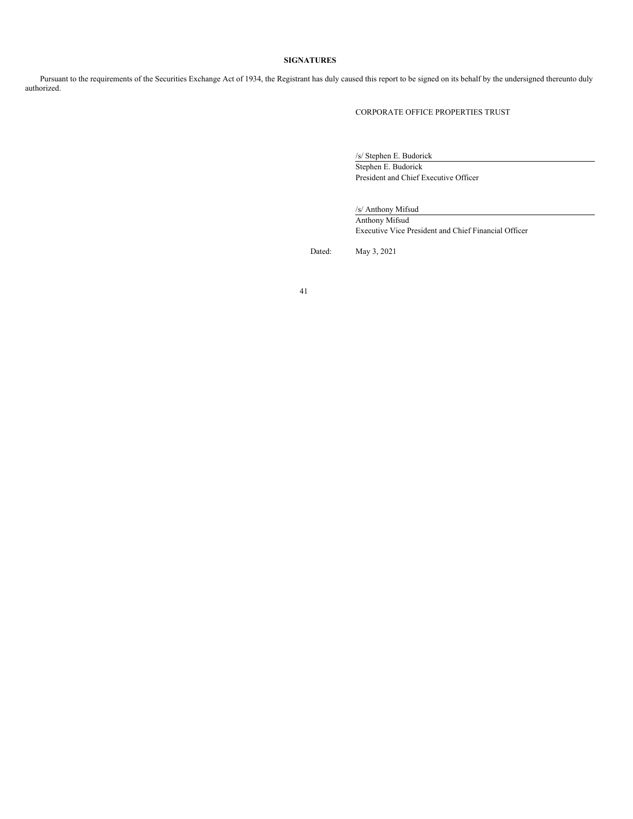# **SIGNATURES**

Pursuant to the requirements of the Securities Exchange Act of 1934, the Registrant has duly caused this report to be signed on its behalf by the undersigned thereunto duly authorized.

CORPORATE OFFICE PROPERTIES TRUST

/s/ Stephen E. Budorick

Stephen E. Budorick President and Chief Executive Officer

/s/ Anthony Mifsud

Anthony Mifsud Executive Vice President and Chief Financial Officer

Dated: May 3, 2021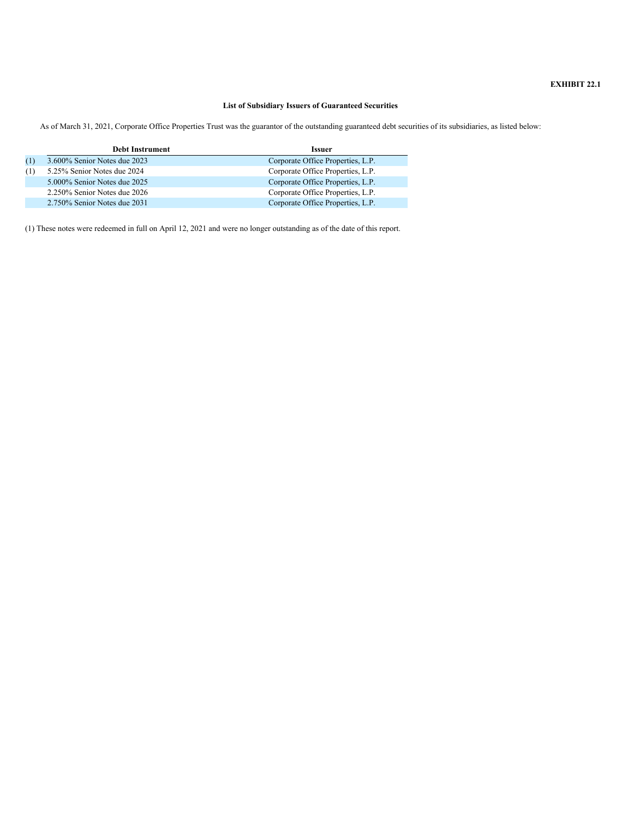# **EXHIBIT 22.1**

# **List of Subsidiary Issuers of Guaranteed Securities**

<span id="page-41-0"></span>As of March 31, 2021, Corporate Office Properties Trust was the guarantor of the outstanding guaranteed debt securities of its subsidiaries, as listed below:

|     | <b>Debt Instrument</b>       | <b>Issuer</b>                     |
|-----|------------------------------|-----------------------------------|
| (1) | 3.600% Senior Notes due 2023 | Corporate Office Properties, L.P. |
| (1) | 5.25% Senior Notes due 2024  | Corporate Office Properties, L.P. |
|     | 5.000% Senior Notes due 2025 | Corporate Office Properties, L.P. |
|     | 2.250% Senior Notes due 2026 | Corporate Office Properties, L.P. |
|     | 2.750% Senior Notes due 2031 | Corporate Office Properties, L.P. |

(1) These notes were redeemed in full on April 12, 2021 and were no longer outstanding as of the date of this report.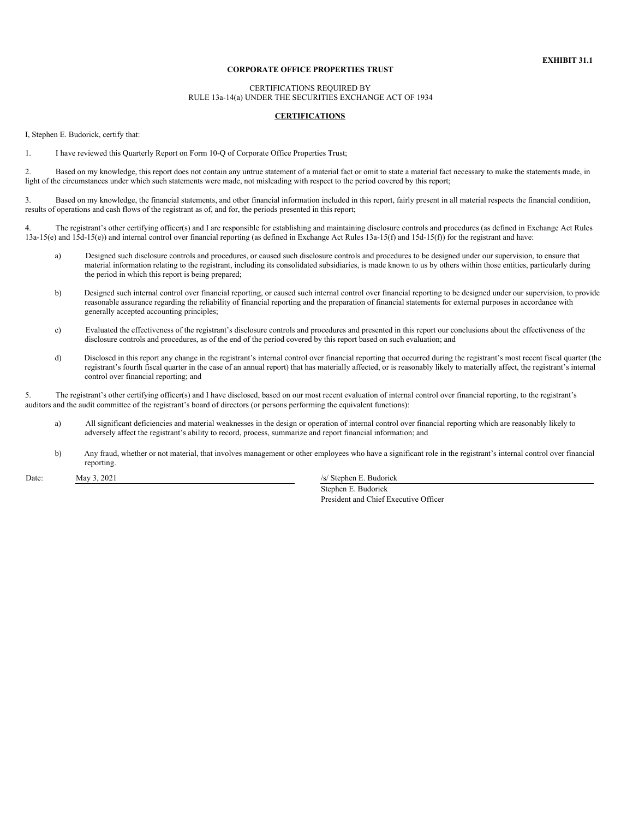## CERTIFICATIONS REQUIRED BY RULE 13a-14(a) UNDER THE SECURITIES EXCHANGE ACT OF 1934

# **CERTIFICATIONS**

<span id="page-42-0"></span>I, Stephen E. Budorick, certify that:

1. I have reviewed this Quarterly Report on Form 10-Q of Corporate Office Properties Trust;

2. Based on my knowledge, this report does not contain any untrue statement of a material fact or omit to state a material fact necessary to make the statements made, in light of the circumstances under which such statements were made, not misleading with respect to the period covered by this report;

3. Based on my knowledge, the financial statements, and other financial information included in this report, fairly present in all material respects the financial condition, results of operations and cash flows of the registrant as of, and for, the periods presented in this report;

4. The registrant's other certifying officer(s) and I are responsible for establishing and maintaining disclosure controls and procedures (as defined in Exchange Act Rules 13a-15(e) and 15d-15(e)) and internal control over financial reporting (as defined in Exchange Act Rules 13a-15(f) and 15d-15(f)) for the registrant and have:

- a) Designed such disclosure controls and procedures, or caused such disclosure controls and procedures to be designed under our supervision, to ensure that material information relating to the registrant, including its consolidated subsidiaries, is made known to us by others within those entities, particularly during the period in which this report is being prepared;
- b) Designed such internal control over financial reporting, or caused such internal control over financial reporting to be designed under our supervision, to provide reasonable assurance regarding the reliability of financial reporting and the preparation of financial statements for external purposes in accordance with generally accepted accounting principles;
- c) Evaluated the effectiveness of the registrant's disclosure controls and procedures and presented in this report our conclusions about the effectiveness of the disclosure controls and procedures, as of the end of the period covered by this report based on such evaluation; and
- d) Disclosed in this report any change in the registrant's internal control over financial reporting that occurred during the registrant's most recent fiscal quarter (the registrant's fourth fiscal quarter in the case of an annual report) that has materially affected, or is reasonably likely to materially affect, the registrant's internal control over financial reporting; and

5. The registrant's other certifying officer(s) and I have disclosed, based on our most recent evaluation of internal control over financial reporting, to the registrant's auditors and the audit committee of the registrant's board of directors (or persons performing the equivalent functions):

- a) All significant deficiencies and material weaknesses in the design or operation of internal control over financial reporting which are reasonably likely to adversely affect the registrant's ability to record, process, summarize and report financial information; and
- b) Any fraud, whether or not material, that involves management or other employees who have a significant role in the registrant's internal control over financial reporting.

Date: May 3, 2021 /s/ Stephen E. Budorick

Stephen E. Budorick President and Chief Executive Officer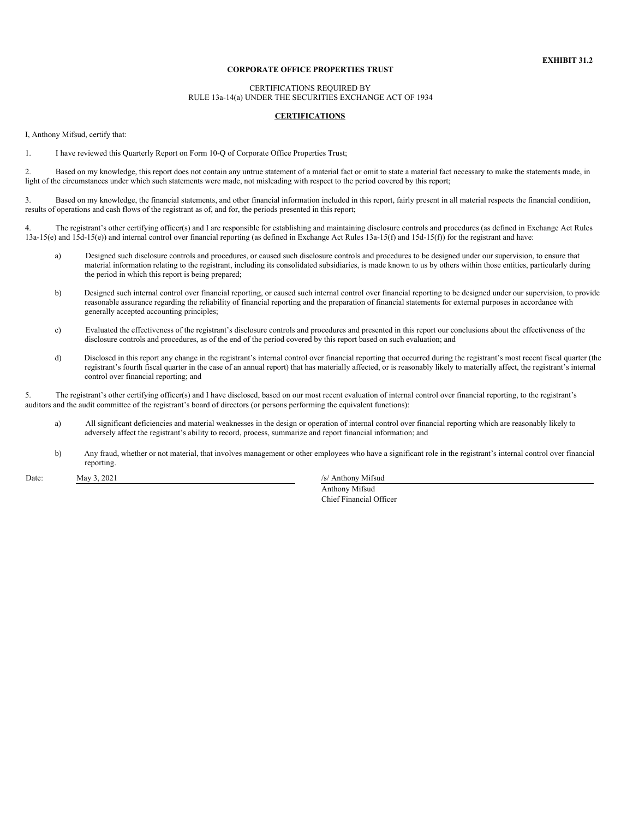### CERTIFICATIONS REQUIRED BY RULE 13a-14(a) UNDER THE SECURITIES EXCHANGE ACT OF 1934

# **CERTIFICATIONS**

<span id="page-43-0"></span>I, Anthony Mifsud, certify that:

1. I have reviewed this Quarterly Report on Form 10-Q of Corporate Office Properties Trust;

2. Based on my knowledge, this report does not contain any untrue statement of a material fact or omit to state a material fact necessary to make the statements made, in light of the circumstances under which such statements were made, not misleading with respect to the period covered by this report;

3. Based on my knowledge, the financial statements, and other financial information included in this report, fairly present in all material respects the financial condition, results of operations and cash flows of the registrant as of, and for, the periods presented in this report;

4. The registrant's other certifying officer(s) and I are responsible for establishing and maintaining disclosure controls and procedures (as defined in Exchange Act Rules 13a-15(e) and 15d-15(e)) and internal control over financial reporting (as defined in Exchange Act Rules 13a-15(f) and 15d-15(f)) for the registrant and have:

- a) Designed such disclosure controls and procedures, or caused such disclosure controls and procedures to be designed under our supervision, to ensure that material information relating to the registrant, including its consolidated subsidiaries, is made known to us by others within those entities, particularly during the period in which this report is being prepared;
- b) Designed such internal control over financial reporting, or caused such internal control over financial reporting to be designed under our supervision, to provide reasonable assurance regarding the reliability of financial reporting and the preparation of financial statements for external purposes in accordance with generally accepted accounting principles;
- c) Evaluated the effectiveness of the registrant's disclosure controls and procedures and presented in this report our conclusions about the effectiveness of the disclosure controls and procedures, as of the end of the period covered by this report based on such evaluation; and
- d) Disclosed in this report any change in the registrant's internal control over financial reporting that occurred during the registrant's most recent fiscal quarter (the registrant's fourth fiscal quarter in the case of an annual report) that has materially affected, or is reasonably likely to materially affect, the registrant's internal control over financial reporting; and

5. The registrant's other certifying officer(s) and I have disclosed, based on our most recent evaluation of internal control over financial reporting, to the registrant's auditors and the audit committee of the registrant's board of directors (or persons performing the equivalent functions):

- a) All significant deficiencies and material weaknesses in the design or operation of internal control over financial reporting which are reasonably likely to adversely affect the registrant's ability to record, process, summarize and report financial information; and
- b) Any fraud, whether or not material, that involves management or other employees who have a significant role in the registrant's internal control over financial reporting.

Date: May 3, 2021 /s/ Anthony Mifsud

Anthony Mifsud Chief Financial Officer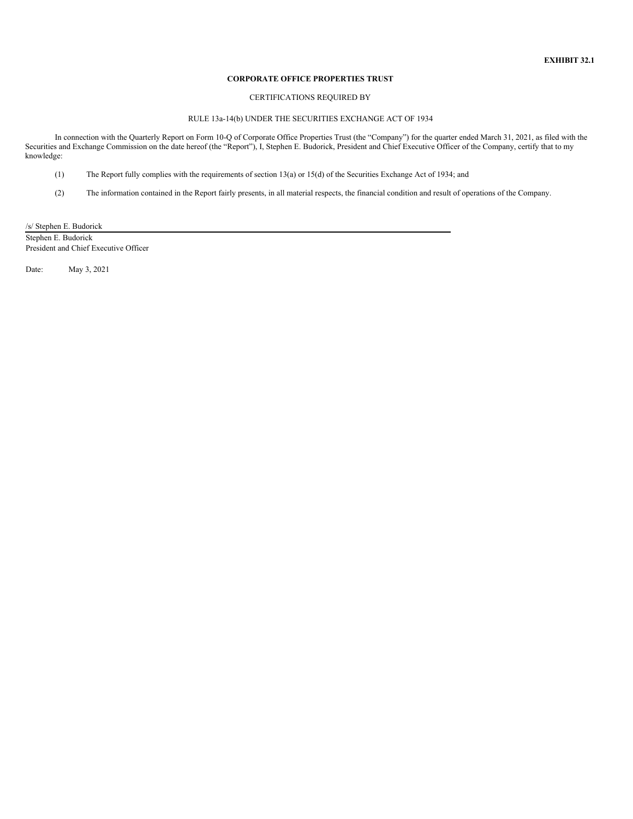CERTIFICATIONS REQUIRED BY

# RULE 13a-14(b) UNDER THE SECURITIES EXCHANGE ACT OF 1934

<span id="page-44-0"></span>In connection with the Quarterly Report on Form 10-Q of Corporate Office Properties Trust (the "Company") for the quarter ended March 31, 2021, as filed with the Securities and Exchange Commission on the date hereof (the "Report"), I, Stephen E. Budorick, President and Chief Executive Officer of the Company, certify that to my knowledge:

- (1) The Report fully complies with the requirements of section 13(a) or 15(d) of the Securities Exchange Act of 1934; and
- (2) The information contained in the Report fairly presents, in all material respects, the financial condition and result of operations of the Company.

/s/ Stephen E. Budorick Stephen E. Budorick President and Chief Executive Officer

Date: May 3, 2021